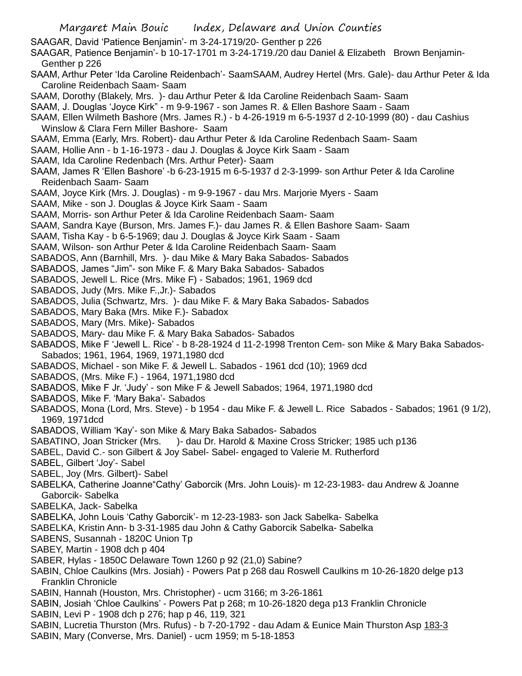Margaret Main Bouic Index, Delaware and Union Counties SAAGAR, David 'Patience Benjamin'- m 3-24-1719/20- Genther p 226 SAAGAR, Patience Benjamin'- b 10-17-1701 m 3-24-1719./20 dau Daniel & Elizabeth Brown Benjamin-Genther p 226 SAAM, Arthur Peter 'Ida Caroline Reidenbach'- SaamSAAM, Audrey Hertel (Mrs. Gale)- dau Arthur Peter & Ida Caroline Reidenbach Saam- Saam SAAM, Dorothy (Blakely, Mrs. )- dau Arthur Peter & Ida Caroline Reidenbach Saam- Saam SAAM, J. Douglas 'Joyce Kirk" - m 9-9-1967 - son James R. & Ellen Bashore Saam - Saam SAAM, Ellen Wilmeth Bashore (Mrs. James R.) - b 4-26-1919 m 6-5-1937 d 2-10-1999 (80) - dau Cashius Winslow & Clara Fern Miller Bashore- Saam SAAM, Emma (Early, Mrs. Robert)- dau Arthur Peter & Ida Caroline Redenbach Saam- Saam SAAM, Hollie Ann - b 1-16-1973 - dau J. Douglas & Joyce Kirk Saam - Saam SAAM, Ida Caroline Redenbach (Mrs. Arthur Peter)- Saam SAAM, James R 'Ellen Bashore' -b 6-23-1915 m 6-5-1937 d 2-3-1999- son Arthur Peter & Ida Caroline Reidenbach Saam- Saam SAAM, Joyce Kirk (Mrs. J. Douglas) - m 9-9-1967 - dau Mrs. Marjorie Myers - Saam SAAM, Mike - son J. Douglas & Joyce Kirk Saam - Saam SAAM, Morris- son Arthur Peter & Ida Caroline Reidenbach Saam- Saam SAAM, Sandra Kaye (Burson, Mrs. James F.)- dau James R. & Ellen Bashore Saam- Saam SAAM, Tisha Kay - b 6-5-1969; dau J. Douglas & Joyce Kirk Saam - Saam SAAM, Wilson- son Arthur Peter & Ida Caroline Reidenbach Saam- Saam SABADOS, Ann (Barnhill, Mrs. )- dau Mike & Mary Baka Sabados- Sabados SABADOS, James "Jim"- son Mike F. & Mary Baka Sabados- Sabados SABADOS, Jewell L. Rice (Mrs. Mike F) - Sabados; 1961, 1969 dcd SABADOS, Judy (Mrs. Mike F.,Jr.)- Sabados SABADOS, Julia (Schwartz, Mrs. )- dau Mike F. & Mary Baka Sabados- Sabados SABADOS, Mary Baka (Mrs. Mike F.)- Sabadox SABADOS, Mary (Mrs. Mike)- Sabados SABADOS, Mary- dau Mike F. & Mary Baka Sabados- Sabados SABADOS, Mike F 'Jewell L. Rice' - b 8-28-1924 d 11-2-1998 Trenton Cem- son Mike & Mary Baka Sabados-Sabados; 1961, 1964, 1969, 1971,1980 dcd SABADOS, Michael - son Mike F. & Jewell L. Sabados - 1961 dcd (10); 1969 dcd SABADOS, (Mrs. Mike F.) - 1964, 1971,1980 dcd SABADOS, Mike F Jr. 'Judy' - son Mike F & Jewell Sabados; 1964, 1971,1980 dcd SABADOS, Mike F. 'Mary Baka'- Sabados SABADOS, Mona (Lord, Mrs. Steve) - b 1954 - dau Mike F. & Jewell L. Rice Sabados - Sabados; 1961 (9 1/2), 1969, 1971dcd SABADOS, William 'Kay'- son Mike & Mary Baka Sabados- Sabados SABATINO, Joan Stricker (Mrs. )- dau Dr. Harold & Maxine Cross Stricker; 1985 uch p136 SABEL, David C.- son Gilbert & Joy Sabel- Sabel- engaged to Valerie M. Rutherford SABEL, Gilbert 'Joy'- Sabel SABEL, Joy (Mrs. Gilbert)- Sabel SABELKA, Catherine Joanne"Cathy' Gaborcik (Mrs. John Louis)- m 12-23-1983- dau Andrew & Joanne Gaborcik- Sabelka SABELKA, Jack- Sabelka SABELKA, John Louis 'Cathy Gaborcik'- m 12-23-1983- son Jack Sabelka- Sabelka SABELKA, Kristin Ann- b 3-31-1985 dau John & Cathy Gaborcik Sabelka- Sabelka SABENS, Susannah - 1820C Union Tp SABEY, Martin - 1908 dch p 404 SABER, Hylas - 1850C Delaware Town 1260 p 92 (21,0) Sabine? SABIN, Chloe Caulkins (Mrs. Josiah) - Powers Pat p 268 dau Roswell Caulkins m 10-26-1820 delge p13 Franklin Chronicle SABIN, Hannah (Houston, Mrs. Christopher) - ucm 3166; m 3-26-1861 SABIN, Josiah 'Chloe Caulkins' - Powers Pat p 268; m 10-26-1820 dega p13 Franklin Chronicle SABIN, Levi P - 1908 dch p 276; hap p 46, 119, 321 SABIN, Lucretia Thurston (Mrs. Rufus) - b 7-20-1792 - dau Adam & Eunice Main Thurston Asp 183-3 SABIN, Mary (Converse, Mrs. Daniel) - ucm 1959; m 5-18-1853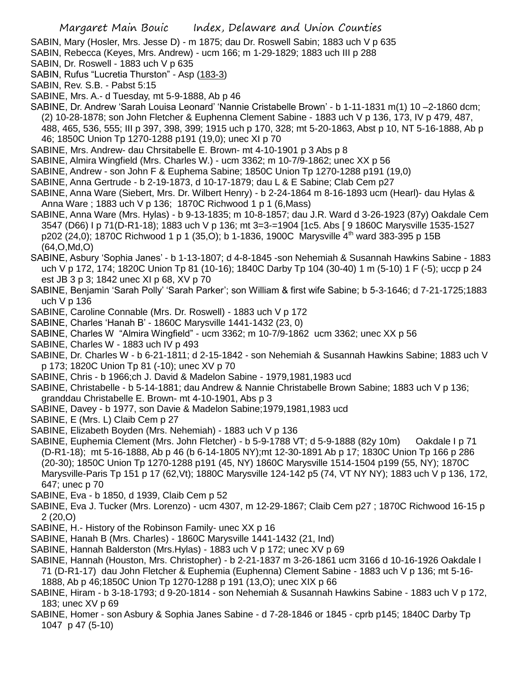SABIN, Mary (Hosler, Mrs. Jesse D) - m 1875; dau Dr. Roswell Sabin; 1883 uch V p 635

- SABIN, Rebecca (Keyes, Mrs. Andrew) ucm 166; m 1-29-1829; 1883 uch III p 288
- SABIN, Dr. Roswell 1883 uch V p 635
- SABIN, Rufus "Lucretia Thurston" Asp (183-3)
- SABIN, Rev. S.B. Pabst 5:15
- SABINE, Mrs. A.- d Tuesday, mt 5-9-1888, Ab p 46
- SABINE, Dr. Andrew 'Sarah Louisa Leonard' 'Nannie Cristabelle Brown' b 1-11-1831 m(1) 10 –2-1860 dcm; (2) 10-28-1878; son John Fletcher & Euphenna Clement Sabine - 1883 uch V p 136, 173, IV p 479, 487, 488, 465, 536, 555; III p 397, 398, 399; 1915 uch p 170, 328; mt 5-20-1863, Abst p 10, NT 5-16-1888, Ab p 46; 1850C Union Tp 1270-1288 p191 (19,0); unec XI p 70
- SABINE, Mrs. Andrew- dau Chrsitabelle E. Brown- mt 4-10-1901 p 3 Abs p 8
- SABINE, Almira Wingfield (Mrs. Charles W.) ucm 3362; m 10-7/9-1862; unec XX p 56
- SABINE, Andrew son John F & Euphema Sabine; 1850C Union Tp 1270-1288 p191 (19,0)
- SABINE, Anna Gertrude b 2-19-1873, d 10-17-1879; dau L & E Sabine; Clab Cem p27
- SABINE, Anna Ware (Siebert, Mrs. Dr. Wilbert Henry) b 2-24-1864 m 8-16-1893 ucm (Hearl)- dau Hylas & Anna Ware ; 1883 uch V p 136; 1870C Richwood 1 p 1 (6,Mass)
- SABINE, Anna Ware (Mrs. Hylas) b 9-13-1835; m 10-8-1857; dau J.R. Ward d 3-26-1923 (87y) Oakdale Cem 3547 (D66) I p 71(D-R1-18); 1883 uch V p 136; mt 3=3-=1904 [1c5. Abs [ 9 1860C Marysville 1535-1527 p202 (24,0); 1870C Richwood 1 p 1 (35,0); b 1-1836, 1900C Marysville  $4^{\text{th}}$  ward 383-395 p 15B (64,O,Md,O)
- SABINE, Asbury 'Sophia Janes' b 1-13-1807; d 4-8-1845 -son Nehemiah & Susannah Hawkins Sabine 1883 uch V p 172, 174; 1820C Union Tp 81 (10-16); 1840C Darby Tp 104 (30-40) 1 m (5-10) 1 F (-5); uccp p 24 est JB 3 p 3; 1842 unec XI p 68, XV p 70
- SABINE, Benjamin 'Sarah Polly' 'Sarah Parker'; son William & first wife Sabine; b 5-3-1646; d 7-21-1725;1883 uch V p 136
- SABINE, Caroline Connable (Mrs. Dr. Roswell) 1883 uch V p 172
- SABINE, Charles 'Hanah B' 1860C Marysville 1441-1432 (23, 0)
- SABINE, Charles W "Almira Wingfield" ucm 3362; m 10-7/9-1862 ucm 3362; unec XX p 56
- SABINE, Charles W 1883 uch IV p 493
- SABINE, Dr. Charles W b 6-21-1811; d 2-15-1842 son Nehemiah & Susannah Hawkins Sabine; 1883 uch V p 173; 1820C Union Tp 81 (-10); unec XV p 70
- SABINE, Chris b 1966;ch J. David & Madelon Sabine 1979,1981,1983 ucd
- SABINE, Christabelle b 5-14-1881; dau Andrew & Nannie Christabelle Brown Sabine; 1883 uch V p 136; granddau Christabelle E. Brown- mt 4-10-1901, Abs p 3
- SABINE, Davey b 1977, son Davie & Madelon Sabine;1979,1981,1983 ucd
- SABINE, E (Mrs. L) Claib Cem p 27
- SABINE, Elizabeth Boyden (Mrs. Nehemiah) 1883 uch V p 136
- SABINE, Euphemia Clement (Mrs. John Fletcher) b 5-9-1788 VT; d 5-9-1888 (82y 10m) Oakdale I p 71 (D-R1-18); mt 5-16-1888, Ab p 46 (b 6-14-1805 NY);mt 12-30-1891 Ab p 17; 1830C Union Tp 166 p 286 (20-30); 1850C Union Tp 1270-1288 p191 (45, NY) 1860C Marysville 1514-1504 p199 (55, NY); 1870C Marysville-Paris Tp 151 p 17 (62,Vt); 1880C Marysville 124-142 p5 (74, VT NY NY); 1883 uch V p 136, 172, 647; unec p 70
- SABINE, Eva b 1850, d 1939, Claib Cem p 52
- SABINE, Eva J. Tucker (Mrs. Lorenzo) ucm 4307, m 12-29-1867; Claib Cem p27 ; 1870C Richwood 16-15 p 2 (20,O)
- SABINE, H.- History of the Robinson Family- unec XX p 16
- SABINE, Hanah B (Mrs. Charles) 1860C Marysville 1441-1432 (21, Ind)
- SABINE, Hannah Balderston (Mrs.Hylas) 1883 uch V p 172; unec XV p 69
- SABINE, Hannah (Houston, Mrs. Christopher) b 2-21-1837 m 3-26-1861 ucm 3166 d 10-16-1926 Oakdale I
- 71 (D-R1-17) dau John Fletcher & Euphemia (Euphenna) Clement Sabine 1883 uch V p 136; mt 5-16- 1888, Ab p 46;1850C Union Tp 1270-1288 p 191 (13,O); unec XIX p 66
- SABINE, Hiram b 3-18-1793; d 9-20-1814 son Nehemiah & Susannah Hawkins Sabine 1883 uch V p 172, 183; unec XV p 69
- SABINE, Homer son Asbury & Sophia Janes Sabine d 7-28-1846 or 1845 cprb p145; 1840C Darby Tp 1047 p 47 (5-10)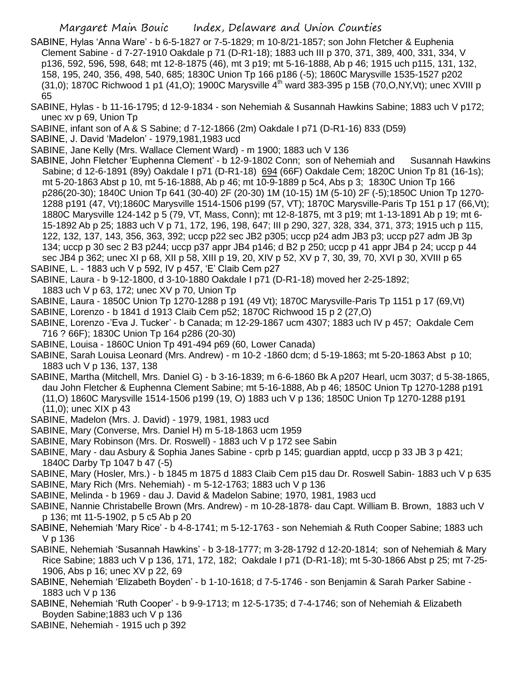- SABINE, Hylas 'Anna Ware' b 6-5-1827 or 7-5-1829; m 10-8/21-1857; son John Fletcher & Euphenia Clement Sabine - d 7-27-1910 Oakdale p 71 (D-R1-18); 1883 uch III p 370, 371, 389, 400, 331, 334, V p136, 592, 596, 598, 648; mt 12-8-1875 (46), mt 3 p19; mt 5-16-1888, Ab p 46; 1915 uch p115, 131, 132, 158, 195, 240, 356, 498, 540, 685; 1830C Union Tp 166 p186 (-5); 1860C Marysville 1535-1527 p202  $(31,0)$ ; 1870C Richwood 1 p1 (41, O); 1900C Marysville  $4<sup>th</sup>$  ward 383-395 p 15B (70, O, NY, Vt); unec XVIII p 65
- SABINE, Hylas b 11-16-1795; d 12-9-1834 son Nehemiah & Susannah Hawkins Sabine; 1883 uch V p172; unec xv p 69, Union Tp
- SABINE, infant son of A & S Sabine; d 7-12-1866 (2m) Oakdale I p71 (D-R1-16) 833 (D59)
- SABINE, J. David 'Madelon' 1979,1981,1983 ucd
- SABINE, Jane Kelly (Mrs. Wallace Clement Ward) m 1900; 1883 uch V 136
- SABINE, John Fletcher 'Euphenna Clement' b 12-9-1802 Conn; son of Nehemiah and Susannah Hawkins Sabine; d 12-6-1891 (89y) Oakdale I p71 (D-R1-18) 694 (66F) Oakdale Cem; 1820C Union Tp 81 (16-1s); mt 5-20-1863 Abst p 10, mt 5-16-1888, Ab p 46; mt 10-9-1889 p 5c4, Abs p 3; 1830C Union Tp 166 p286(20-30); 1840C Union Tp 641 (30-40) 2F (20-30) 1M (10-15) 1M (5-10) 2F (-5);1850C Union Tp 1270- 1288 p191 (47, Vt);1860C Marysville 1514-1506 p199 (57, VT); 1870C Marysville-Paris Tp 151 p 17 (66,Vt); 1880C Marysville 124-142 p 5 (79, VT, Mass, Conn); mt 12-8-1875, mt 3 p19; mt 1-13-1891 Ab p 19; mt 6- 15-1892 Ab p 25; 1883 uch V p 71, 172, 196, 198, 647; III p 290, 327, 328, 334, 371, 373; 1915 uch p 115, 122, 132, 137, 143, 356, 363, 392; uccp p22 sec JB2 p305; uccp p24 adm JB3 p3; uccp p27 adm JB 3p 134; uccp p 30 sec 2 B3 p244; uccp p37 appr JB4 p146; d B2 p 250; uccp p 41 appr JB4 p 24; uccp p 44 sec JB4 p 362; unec XI p 68, XII p 58, XIII p 19, 20, XIV p 52, XV p 7, 30, 39, 70, XVI p 30, XVIII p 65 SABINE, L. - 1883 uch V p 592, IV p 457, 'E' Claib Cem p27
- SABINE, Laura b 9-12-1800, d 3-10-1880 Oakdale I p71 (D-R1-18) moved her 2-25-1892;
- 1883 uch V p 63, 172; unec XV p 70, Union Tp
- SABINE, Laura 1850C Union Tp 1270-1288 p 191 (49 Vt); 1870C Marysville-Paris Tp 1151 p 17 (69,Vt)
- SABINE, Lorenzo b 1841 d 1913 Claib Cem p52; 1870C Richwood 15 p 2 (27,O)
- SABINE, Lorenzo -'Eva J. Tucker' b Canada; m 12-29-1867 ucm 4307; 1883 uch IV p 457; Oakdale Cem 716 ? 66F); 1830C Union Tp 164 p286 (20-30)
- SABINE, Louisa 1860C Union Tp 491-494 p69 (60, Lower Canada)
- SABINE, Sarah Louisa Leonard (Mrs. Andrew) m 10-2 -1860 dcm; d 5-19-1863; mt 5-20-1863 Abst p 10; 1883 uch V p 136, 137, 138
- SABINE, Martha (Mitchell, Mrs. Daniel G) b 3-16-1839; m 6-6-1860 Bk A p207 Hearl, ucm 3037; d 5-38-1865, dau John Fletcher & Euphenna Clement Sabine; mt 5-16-1888, Ab p 46; 1850C Union Tp 1270-1288 p191
	- (11,O) 1860C Marysville 1514-1506 p199 (19, O) 1883 uch V p 136; 1850C Union Tp 1270-1288 p191 (11,0); unec XIX p 43
- SABINE, Madelon (Mrs. J. David) 1979, 1981, 1983 ucd
- SABINE, Mary (Converse, Mrs. Daniel H) m 5-18-1863 ucm 1959
- SABINE, Mary Robinson (Mrs. Dr. Roswell) 1883 uch V p 172 see Sabin
- SABINE, Mary dau Asbury & Sophia Janes Sabine cprb p 145; guardian apptd, uccp p 33 JB 3 p 421; 1840C Darby Tp 1047 b 47 (-5)
- SABINE, Mary (Hosler, Mrs.) b 1845 m 1875 d 1883 Claib Cem p15 dau Dr. Roswell Sabin- 1883 uch V p 635
- SABINE, Mary Rich (Mrs. Nehemiah) m 5-12-1763; 1883 uch V p 136
- SABINE, Melinda b 1969 dau J. David & Madelon Sabine; 1970, 1981, 1983 ucd
- SABINE, Nannie Christabelle Brown (Mrs. Andrew) m 10-28-1878- dau Capt. William B. Brown, 1883 uch V p 136; mt 11-5-1902, p 5 c5 Ab p 20
- SABINE, Nehemiah 'Mary Rice' b 4-8-1741; m 5-12-1763 son Nehemiah & Ruth Cooper Sabine; 1883 uch V p 136
- SABINE, Nehemiah 'Susannah Hawkins' b 3-18-1777; m 3-28-1792 d 12-20-1814; son of Nehemiah & Mary Rice Sabine; 1883 uch V p 136, 171, 172, 182; Oakdale I p71 (D-R1-18); mt 5-30-1866 Abst p 25; mt 7-25- 1906, Abs p 16; unec XV p 22, 69
- SABINE, Nehemiah 'Elizabeth Boyden' b 1-10-1618; d 7-5-1746 son Benjamin & Sarah Parker Sabine 1883 uch V p 136
- SABINE, Nehemiah 'Ruth Cooper' b 9-9-1713; m 12-5-1735; d 7-4-1746; son of Nehemiah & Elizabeth Boyden Sabine;1883 uch V p 136
- SABINE, Nehemiah 1915 uch p 392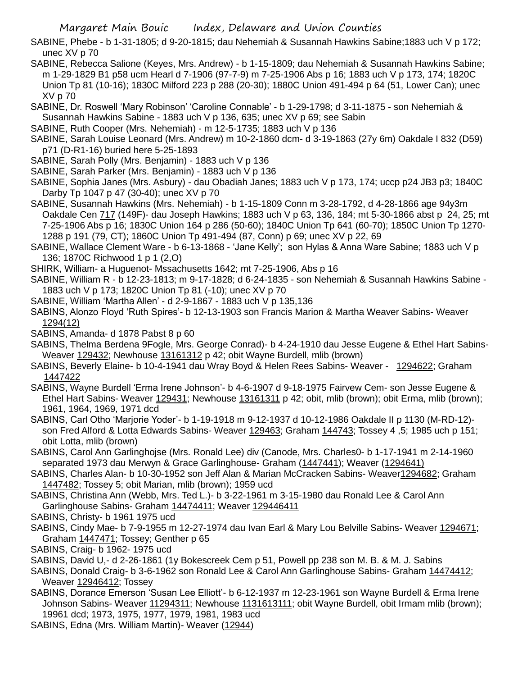SABINE, Phebe - b 1-31-1805; d 9-20-1815; dau Nehemiah & Susannah Hawkins Sabine;1883 uch V p 172; unec XV p 70

- SABINE, Rebecca Salione (Keyes, Mrs. Andrew) b 1-15-1809; dau Nehemiah & Susannah Hawkins Sabine; m 1-29-1829 B1 p58 ucm Hearl d 7-1906 (97-7-9) m 7-25-1906 Abs p 16; 1883 uch V p 173, 174; 1820C Union Tp 81 (10-16); 1830C Milford 223 p 288 (20-30); 1880C Union 491-494 p 64 (51, Lower Can); unec XV p 70
- SABINE, Dr. Roswell 'Mary Robinson' 'Caroline Connable' b 1-29-1798; d 3-11-1875 son Nehemiah & Susannah Hawkins Sabine - 1883 uch V p 136, 635; unec XV p 69; see Sabin
- SABINE, Ruth Cooper (Mrs. Nehemiah) m 12-5-1735; 1883 uch V p 136
- SABINE, Sarah Louise Leonard (Mrs. Andrew) m 10-2-1860 dcm- d 3-19-1863 (27y 6m) Oakdale I 832 (D59) p71 (D-R1-16) buried here 5-25-1893
- SABINE, Sarah Polly (Mrs. Benjamin) 1883 uch V p 136
- SABINE, Sarah Parker (Mrs. Benjamin) 1883 uch V p 136
- SABINE, Sophia Janes (Mrs. Asbury) dau Obadiah Janes; 1883 uch V p 173, 174; uccp p24 JB3 p3; 1840C Darby Tp 1047 p 47 (30-40); unec XV p 70
- SABINE, Susannah Hawkins (Mrs. Nehemiah) b 1-15-1809 Conn m 3-28-1792, d 4-28-1866 age 94y3m Oakdale Cen 717 (149F)- dau Joseph Hawkins; 1883 uch V p 63, 136, 184; mt 5-30-1866 abst p 24, 25; mt 7-25-1906 Abs p 16; 1830C Union 164 p 286 (50-60); 1840C Union Tp 641 (60-70); 1850C Union Tp 1270- 1288 p 191 (79, CT); 1860C Union Tp 491-494 (87, Conn) p 69; unec XV p 22, 69
- SABINE, Wallace Clement Ware b 6-13-1868 'Jane Kelly'; son Hylas & Anna Ware Sabine; 1883 uch V p 136; 1870C Richwood 1 p 1 (2,O)
- SHIRK, William- a Huguenot- Mssachusetts 1642; mt 7-25-1906, Abs p 16
- SABINE, William R b 12-23-1813; m 9-17-1828; d 6-24-1835 son Nehemiah & Susannah Hawkins Sabine 1883 uch V p 173; 1820C Union Tp 81 (-10); unec XV p 70
- SABINE, William 'Martha Allen' d 2-9-1867 1883 uch V p 135,136
- SABINS, Alonzo Floyd 'Ruth Spires'- b 12-13-1903 son Francis Marion & Martha Weaver Sabins- Weaver 1294(12)
- SABINS, Amanda- d 1878 Pabst 8 p 60
- SABINS, Thelma Berdena 9Fogle, Mrs. George Conrad)- b 4-24-1910 dau Jesse Eugene & Ethel Hart Sabins-Weaver 129432; Newhouse 13161312 p 42; obit Wayne Burdell, mlib (brown)
- SABINS, Beverly Elaine- b 10-4-1941 dau Wray Boyd & Helen Rees Sabins- Weaver 1294622; Graham 1447422
- SABINS, Wayne Burdell 'Erma Irene Johnson'- b 4-6-1907 d 9-18-1975 Fairvew Cem- son Jesse Eugene & Ethel Hart Sabins- Weaver 129431; Newhouse 13161311 p 42; obit, mlib (brown); obit Erma, mlib (brown); 1961, 1964, 1969, 1971 dcd
- SABINS, Carl Otho 'Marjorie Yoder'- b 1-19-1918 m 9-12-1937 d 10-12-1986 Oakdale II p 1130 (M-RD-12) son Fred Alford & Lotta Edwards Sabins- Weaver 129463; Graham 144743; Tossey 4 ,5; 1985 uch p 151; obit Lotta, mlib (brown)
- SABINS, Carol Ann Garlinghojse (Mrs. Ronald Lee) div (Canode, Mrs. Charles0- b 1-17-1941 m 2-14-1960 separated 1973 dau Merwyn & Grace Garlinghouse- Graham (1447441); Weaver (1294641)

SABINS, Charles Alan- b 10-30-1952 son Jeff Alan & Marian McCracken Sabins- Weaver1294682; Graham 1447482; Tossey 5; obit Marian, mlib (brown); 1959 ucd

- SABINS, Christina Ann (Webb, Mrs. Ted L.)- b 3-22-1961 m 3-15-1980 dau Ronald Lee & Carol Ann Garlinghouse Sabins- Graham 14474411; Weaver 129446411
- SABINS, Christy- b 1961 1975 ucd
- SABINS, Cindy Mae- b 7-9-1955 m 12-27-1974 dau Ivan Earl & Mary Lou Belville Sabins- Weaver 1294671; Graham 1447471; Tossey; Genther p 65
- SABINS, Craig- b 1962- 1975 ucd
- SABINS, David U,- d 2-26-1861 (1y Bokescreek Cem p 51, Powell pp 238 son M. B. & M. J. Sabins
- SABINS, Donald Craig- b 3-6-1962 son Ronald Lee & Carol Ann Garlinghouse Sabins- Graham 14474412; Weaver 12946412; Tossey
- SABINS, Dorance Emerson 'Susan Lee Elliott'- b 6-12-1937 m 12-23-1961 son Wayne Burdell & Erma Irene Johnson Sabins- Weaver 11294311; Newhouse 1131613111; obit Wayne Burdell, obit Irmam mlib (brown); 19961 dcd; 1973, 1975, 1977, 1979, 1981, 1983 ucd
- SABINS, Edna (Mrs. William Martin)- Weaver (12944)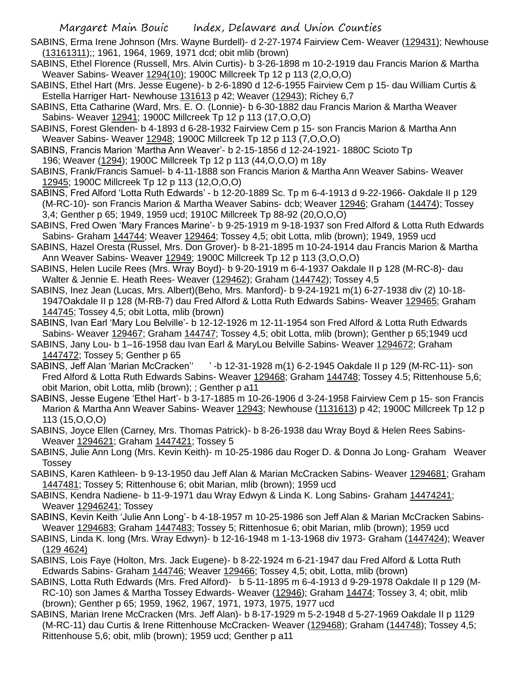- SABINS, Erma Irene Johnson (Mrs. Wayne Burdell)- d 2-27-1974 Fairview Cem- Weaver (129431); Newhouse (13161311);; 1961, 1964, 1969, 1971 dcd; obit mlib (brown)
- SABINS, Ethel Florence (Russell, Mrs. Alvin Curtis)- b 3-26-1898 m 10-2-1919 dau Francis Marion & Martha Weaver Sabins- Weaver 1294(10); 1900C Millcreek Tp 12 p 113 (2,O,O,O)
- SABINS, Ethel Hart (Mrs. Jesse Eugene)- b 2-6-1890 d 12-6-1955 Fairview Cem p 15- dau William Curtis & Estella Harriger Hart- Newhouse 131613 p 42; Weaver (12943); Richey 6,7
- SABINS, Etta Catharine (Ward, Mrs. E. O. (Lonnie)- b 6-30-1882 dau Francis Marion & Martha Weaver Sabins- Weaver 12941; 1900C Millcreek Tp 12 p 113 (17,O,O,O)
- SABINS, Forest Glenden- b 4-1893 d 6-28-1932 Fairview Cem p 15- son Francis Marion & Martha Ann Weaver Sabins- Weaver 12948; 1900C Millcreek Tp 12 p 113 (7,O,O,O)
- SABINS, Francis Marion 'Martha Ann Weaver'- b 2-15-1856 d 12-24-1921- 1880C Scioto Tp 196; Weaver (1294); 1900C Millcreek Tp 12 p 113 (44,O,O,O) m 18y
- SABINS, Frank/Francis Samuel- b 4-11-1888 son Francis Marion & Martha Ann Weaver Sabins- Weaver 12945; 1900C Millcreek Tp 12 p 113 (12,O,O,O)
- SABINS, Fred Alford 'Lotta Ruth Edwards' b 12-20-1889 Sc. Tp m 6-4-1913 d 9-22-1966- Oakdale II p 129 (M-RC-10)- son Francis Marion & Martha Weaver Sabins- dcb; Weaver 12946; Graham (14474); Tossey 3,4; Genther p 65; 1949, 1959 ucd; 1910C Millcreek Tp 88-92 (20,O,O,O)
- SABINS, Fred Owen 'Mary Frances Marine'- b 9-25-1919 m 9-18-1937 son Fred Alford & Lotta Ruth Edwards Sabins- Graham 144744; Weaver 129464; Tossey 4,5; obit Lotta, mlib (brown); 1949, 1959 ucd
- SABINS, Hazel Oresta (Russel, Mrs. Don Grover)- b 8-21-1895 m 10-24-1914 dau Francis Marion & Martha Ann Weaver Sabins- Weaver 12949; 1900C Millcreek Tp 12 p 113 (3, O, O, O)
- SABINS, Helen Lucile Rees (Mrs. Wray Boyd)- b 9-20-1919 m 6-4-1937 Oakdale II p 128 (M-RC-8)- dau Walter & Jennie E. Heath Rees- Weaver (129462); Graham (144742); Tossey 4,5
- SABINS, Inez Jean (Lucas, Mrs. Albert)(Beho, Mrs. Manford)- b 9-24-1921 m(1) 6-27-1938 div (2) 10-18- 1947Oakdale II p 128 (M-RB-7) dau Fred Alford & Lotta Ruth Edwards Sabins- Weaver 129465; Graham 144745; Tossey 4,5; obit Lotta, mlib (brown)
- SABINS, Ivan Earl 'Mary Lou Belville'- b 12-12-1926 m 12-11-1954 son Fred Alford & Lotta Ruth Edwards Sabins- Weaver 129467; Graham 144747; Tossey 4,5; obit Lotta, mlib (brown); Genther p 65;1949 ucd
- SABINS, Jany Lou- b 1–16-1958 dau Ivan Earl & MaryLou Belville Sabins- Weaver 1294672; Graham 1447472; Tossey 5; Genther p 65
- SABINS, Jeff Alan 'Marian McCracken'' ' -b 12-31-1928 m(1) 6-2-1945 Oakdale II p 129 (M-RC-11)- son Fred Alford & Lotta Ruth Edwards Sabins- Weaver 129468; Graham 144748; Tossey 4.5; Rittenhouse 5,6; obit Marion, obit Lotta, mlib (brown); ; Genther p a11
- SABINS, Jesse Eugene 'Ethel Hart'- b 3-17-1885 m 10-26-1906 d 3-24-1958 Fairview Cem p 15- son Francis Marion & Martha Ann Weaver Sabins- Weaver 12943; Newhouse (1131613) p 42; 1900C Millcreek Tp 12 p 113 (15,O,O,O)
- SABINS, Joyce Ellen (Carney, Mrs. Thomas Patrick)- b 8-26-1938 dau Wray Boyd & Helen Rees Sabins-Weaver 1294621; Graham 1447421; Tossey 5
- SABINS, Julie Ann Long (Mrs. Kevin Keith)- m 10-25-1986 dau Roger D. & Donna Jo Long- Graham Weaver Tossey
- SABINS, Karen Kathleen- b 9-13-1950 dau Jeff Alan & Marian McCracken Sabins- Weaver 1294681; Graham 1447481; Tossey 5; Rittenhouse 6; obit Marian, mlib (brown); 1959 ucd
- SABINS, Kendra Nadiene- b 11-9-1971 dau Wray Edwyn & Linda K. Long Sabins- Graham 14474241; Weaver 12946241; Tossey
- SABINS, Kevin Keith 'Julie Ann Long'- b 4-18-1957 m 10-25-1986 son Jeff Alan & Marian McCracken Sabins-Weaver 1294683; Graham 1447483; Tossey 5; Rittenhosue 6; obit Marian, mlib (brown); 1959 ucd
- SABINS, Linda K. long (Mrs. Wray Edwyn)- b 12-16-1948 m 1-13-1968 div 1973- Graham (1447424); Weaver (129 4624)
- SABINS, Lois Faye (Holton, Mrs. Jack Eugene)- b 8-22-1924 m 6-21-1947 dau Fred Alford & Lotta Ruth Edwards Sabins- Graham 144746; Weaver 129466; Tossey 4,5; obit, Lotta, mlib (brown)
- SABINS, Lotta Ruth Edwards (Mrs. Fred Alford)- b 5-11-1895 m 6-4-1913 d 9-29-1978 Oakdale II p 129 (M-RC-10) son James & Martha Tossey Edwards- Weaver (12946); Graham 14474; Tossey 3, 4; obit, mlib (brown); Genther p 65; 1959, 1962, 1967, 1971, 1973, 1975, 1977 ucd
- SABINS, Marian Irene McCracken (Mrs. Jeff Alan)- b 8-17-1929 m 5-2-1948 d 5-27-1969 Oakdale II p 1129 (M-RC-11) dau Curtis & Irene Rittenhouse McCracken- Weaver (129468); Graham (144748); Tossey 4,5; Rittenhouse 5,6; obit, mlib (brown); 1959 ucd; Genther p a11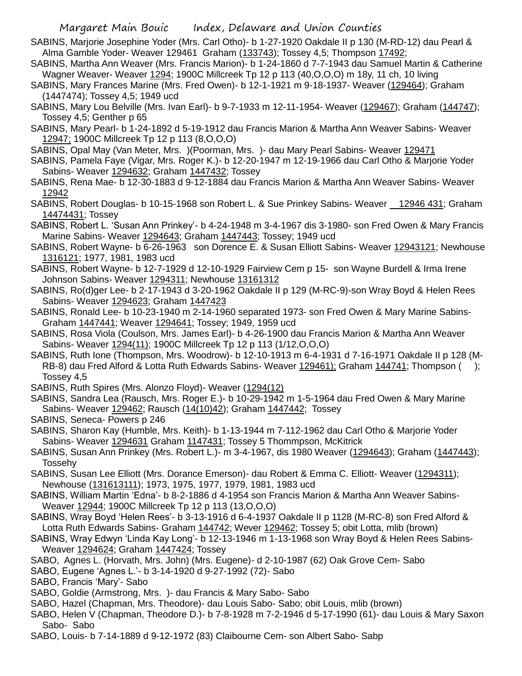- SABINS, Marjorie Josephine Yoder (Mrs. Carl Otho)- b 1-27-1920 Oakdale II p 130 (M-RD-12) dau Pearl & Alma Gamble Yoder- Weaver 129461 Graham (133743); Tossey 4,5; Thompson 17492;
- SABINS, Martha Ann Weaver (Mrs. Francis Marion)- b 1-24-1860 d 7-7-1943 dau Samuel Martin & Catherine Wagner Weaver- Weaver 1294; 1900C Millcreek Tp 12 p 113 (40,O,O,O) m 18y, 11 ch, 10 living
- SABINS, Mary Frances Marine (Mrs. Fred Owen)- b 12-1-1921 m 9-18-1937- Weaver (129464); Graham (1447474); Tossey 4,5; 1949 ucd
- SABINS, Mary Lou Belville (Mrs. Ivan Earl)- b 9-7-1933 m 12-11-1954- Weaver (129467); Graham (144747); Tossey 4,5; Genther p 65
- SABINS, Mary Pearl- b 1-24-1892 d 5-19-1912 dau Francis Marion & Martha Ann Weaver Sabins- Weaver 12947; 1900C Millcreek Tp 12 p 113 (8,O,O,O)
- SABINS, Opal May (Van Meter, Mrs. )(Poorman, Mrs. )- dau Mary Pearl Sabins- Weaver 129471
- SABINS, Pamela Faye (Vigar, Mrs. Roger K.)- b 12-20-1947 m 12-19-1966 dau Carl Otho & Marjorie Yoder Sabins- Weaver 1294632; Graham 1447432; Tossey
- SABINS, Rena Mae- b 12-30-1883 d 9-12-1884 dau Francis Marion & Martha Ann Weaver Sabins- Weaver 12942
- SABINS, Robert Douglas- b 10-15-1968 son Robert L. & Sue Prinkey Sabins- Weaver 12946 431; Graham 14474431; Tossey
- SABINS, Robert L. 'Susan Ann Prinkey'- b 4-24-1948 m 3-4-1967 dis 3-1980- son Fred Owen & Mary Francis Marine Sabins- Weaver 1294643; Graham 1447443; Tossey; 1949 ucd
- SABINS, Robert Wayne- b 6-26-1963 son Dorence E. & Susan Elliott Sabins- Weaver 12943121; Newhouse 1316121; 1977, 1981, 1983 ucd
- SABINS, Robert Wayne- b 12-7-1929 d 12-10-1929 Fairview Cem p 15- son Wayne Burdell & Irma Irene Johnson Sabins- Weaver 1294311; Newhouse 13161312
- SABINS, Ro(d)ger Lee- b 2-17-1943 d 3-20-1962 Oakdale II p 129 (M-RC-9)-son Wray Boyd & Helen Rees Sabins- Weaver 1294623; Graham 1447423
- SABINS, Ronald Lee- b 10-23-1940 m 2-14-1960 separated 1973- son Fred Owen & Mary Marine Sabins-Graham 1447441; Weaver 1294641; Tossey; 1949, 1959 ucd
- SABINS, Rosa Viola (Coulson, Mrs. James Earl)- b 4-26-1900 dau Francis Marion & Martha Ann Weaver Sabins- Weaver 1294(11); 1900C Millcreek Tp 12 p 113 (1/12,O,O,O)
- SABINS, Ruth Ione (Thompson, Mrs. Woodrow)- b 12-10-1913 m 6-4-1931 d 7-16-1971 Oakdale II p 128 (M-RB-8) dau Fred Alford & Lotta Ruth Edwards Sabins- Weaver 129461); Graham 144741; Thompson (); Tossey 4,5
- SABINS, Ruth Spires (Mrs. Alonzo Floyd)- Weaver (1294(12)
- SABINS, Sandra Lea (Rausch, Mrs. Roger E.)- b 10-29-1942 m 1-5-1964 dau Fred Owen & Mary Marine Sabins- Weaver 129462; Rausch (14(10)42); Graham 1447442; Tossey
- SABINS, Seneca- Powers p 246
- SABINS, Sharon Kay (Humble, Mrs. Keith)- b 1-13-1944 m 7-112-1962 dau Carl Otho & Marjorie Yoder Sabins- Weaver 1294631 Graham 1147431; Tossey 5 Thommpson, McKitrick
- SABINS, Susan Ann Prinkey (Mrs. Robert L.)- m 3-4-1967, dis 1980 Weaver (1294643); Graham (1447443); Tossehy
- SABINS, Susan Lee Elliott (Mrs. Dorance Emerson)- dau Robert & Emma C. Elliott- Weaver (1294311); Newhouse (131613111); 1973, 1975, 1977, 1979, 1981, 1983 ucd
- SABINS, William Martin 'Edna'- b 8-2-1886 d 4-1954 son Francis Marion & Martha Ann Weaver Sabins-Weaver 12944; 1900C Millcreek Tp 12 p 113 (13,O,O,O)
- SABINS, Wray Boyd 'Helen Rees'- b 3-13-1916 d 6-4-1937 Oakdale II p 1128 (M-RC-8) son Fred Alford & Lotta Ruth Edwards Sabins- Graham 144742; Wever 129462; Tossey 5; obit Lotta, mlib (brown)
- SABINS, Wray Edwyn 'Linda Kay Long'- b 12-13-1946 m 1-13-1968 son Wray Boyd & Helen Rees Sabins-Weaver 1294624; Graham 1447424; Tossey
- SABO, Agnes L. (Horvath, Mrs. John) (Mrs. Eugene)- d 2-10-1987 (62) Oak Grove Cem- Sabo
- SABO, Eugene 'Agnes L.'- b 3-14-1920 d 9-27-1992 (72)- Sabo
- SABO, Francis 'Mary'- Sabo
- SABO, Goldie (Armstrong, Mrs. )- dau Francis & Mary Sabo- Sabo
- SABO, Hazel (Chapman, Mrs. Theodore)- dau Louis Sabo- Sabo; obit Louis, mlib (brown)
- SABO, Helen V (Chapman, Theodore D.)- b 7-8-1928 m 7-2-1946 d 5-17-1990 (61)- dau Louis & Mary Saxon Sabo- Sabo
- SABO, Louis- b 7-14-1889 d 9-12-1972 (83) Claibourne Cem- son Albert Sabo- Sabp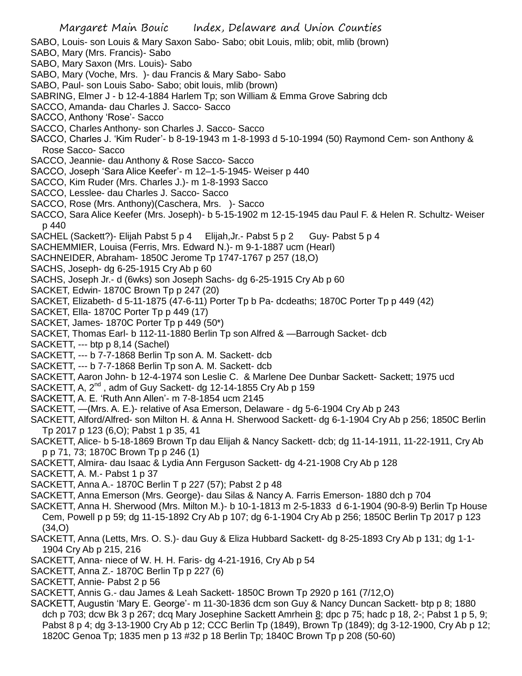- SABO, Louis- son Louis & Mary Saxon Sabo- Sabo; obit Louis, mlib; obit, mlib (brown)
- SABO, Mary (Mrs. Francis)- Sabo
- SABO, Mary Saxon (Mrs. Louis)- Sabo
- SABO, Mary (Voche, Mrs. )- dau Francis & Mary Sabo- Sabo
- SABO, Paul- son Louis Sabo- Sabo; obit louis, mlib (brown)
- SABRING, Elmer J b 12-4-1884 Harlem Tp; son William & Emma Grove Sabring dcb
- SACCO, Amanda- dau Charles J. Sacco- Sacco
- SACCO, Anthony 'Rose'- Sacco
- SACCO, Charles Anthony- son Charles J. Sacco- Sacco
- SACCO, Charles J. 'Kim Ruder'- b 8-19-1943 m 1-8-1993 d 5-10-1994 (50) Raymond Cem- son Anthony & Rose Sacco- Sacco
- SACCO, Jeannie- dau Anthony & Rose Sacco- Sacco
- SACCO, Joseph 'Sara Alice Keefer'- m 12–1-5-1945- Weiser p 440
- SACCO, Kim Ruder (Mrs. Charles J.)- m 1-8-1993 Sacco
- SACCO, Lesslee- dau Charles J. Sacco- Sacco
- SACCO, Rose (Mrs. Anthony)(Caschera, Mrs. )- Sacco
- SACCO, Sara Alice Keefer (Mrs. Joseph)- b 5-15-1902 m 12-15-1945 dau Paul F. & Helen R. Schultz- Weiser p 440
- SACHEL (Sackett?)- Elijah Pabst 5 p 4 Elijah,Jr.- Pabst 5 p 2 Guy- Pabst 5 p 4
- SACHEMMIER, Louisa (Ferris, Mrs. Edward N.)- m 9-1-1887 ucm (Hearl)
- SACHNEIDER, Abraham- 1850C Jerome Tp 1747-1767 p 257 (18,O)
- SACHS, Joseph- dg 6-25-1915 Cry Ab p 60
- SACHS, Joseph Jr.- d (6wks) son Joseph Sachs- dg 6-25-1915 Cry Ab p 60
- SACKET, Edwin- 1870C Brown Tp p 247 (20)
- SACKET, Elizabeth- d 5-11-1875 (47-6-11) Porter Tp b Pa- dcdeaths; 1870C Porter Tp p 449 (42)
- SACKET, Ella- 1870C Porter Tp p 449 (17)
- SACKET, James- 1870C Porter Tp p 449 (50\*)
- SACKET, Thomas Earl- b 112-11-1880 Berlin Tp son Alfred & —Barrough Sacket- dcb
- SACKETT, --- btp p 8,14 (Sachel)
- SACKETT, --- b 7-7-1868 Berlin Tp son A. M. Sackett- dcb
- SACKETT, --- b 7-7-1868 Berlin Tp son A. M. Sackett- dcb
- SACKETT, Aaron John- b 12-4-1974 son Leslie C. & Marlene Dee Dunbar Sackett- Sackett; 1975 ucd
- SACKETT, A,  $2^{nd}$ , adm of Guy Sackett- dg 12-14-1855 Cry Ab p 159
- SACKETT, A. E. 'Ruth Ann Allen'- m 7-8-1854 ucm 2145
- SACKETT, —(Mrs. A. E.)- relative of Asa Emerson, Delaware dg 5-6-1904 Cry Ab p 243
- SACKETT, Alford/Alfred- son Milton H. & Anna H. Sherwood Sackett- dg 6-1-1904 Cry Ab p 256; 1850C Berlin Tp 2017 p 123 (6,O); Pabst 1 p 35, 41
- SACKETT, Alice- b 5-18-1869 Brown Tp dau Elijah & Nancy Sackett- dcb; dg 11-14-1911, 11-22-1911, Cry Ab p p 71, 73; 1870C Brown Tp p 246 (1)
- SACKETT, Almira- dau Isaac & Lydia Ann Ferguson Sackett- dg 4-21-1908 Cry Ab p 128
- SACKETT, A. M.- Pabst 1 p 37
- SACKETT, Anna A.- 1870C Berlin T p 227 (57); Pabst 2 p 48
- SACKETT, Anna Emerson (Mrs. George)- dau Silas & Nancy A. Farris Emerson- 1880 dch p 704
- SACKETT, Anna H. Sherwood (Mrs. Milton M.)- b 10-1-1813 m 2-5-1833 d 6-1-1904 (90-8-9) Berlin Tp House Cem, Powell p p 59; dg 11-15-1892 Cry Ab p 107; dg 6-1-1904 Cry Ab p 256; 1850C Berlin Tp 2017 p 123 (34,O)
- SACKETT, Anna (Letts, Mrs. O. S.)- dau Guy & Eliza Hubbard Sackett- dg 8-25-1893 Cry Ab p 131; dg 1-1- 1904 Cry Ab p 215, 216
- SACKETT, Anna- niece of W. H. H. Faris- dg 4-21-1916, Cry Ab p 54
- SACKETT, Anna Z.- 1870C Berlin Tp p 227 (6)
- SACKETT, Annie- Pabst 2 p 56
- SACKETT, Annis G.- dau James & Leah Sackett- 1850C Brown Tp 2920 p 161 (7/12,O)
- SACKETT, Augustin 'Mary E. George'- m 11-30-1836 dcm son Guy & Nancy Duncan Sackett- btp p 8; 1880 dch p 703; dcw Bk 3 p 267; dcq Mary Josephine Sackett Amrhein 8; dpc p 75; hadc p 18, 2-; Pabst 1 p 5, 9; Pabst 8 p 4; dg 3-13-1900 Cry Ab p 12; CCC Berlin Tp (1849), Brown Tp (1849); dg 3-12-1900, Cry Ab p 12; 1820C Genoa Tp; 1835 men p 13 #32 p 18 Berlin Tp; 1840C Brown Tp p 208 (50-60)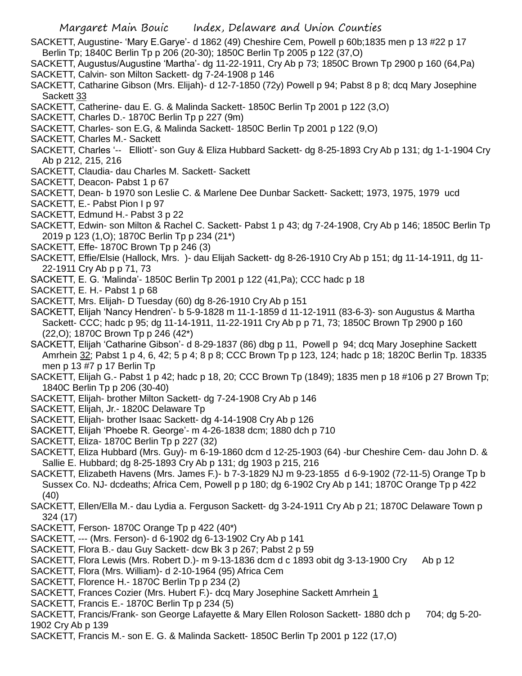- SACKETT, Augustine- 'Mary E.Garye'- d 1862 (49) Cheshire Cem, Powell p 60b;1835 men p 13 #22 p 17 Berlin Tp; 1840C Berlin Tp p 206 (20-30); 1850C Berlin Tp 2005 p 122 (37,O)
- SACKETT, Augustus/Augustine 'Martha'- dg 11-22-1911, Cry Ab p 73; 1850C Brown Tp 2900 p 160 (64,Pa) SACKETT, Calvin- son Milton Sackett- dg 7-24-1908 p 146
- SACKETT, Catharine Gibson (Mrs. Elijah)- d 12-7-1850 (72y) Powell p 94; Pabst 8 p 8; dcq Mary Josephine Sackett 33
- SACKETT, Catherine- dau E. G. & Malinda Sackett- 1850C Berlin Tp 2001 p 122 (3,O)
- SACKETT, Charles D.- 1870C Berlin Tp p 227 (9m)
- SACKETT, Charles- son E.G, & Malinda Sackett- 1850C Berlin Tp 2001 p 122 (9,O)
- SACKETT, Charles M.- Sackett
- SACKETT, Charles '-- Elliott'- son Guy & Eliza Hubbard Sackett- dg 8-25-1893 Cry Ab p 131; dg 1-1-1904 Cry Ab p 212, 215, 216
- SACKETT, Claudia- dau Charles M. Sackett- Sackett
- SACKETT, Deacon- Pabst 1 p 67
- SACKETT, Dean- b 1970 son Leslie C. & Marlene Dee Dunbar Sackett- Sackett; 1973, 1975, 1979 ucd
- SACKETT, E.- Pabst Pion I p 97
- SACKETT, Edmund H.- Pabst 3 p 22
- SACKETT, Edwin- son Milton & Rachel C. Sackett- Pabst 1 p 43; dg 7-24-1908, Cry Ab p 146; 1850C Berlin Tp 2019 p 123 (1,O); 1870C Berlin Tp p 234 (21\*)
- SACKETT, Effe- 1870C Brown Tp p 246 (3)
- SACKETT, Effie/Elsie (Hallock, Mrs. )- dau Elijah Sackett- dg 8-26-1910 Cry Ab p 151; dg 11-14-1911, dg 11- 22-1911 Cry Ab p p 71, 73
- SACKETT, E. G. 'Malinda'- 1850C Berlin Tp 2001 p 122 (41,Pa); CCC hadc p 18
- SACKETT, E. H.- Pabst 1 p 68
- SACKETT, Mrs. Elijah- D Tuesday (60) dg 8-26-1910 Cry Ab p 151
- SACKETT, Elijah 'Nancy Hendren'- b 5-9-1828 m 11-1-1859 d 11-12-1911 (83-6-3)- son Augustus & Martha Sackett- CCC; hadc p 95; dg 11-14-1911, 11-22-1911 Cry Ab p p 71, 73; 1850C Brown Tp 2900 p 160 (22,O); 1870C Brown Tp p 246 (42\*)
- SACKETT, Elijah 'Catharine Gibson'- d 8-29-1837 (86) dbg p 11, Powell p 94; dcq Mary Josephine Sackett Amrhein 32; Pabst 1 p 4, 6, 42; 5 p 4; 8 p 8; CCC Brown Tp p 123, 124; hadc p 18; 1820C Berlin Tp. 18335 men p 13 #7 p 17 Berlin Tp
- SACKETT, Elijah G.- Pabst 1 p 42; hadc p 18, 20; CCC Brown Tp (1849); 1835 men p 18 #106 p 27 Brown Tp; 1840C Berlin Tp p 206 (30-40)
- SACKETT, Elijah- brother Milton Sackett- dg 7-24-1908 Cry Ab p 146
- SACKETT, Elijah, Jr.- 1820C Delaware Tp
- SACKETT, Elijah- brother Isaac Sackett- dg 4-14-1908 Cry Ab p 126
- SACKETT, Elijah 'Phoebe R. George'- m 4-26-1838 dcm; 1880 dch p 710
- SACKETT, Eliza- 1870C Berlin Tp p 227 (32)
- SACKETT, Eliza Hubbard (Mrs. Guy)- m 6-19-1860 dcm d 12-25-1903 (64) -bur Cheshire Cem- dau John D. & Sallie E. Hubbard; dg 8-25-1893 Cry Ab p 131; dg 1903 p 215, 216
- SACKETT, Elizabeth Havens (Mrs. James F.)- b 7-3-1829 NJ m 9-23-1855 d 6-9-1902 (72-11-5) Orange Tp b Sussex Co. NJ- dcdeaths; Africa Cem, Powell p p 180; dg 6-1902 Cry Ab p 141; 1870C Orange Tp p 422 (40)
- SACKETT, Ellen/Ella M.- dau Lydia a. Ferguson Sackett- dg 3-24-1911 Cry Ab p 21; 1870C Delaware Town p 324 (17)
- SACKETT, Ferson- 1870C Orange Tp p 422 (40\*)
- SACKETT, --- (Mrs. Ferson)- d 6-1902 dg 6-13-1902 Cry Ab p 141
- SACKETT, Flora B.- dau Guy Sackett- dcw Bk 3 p 267; Pabst 2 p 59
- SACKETT, Flora Lewis (Mrs. Robert D.)- m 9-13-1836 dcm d c 1893 obit dg 3-13-1900 Cry Ab p 12
- SACKETT, Flora (Mrs. William)- d 2-10-1964 (95) Africa Cem
- SACKETT, Florence H.- 1870C Berlin Tp p 234 (2)
- SACKETT, Frances Cozier (Mrs. Hubert F.)- dcq Mary Josephine Sackett Amrhein 1
- SACKETT, Francis E.- 1870C Berlin Tp p 234 (5)
- SACKETT, Francis/Frank- son George Lafayette & Mary Ellen Roloson Sackett- 1880 dch p 704; dg 5-20-1902 Cry Ab p 139
- SACKETT, Francis M.- son E. G. & Malinda Sackett- 1850C Berlin Tp 2001 p 122 (17,O)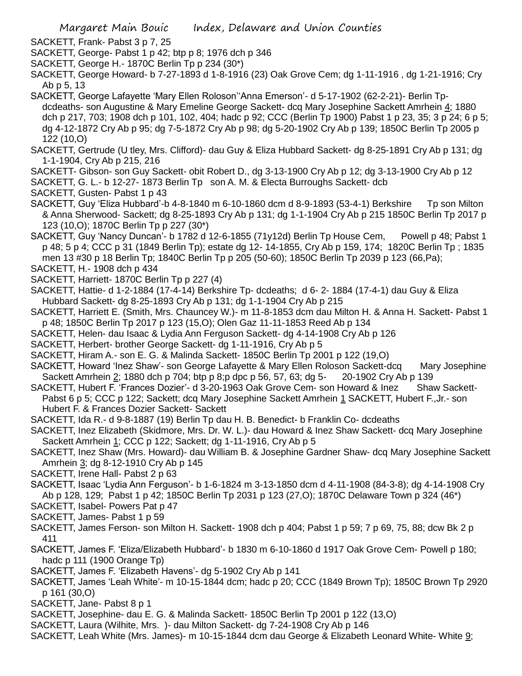- SACKETT, Frank- Pabst 3 p 7, 25
- SACKETT, George- Pabst 1 p 42; btp p 8; 1976 dch p 346
- SACKETT, George H.- 1870C Berlin Tp p 234 (30\*)
- SACKETT, George Howard- b 7-27-1893 d 1-8-1916 (23) Oak Grove Cem; dg 1-11-1916 , dg 1-21-1916; Cry Ab p 5, 13
- SACKETT, George Lafayette 'Mary Ellen Roloson''Anna Emerson'- d 5-17-1902 (62-2-21)- Berlin Tpdcdeaths- son Augustine & Mary Emeline George Sackett- dcq Mary Josephine Sackett Amrhein 4; 1880 dch p 217, 703; 1908 dch p 101, 102, 404; hadc p 92; CCC (Berlin Tp 1900) Pabst 1 p 23, 35; 3 p 24; 6 p 5; dg 4-12-1872 Cry Ab p 95; dg 7-5-1872 Cry Ab p 98; dg 5-20-1902 Cry Ab p 139; 1850C Berlin Tp 2005 p 122 (10,O)
- SACKETT, Gertrude (U tley, Mrs. Clifford)- dau Guy & Eliza Hubbard Sackett- dg 8-25-1891 Cry Ab p 131; dg 1-1-1904, Cry Ab p 215, 216
- SACKETT- Gibson- son Guy Sackett- obit Robert D., dg 3-13-1900 Cry Ab p 12; dg 3-13-1900 Cry Ab p 12
- SACKETT, G. L.- b 12-27- 1873 Berlin Tp son A. M. & Electa Burroughs Sackett- dcb
- SACKETT, Gusten- Pabst 1 p 43
- SACKETT, Guy 'Eliza Hubbard'-b 4-8-1840 m 6-10-1860 dcm d 8-9-1893 (53-4-1) Berkshire Tp son Milton & Anna Sherwood- Sackett; dg 8-25-1893 Cry Ab p 131; dg 1-1-1904 Cry Ab p 215 1850C Berlin Tp 2017 p 123 (10,O); 1870C Berlin Tp p 227 (30\*)
- SACKETT, Guy 'Nancy Duncan'- b 1782 d 12-6-1855 (71y12d) Berlin Tp House Cem, Powell p 48; Pabst 1 p 48; 5 p 4; CCC p 31 (1849 Berlin Tp); estate dg 12- 14-1855, Cry Ab p 159, 174; 1820C Berlin Tp ; 1835 men 13 #30 p 18 Berlin Tp; 1840C Berlin Tp p 205 (50-60); 1850C Berlin Tp 2039 p 123 (66,Pa);
- SACKETT, H.- 1908 dch p 434
- SACKETT, Harriett- 1870C Berlin Tp p 227 (4)
- SACKETT, Hattie- d 1-2-1884 (17-4-14) Berkshire Tp- dcdeaths; d 6- 2- 1884 (17-4-1) dau Guy & Eliza Hubbard Sackett- dg 8-25-1893 Cry Ab p 131; dg 1-1-1904 Cry Ab p 215
- SACKETT, Harriett E. (Smith, Mrs. Chauncey W.)- m 11-8-1853 dcm dau Milton H. & Anna H. Sackett- Pabst 1 p 48; 1850C Berlin Tp 2017 p 123 (15,O); Olen Gaz 11-11-1853 Reed Ab p 134
- SACKETT, Helen- dau Isaac & Lydia Ann Ferguson Sackett- dg 4-14-1908 Cry Ab p 126
- SACKETT, Herbert- brother George Sackett- dg 1-11-1916, Cry Ab p 5
- SACKETT, Hiram A.- son E. G. & Malinda Sackett- 1850C Berlin Tp 2001 p 122 (19,O)
- SACKETT, Howard 'Inez Shaw'- son George Lafayette & Mary Ellen Roloson Sackett-dcq Mary Josephine Sackett Amrhein 2; 1880 dch p 704; btp p 8;p dpc p 56, 57, 63; dg 5- 20-1902 Cry Ab p 139
- SACKETT, Hubert F. 'Frances Dozier'- d 3-20-1963 Oak Grove Cem- son Howard & Inez Shaw Sackett-Pabst 6 p 5; CCC p 122; Sackett; dcq Mary Josephine Sackett Amrhein 1 SACKETT, Hubert F., Jr.- son Hubert F. & Frances Dozier Sackett- Sackett
- SACKETT, Ida R.- d 9-8-1887 (19) Berlin Tp dau H. B. Benedict- b Franklin Co- dcdeaths
- SACKETT, Inez Elizabeth (Skidmore, Mrs. Dr. W. L.)- dau Howard & Inez Shaw Sackett- dcq Mary Josephine Sackett Amrhein 1; CCC p 122; Sackett; dg 1-11-1916, Cry Ab p 5
- SACKETT, Inez Shaw (Mrs. Howard)- dau William B. & Josephine Gardner Shaw- dcq Mary Josephine Sackett Amrhein 3; dg 8-12-1910 Cry Ab p 145
- SACKETT, Irene Hall- Pabst 2 p 63
- SACKETT, Isaac 'Lydia Ann Ferguson'- b 1-6-1824 m 3-13-1850 dcm d 4-11-1908 (84-3-8); dg 4-14-1908 Cry Ab p 128, 129; Pabst 1 p 42; 1850C Berlin Tp 2031 p 123 (27,O); 1870C Delaware Town p 324 (46\*)
- SACKETT, Isabel- Powers Pat p 47
- SACKETT, James- Pabst 1 p 59
- SACKETT, James Ferson- son Milton H. Sackett- 1908 dch p 404; Pabst 1 p 59; 7 p 69, 75, 88; dcw Bk 2 p 411
- SACKETT, James F. 'Eliza/Elizabeth Hubbard'- b 1830 m 6-10-1860 d 1917 Oak Grove Cem- Powell p 180; hadc p 111 (1900 Orange Tp)
- SACKETT, James F. 'Elizabeth Havens'- dg 5-1902 Cry Ab p 141
- SACKETT, James 'Leah White'- m 10-15-1844 dcm; hadc p 20; CCC (1849 Brown Tp); 1850C Brown Tp 2920 p 161 (30,O)
- SACKETT, Jane- Pabst 8 p 1
- SACKETT, Josephine- dau E. G. & Malinda Sackett- 1850C Berlin Tp 2001 p 122 (13,O)
- SACKETT, Laura (Wilhite, Mrs. )- dau Milton Sackett- dg 7-24-1908 Cry Ab p 146
- SACKETT, Leah White (Mrs. James)- m 10-15-1844 dcm dau George & Elizabeth Leonard White- White 9;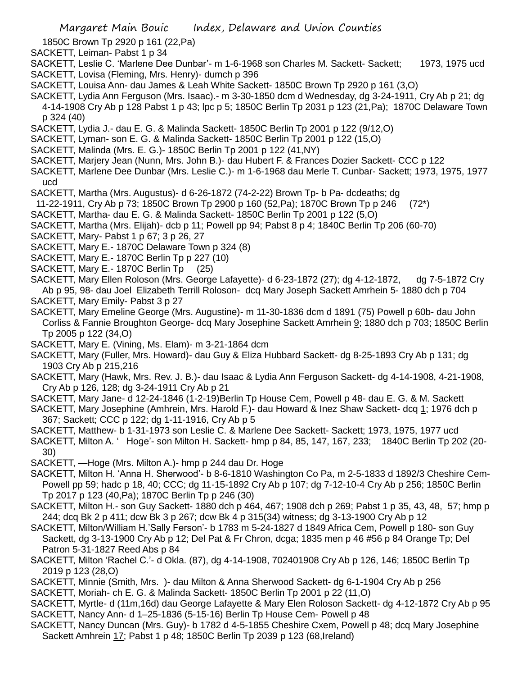1850C Brown Tp 2920 p 161 (22,Pa)

- SACKETT, Leiman- Pabst 1 p 34
- SACKETT, Leslie C. 'Marlene Dee Dunbar'- m 1-6-1968 son Charles M. Sackett- Sackett; 1973, 1975 ucd SACKETT, Lovisa (Fleming, Mrs. Henry)- dumch p 396
- SACKETT, Louisa Ann- dau James & Leah White Sackett- 1850C Brown Tp 2920 p 161 (3,O)
- SACKETT, Lydia Ann Ferguson (Mrs. Isaac).- m 3-30-1850 dcm d Wednesday, dg 3-24-1911, Cry Ab p 21; dg 4-14-1908 Cry Ab p 128 Pabst 1 p 43; lpc p 5; 1850C Berlin Tp 2031 p 123 (21,Pa); 1870C Delaware Town p 324 (40)
- SACKETT, Lydia J.- dau E. G. & Malinda Sackett- 1850C Berlin Tp 2001 p 122 (9/12,O)
- SACKETT, Lyman- son E. G. & Malinda Sackett- 1850C Berlin Tp 2001 p 122 (15,O)
- SACKETT, Malinda (Mrs. E. G.)- 1850C Berlin Tp 2001 p 122 (41,NY)
- SACKETT, Marjery Jean (Nunn, Mrs. John B.)- dau Hubert F. & Frances Dozier Sackett- CCC p 122
- SACKETT, Marlene Dee Dunbar (Mrs. Leslie C.)- m 1-6-1968 dau Merle T. Cunbar- Sackett; 1973, 1975, 1977 ucd
- SACKETT, Martha (Mrs. Augustus)- d 6-26-1872 (74-2-22) Brown Tp- b Pa- dcdeaths; dg
- 11-22-1911, Cry Ab p 73; 1850C Brown Tp 2900 p 160 (52,Pa); 1870C Brown Tp p 246 (72\*)
- SACKETT, Martha- dau E. G. & Malinda Sackett- 1850C Berlin Tp 2001 p 122 (5,O)
- SACKETT, Martha (Mrs. Elijah)- dcb p 11; Powell pp 94; Pabst 8 p 4; 1840C Berlin Tp 206 (60-70)
- SACKETT, Mary- Pabst 1 p 67; 3 p 26, 27
- SACKETT, Mary E.- 1870C Delaware Town p 324 (8)
- SACKETT, Mary E.- 1870C Berlin Tp p 227 (10)
- SACKETT, Mary E.- 1870C Berlin Tp (25)
- SACKETT, Mary Ellen Roloson (Mrs. George Lafayette)- d 6-23-1872 (27); dg 4-12-1872, dg 7-5-1872 Cry Ab p 95, 98- dau Joel Elizabeth Terrill Roloson- dcq Mary Joseph Sackett Amrhein 5- 1880 dch p 704 SACKETT, Mary Emily- Pabst 3 p 27
- SACKETT, Mary Emeline George (Mrs. Augustine)- m 11-30-1836 dcm d 1891 (75) Powell p 60b- dau John Corliss & Fannie Broughton George- dcq Mary Josephine Sackett Amrhein 9; 1880 dch p 703; 1850C Berlin Tp 2005 p 122 (34,O)
- SACKETT, Mary E. (Vining, Ms. Elam)- m 3-21-1864 dcm
- SACKETT, Mary (Fuller, Mrs. Howard)- dau Guy & Eliza Hubbard Sackett- dg 8-25-1893 Cry Ab p 131; dg 1903 Cry Ab p 215,216
- SACKETT, Mary (Hawk, Mrs. Rev. J. B.)- dau Isaac & Lydia Ann Ferguson Sackett- dg 4-14-1908, 4-21-1908, Cry Ab p 126, 128; dg 3-24-1911 Cry Ab p 21
- SACKETT, Mary Jane- d 12-24-1846 (1-2-19)Berlin Tp House Cem, Powell p 48- dau E. G. & M. Sackett
- SACKETT, Mary Josephine (Amhrein, Mrs. Harold F.)- dau Howard & Inez Shaw Sackett- dcq 1; 1976 dch p 367; Sackett; CCC p 122; dg 1-11-1916, Cry Ab p 5
- SACKETT, Matthew- b 1-31-1973 son Leslie C. & Marlene Dee Sackett- Sackett; 1973, 1975, 1977 ucd
- SACKETT, Milton A. ' Hoge'- son Milton H. Sackett- hmp p 84, 85, 147, 167, 233; 1840C Berlin Tp 202 (20- 30)
- SACKETT, —Hoge (Mrs. Milton A.)- hmp p 244 dau Dr. Hoge
- SACKETT, Milton H. 'Anna H. Sherwood'- b 8-6-1810 Washington Co Pa, m 2-5-1833 d 1892/3 Cheshire Cem-Powell pp 59; hadc p 18, 40; CCC; dg 11-15-1892 Cry Ab p 107; dg 7-12-10-4 Cry Ab p 256; 1850C Berlin Tp 2017 p 123 (40,Pa); 1870C Berlin Tp p 246 (30)
- SACKETT, Milton H.- son Guy Sackett- 1880 dch p 464, 467; 1908 dch p 269; Pabst 1 p 35, 43, 48, 57; hmp p 244; dcq Bk 2 p 411; dcw Bk 3 p 267; dcw Bk 4 p 315(34) witness; dg 3-13-1900 Cry Ab p 12
- SACKETT, Milton/William H.'Sally Ferson'- b 1783 m 5-24-1827 d 1849 Africa Cem, Powell p 180- son Guy Sackett, dg 3-13-1900 Cry Ab p 12; Del Pat & Fr Chron, dcga; 1835 men p 46 #56 p 84 Orange Tp; Del Patron 5-31-1827 Reed Abs p 84
- SACKETT, Milton 'Rachel C.'- d Okla. (87), dg 4-14-1908, 702401908 Cry Ab p 126, 146; 1850C Berlin Tp 2019 p 123 (28,O)
- SACKETT, Minnie (Smith, Mrs. )- dau Milton & Anna Sherwood Sackett- dg 6-1-1904 Cry Ab p 256
- SACKETT, Moriah- ch E. G. & Malinda Sackett- 1850C Berlin Tp 2001 p 22 (11,O)
- SACKETT, Myrtle- d (11m,16d) dau George Lafayette & Mary Elen Roloson Sackett- dg 4-12-1872 Cry Ab p 95 SACKETT, Nancy Ann- d 1–25-1836 (5-15-16) Berlin Tp House Cem- Powell p 48
- SACKETT, Nancy Duncan (Mrs. Guy)- b 1782 d 4-5-1855 Cheshire Cxem, Powell p 48; dcq Mary Josephine Sackett Amhrein 17; Pabst 1 p 48; 1850C Berlin Tp 2039 p 123 (68,Ireland)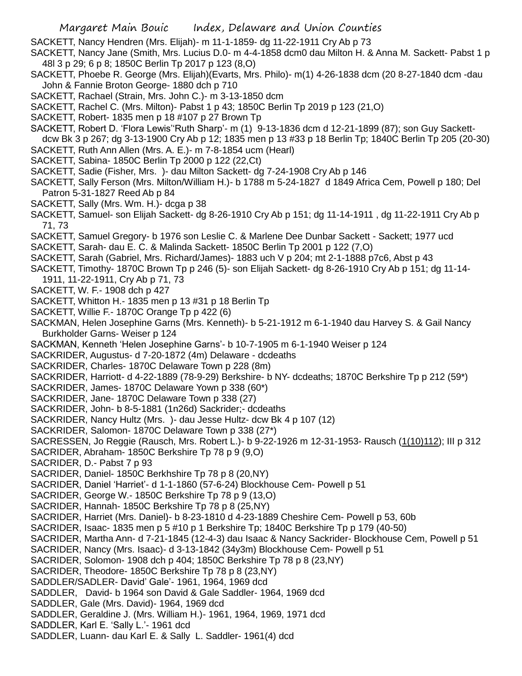SACKETT, Nancy Hendren (Mrs. Elijah)- m 11-1-1859- dg 11-22-1911 Cry Ab p 73

- SACKETT, Nancy Jane (Smith, Mrs. Lucius D.0- m 4-4-1858 dcm0 dau Milton H. & Anna M. Sackett- Pabst 1 p 48l 3 p 29; 6 p 8; 1850C Berlin Tp 2017 p 123 (8,O)
- SACKETT, Phoebe R. George (Mrs. Elijah)(Evarts, Mrs. Philo)- m(1) 4-26-1838 dcm (20 8-27-1840 dcm -dau John & Fannie Broton George- 1880 dch p 710
- SACKETT, Rachael (Strain, Mrs. John C.)- m 3-13-1850 dcm
- SACKETT, Rachel C. (Mrs. Milton)- Pabst 1 p 43; 1850C Berlin Tp 2019 p 123 (21,O)
- SACKETT, Robert- 1835 men p 18 #107 p 27 Brown Tp

SACKETT, Robert D. 'Flora Lewis''Ruth Sharp'- m (1) 9-13-1836 dcm d 12-21-1899 (87); son Guy Sackettdcw Bk 3 p 267; dg 3-13-1900 Cry Ab p 12; 1835 men p 13 #33 p 18 Berlin Tp; 1840C Berlin Tp 205 (20-30)

- SACKETT, Ruth Ann Allen (Mrs. A. E.)- m 7-8-1854 ucm (Hearl)
- SACKETT, Sabina- 1850C Berlin Tp 2000 p 122 (22,Ct)
- SACKETT, Sadie (Fisher, Mrs. )- dau Milton Sackett- dg 7-24-1908 Cry Ab p 146
- SACKETT, Sally Ferson (Mrs. Milton/William H.)- b 1788 m 5-24-1827 d 1849 Africa Cem, Powell p 180; Del Patron 5-31-1827 Reed Ab p 84
- SACKETT, Sally (Mrs. Wm. H.)- dcga p 38
- SACKETT, Samuel- son Elijah Sackett- dg 8-26-1910 Cry Ab p 151; dg 11-14-1911 , dg 11-22-1911 Cry Ab p 71, 73
- SACKETT, Samuel Gregory- b 1976 son Leslie C. & Marlene Dee Dunbar Sackett Sackett; 1977 ucd
- SACKETT, Sarah- dau E. C. & Malinda Sackett- 1850C Berlin Tp 2001 p 122 (7,O)
- SACKETT, Sarah (Gabriel, Mrs. Richard/James)- 1883 uch V p 204; mt 2-1-1888 p7c6, Abst p 43
- SACKETT, Timothy- 1870C Brown Tp p 246 (5)- son Elijah Sackett- dg 8-26-1910 Cry Ab p 151; dg 11-14- 1911, 11-22-1911, Cry Ab p 71, 73
- SACKETT, W. F.- 1908 dch p 427
- SACKETT, Whitton H.- 1835 men p 13 #31 p 18 Berlin Tp
- SACKETT, Willie F.- 1870C Orange Tp p 422 (6)
- SACKMAN, Helen Josephine Garns (Mrs. Kenneth)- b 5-21-1912 m 6-1-1940 dau Harvey S. & Gail Nancy Burkholder Garns- Weiser p 124
- SACKMAN, Kenneth 'Helen Josephine Garns'- b 10-7-1905 m 6-1-1940 Weiser p 124
- SACKRIDER, Augustus- d 7-20-1872 (4m) Delaware dcdeaths
- SACKRIDER, Charles- 1870C Delaware Town p 228 (8m)
- SACKRIDER, Harriott- d 4-22-1889 (78-9-29) Berkshire- b NY- dcdeaths; 1870C Berkshire Tp p 212 (59\*)
- SACKRIDER, James- 1870C Delaware Yown p 338 (60\*)
- SACKRIDER, Jane- 1870C Delaware Town p 338 (27)
- SACKRIDER, John- b 8-5-1881 (1n26d) Sackrider;- dcdeaths
- SACKRIDER, Nancy Hultz (Mrs. )- dau Jesse Hultz- dcw Bk 4 p 107 (12)
- SACKRIDER, Salomon- 1870C Delaware Town p 338 (27\*)
- SACRESSEN, Jo Reggie (Rausch, Mrs. Robert L.)- b 9-22-1926 m 12-31-1953- Rausch (1(10)112); III p 312
- SACRIDER, Abraham- 1850C Berkshire Tp 78 p 9 (9,O)
- SACRIDER, D.- Pabst 7 p 93
- SACRIDER, Daniel- 1850C Berkhshire Tp 78 p 8 (20,NY)
- SACRIDER, Daniel 'Harriet'- d 1-1-1860 (57-6-24) Blockhouse Cem- Powell p 51
- SACRIDER, George W.- 1850C Berkshire Tp 78 p 9 (13,O)
- SACRIDER, Hannah- 1850C Berkshire Tp 78 p 8 (25,NY)
- SACRIDER, Harriet (Mrs. Daniel)- b 8-23-1810 d 4-23-1889 Cheshire Cem- Powell p 53, 60b
- SACRIDER, Isaac- 1835 men p 5 #10 p 1 Berkshire Tp; 1840C Berkshire Tp p 179 (40-50)
- SACRIDER, Martha Ann- d 7-21-1845 (12-4-3) dau Isaac & Nancy Sackrider- Blockhouse Cem, Powell p 51
- SACRIDER, Nancy (Mrs. Isaac)- d 3-13-1842 (34y3m) Blockhouse Cem- Powell p 51
- SACRIDER, Solomon- 1908 dch p 404; 1850C Berkshire Tp 78 p 8 (23,NY)
- SACRIDER, Theodore- 1850C Berkshire Tp 78 p 8 (23,NY)
- SADDLER/SADLER- David' Gale'- 1961, 1964, 1969 dcd
- SADDLER, David- b 1964 son David & Gale Saddler- 1964, 1969 dcd
- SADDLER, Gale (Mrs. David)- 1964, 1969 dcd
- SADDLER, Geraldine J. (Mrs. William H.)- 1961, 1964, 1969, 1971 dcd
- SADDLER, Karl E. 'Sally L.'- 1961 dcd
- SADDLER, Luann- dau Karl E. & Sally L. Saddler- 1961(4) dcd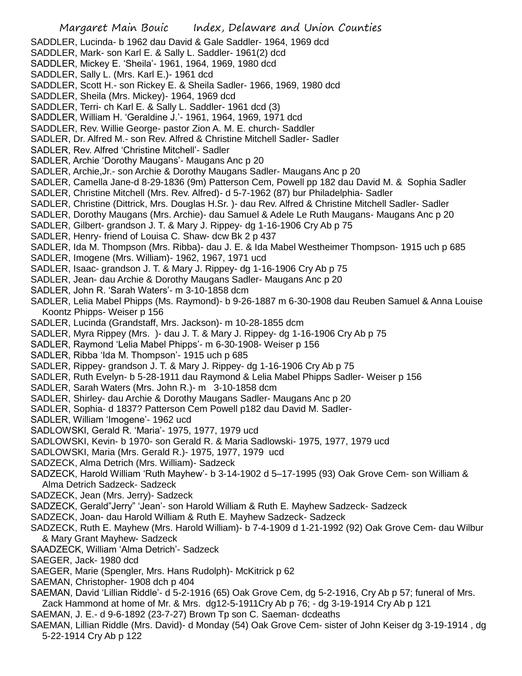- SADDLER, Lucinda- b 1962 dau David & Gale Saddler- 1964, 1969 dcd
- SADDLER, Mark- son Karl E. & Sally L. Saddler- 1961(2) dcd
- SADDLER, Mickey E. 'Sheila'- 1961, 1964, 1969, 1980 dcd
- SADDLER, Sally L. (Mrs. Karl E.)- 1961 dcd
- SADDLER, Scott H.- son Rickey E. & Sheila Sadler- 1966, 1969, 1980 dcd
- SADDLER, Sheila (Mrs. Mickey)- 1964, 1969 dcd
- SADDLER, Terri- ch Karl E. & Sally L. Saddler- 1961 dcd (3)
- SADDLER, William H. 'Geraldine J.'- 1961, 1964, 1969, 1971 dcd
- SADDLER, Rev. Willie George- pastor Zion A. M. E. church- Saddler
- SADLER, Dr. Alfred M.- son Rev. Alfred & Christine Mitchell Sadler- Sadler
- SADLER, Rev. Alfred 'Christine Mitchell'- Sadler
- SADLER, Archie 'Dorothy Maugans'- Maugans Anc p 20
- SADLER, Archie,Jr.- son Archie & Dorothy Maugans Sadler- Maugans Anc p 20
- SADLER, Camella Jane-d 8-29-1836 (9m) Patterson Cem, Powell pp 182 dau David M. & Sophia Sadler
- SADLER, Christine Mitchell (Mrs. Rev. Alfred)- d 5-7-1962 (87) bur Philadelphia- Sadler
- SADLER, Christine (Dittrick, Mrs. Douglas H.Sr. )- dau Rev. Alfred & Christine Mitchell Sadler- Sadler
- SADLER, Dorothy Maugans (Mrs. Archie)- dau Samuel & Adele Le Ruth Maugans- Maugans Anc p 20
- SADLER, Gilbert- grandson J. T. & Mary J. Rippey- dg 1-16-1906 Cry Ab p 75
- SADLER, Henry- friend of Louisa C. Shaw- dcw Bk 2 p 437
- SADLER, Ida M. Thompson (Mrs. Ribba)- dau J. E. & Ida Mabel Westheimer Thompson- 1915 uch p 685
- SADLER, Imogene (Mrs. William)- 1962, 1967, 1971 ucd
- SADLER, Isaac- grandson J. T. & Mary J. Rippey- dg 1-16-1906 Cry Ab p 75
- SADLER, Jean- dau Archie & Dorothy Maugans Sadler- Maugans Anc p 20
- SADLER, John R. 'Sarah Waters'- m 3-10-1858 dcm
- SADLER, Lelia Mabel Phipps (Ms. Raymond)- b 9-26-1887 m 6-30-1908 dau Reuben Samuel & Anna Louise Koontz Phipps- Weiser p 156
- SADLER, Lucinda (Grandstaff, Mrs. Jackson)- m 10-28-1855 dcm
- SADLER, Myra Rippey (Mrs. )- dau J. T. & Mary J. Rippey- dg 1-16-1906 Cry Ab p 75
- SADLER, Raymond 'Lelia Mabel Phipps'- m 6-30-1908- Weiser p 156
- SADLER, Ribba 'Ida M. Thompson'- 1915 uch p 685
- SADLER, Rippey- grandson J. T. & Mary J. Rippey- dg 1-16-1906 Cry Ab p 75
- SADLER, Ruth Evelyn- b 5-28-1911 dau Raymond & Lelia Mabel Phipps Sadler- Weiser p 156
- SADLER, Sarah Waters (Mrs. John R.)- m 3-10-1858 dcm
- SADLER, Shirley- dau Archie & Dorothy Maugans Sadler- Maugans Anc p 20
- SADLER, Sophia- d 1837? Patterson Cem Powell p182 dau David M. Sadler-
- SADLER, William 'Imogene'- 1962 ucd
- SADLOWSKI, Gerald R. 'Maria'- 1975, 1977, 1979 ucd
- SADLOWSKI, Kevin- b 1970- son Gerald R. & Maria Sadlowski- 1975, 1977, 1979 ucd
- SADLOWSKI, Maria (Mrs. Gerald R.)- 1975, 1977, 1979 ucd
- SADZECK, Alma Detrich (Mrs. William)- Sadzeck
- SADZECK, Harold William 'Ruth Mayhew'- b 3-14-1902 d 5–17-1995 (93) Oak Grove Cem- son William & Alma Detrich Sadzeck- Sadzeck
- SADZECK, Jean (Mrs. Jerry)- Sadzeck
- SADZECK, Gerald"Jerry" 'Jean'- son Harold William & Ruth E. Mayhew Sadzeck- Sadzeck
- SADZECK, Joan- dau Harold William & Ruth E. Mayhew Sadzeck- Sadzeck
- SADZECK, Ruth E. Mayhew (Mrs. Harold William)- b 7-4-1909 d 1-21-1992 (92) Oak Grove Cem- dau Wilbur & Mary Grant Mayhew- Sadzeck
- SAADZECK, William 'Alma Detrich'- Sadzeck
- SAEGER, Jack- 1980 dcd
- SAEGER, Marie (Spengler, Mrs. Hans Rudolph)- McKitrick p 62
- SAEMAN, Christopher- 1908 dch p 404
- SAEMAN, David 'Lillian Riddle'- d 5-2-1916 (65) Oak Grove Cem, dg 5-2-1916, Cry Ab p 57; funeral of Mrs. Zack Hammond at home of Mr. & Mrs. dg12-5-1911Cry Ab p 76; - dg 3-19-1914 Cry Ab p 121
- SAEMAN, J. E.- d 9-6-1892 (23-7-27) Brown Tp son C. Saeman- dcdeaths
- SAEMAN, Lillian Riddle (Mrs. David)- d Monday (54) Oak Grove Cem- sister of John Keiser dg 3-19-1914 , dg 5-22-1914 Cry Ab p 122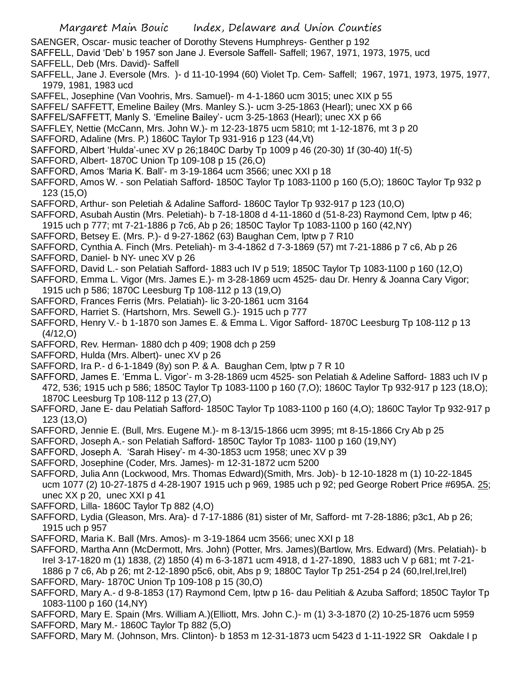- SAENGER, Oscar- music teacher of Dorothy Stevens Humphreys- Genther p 192
- SAFFELL, David 'Deb' b 1957 son Jane J. Eversole Saffell- Saffell; 1967, 1971, 1973, 1975, ucd
- SAFFELL, Deb (Mrs. David)- Saffell
- SAFFELL, Jane J. Eversole (Mrs. )- d 11-10-1994 (60) Violet Tp. Cem- Saffell; 1967, 1971, 1973, 1975, 1977, 1979, 1981, 1983 ucd
- SAFFEL, Josephine (Van Voohris, Mrs. Samuel)- m 4-1-1860 ucm 3015; unec XIX p 55
- SAFFEL/ SAFFETT, Emeline Bailey (Mrs. Manley S.)- ucm 3-25-1863 (Hearl); unec XX p 66
- SAFFEL/SAFFETT, Manly S. 'Emeline Bailey'- ucm 3-25-1863 (Hearl); unec XX p 66
- SAFFLEY, Nettie (McCann, Mrs. John W.)- m 12-23-1875 ucm 5810; mt 1-12-1876, mt 3 p 20
- SAFFORD, Adaline (Mrs. P.) 1860C Taylor Tp 931-916 p 123 (44,Vt)
- SAFFORD, Albert 'Hulda'-unec XV p 26;1840C Darby Tp 1009 p 46 (20-30) 1f (30-40) 1f(-5)
- SAFFORD, Albert- 1870C Union Tp 109-108 p 15 (26,O)
- SAFFORD, Amos 'Maria K. Ball'- m 3-19-1864 ucm 3566; unec XXI p 18
- SAFFORD, Amos W. son Pelatiah Safford- 1850C Taylor Tp 1083-1100 p 160 (5,O); 1860C Taylor Tp 932 p 123 (15,O)
- SAFFORD, Arthur- son Peletiah & Adaline Safford- 1860C Taylor Tp 932-917 p 123 (10,O)
- SAFFORD, Asubah Austin (Mrs. Peletiah)- b 7-18-1808 d 4-11-1860 d (51-8-23) Raymond Cem, lptw p 46; 1915 uch p 777; mt 7-21-1886 p 7c6, Ab p 26; 1850C Taylor Tp 1083-1100 p 160 (42,NY)
- SAFFORD, Betsey E. (Mrs. P.)- d 9-27-1862 (63) Baughan Cem, lptw p 7 R10
- SAFFORD, Cynthia A. Finch (Mrs. Peteliah)- m 3-4-1862 d 7-3-1869 (57) mt 7-21-1886 p 7 c6, Ab p 26
- SAFFORD, Daniel- b NY- unec XV p 26
- SAFFORD, David L.- son Pelatiah Safford- 1883 uch IV p 519; 1850C Taylor Tp 1083-1100 p 160 (12,O)
- SAFFORD, Emma L. Vigor (Mrs. James E.)- m 3-28-1869 ucm 4525- dau Dr. Henry & Joanna Cary Vigor; 1915 uch p 586; 1870C Leesburg Tp 108-112 p 13 (19,O)
- SAFFORD, Frances Ferris (Mrs. Pelatiah)- lic 3-20-1861 ucm 3164
- SAFFORD, Harriet S. (Hartshorn, Mrs. Sewell G.)- 1915 uch p 777
- SAFFORD, Henry V.- b 1-1870 son James E. & Emma L. Vigor Safford- 1870C Leesburg Tp 108-112 p 13 (4/12,O)
- SAFFORD, Rev. Herman- 1880 dch p 409; 1908 dch p 259
- SAFFORD, Hulda (Mrs. Albert)- unec XV p 26
- SAFFORD, Ira P.- d 6-1-1849 (8y) son P. & A. Baughan Cem, lptw p 7 R 10
- SAFFORD, James E. 'Emma L. Vigor'- m 3-28-1869 ucm 4525- son Pelatiah & Adeline Safford- 1883 uch IV p 472, 536; 1915 uch p 586; 1850C Taylor Tp 1083-1100 p 160 (7,O); 1860C Taylor Tp 932-917 p 123 (18,O); 1870C Leesburg Tp 108-112 p 13 (27,O)
- SAFFORD, Jane E- dau Pelatiah Safford- 1850C Taylor Tp 1083-1100 p 160 (4,O); 1860C Taylor Tp 932-917 p 123 (13,O)
- SAFFORD, Jennie E. (Bull, Mrs. Eugene M.)- m 8-13/15-1866 ucm 3995; mt 8-15-1866 Cry Ab p 25
- SAFFORD, Joseph A.- son Pelatiah Safford- 1850C Taylor Tp 1083- 1100 p 160 (19,NY)
- SAFFORD, Joseph A. 'Sarah Hisey'- m 4-30-1853 ucm 1958; unec XV p 39
- SAFFORD, Josephine (Coder, Mrs. James)- m 12-31-1872 ucm 5200
- SAFFORD, Julia Ann (Lockwood, Mrs. Thomas Edward)(Smith, Mrs. Job)- b 12-10-1828 m (1) 10-22-1845 ucm 1077 (2) 10-27-1875 d 4-28-1907 1915 uch p 969, 1985 uch p 92; ped George Robert Price #695A. 25; unec XX p 20, unec XXI p 41
- SAFFORD, Lilla- 1860C Taylor Tp 882 (4,O)
- SAFFORD, Lydia (Gleason, Mrs. Ara)- d 7-17-1886 (81) sister of Mr, Safford- mt 7-28-1886; p3c1, Ab p 26; 1915 uch p 957
- SAFFORD, Maria K. Ball (Mrs. Amos)- m 3-19-1864 ucm 3566; unec XXI p 18
- SAFFORD, Martha Ann (McDermott, Mrs. John) (Potter, Mrs. James)(Bartlow, Mrs. Edward) (Mrs. Pelatiah)- b Irel 3-17-1820 m (1) 1838, (2) 1850 (4) m 6-3-1871 ucm 4918, d 1-27-1890, 1883 uch V p 681; mt 7-21-
- 1886 p 7 c6, Ab p 26; mt 2-12-1890 p5c6, obit, Abs p 9; 1880C Taylor Tp 251-254 p 24 (60,Irel,Irel,Irel) SAFFORD, Mary- 1870C Union Tp 109-108 p 15 (30,O)
- SAFFORD, Mary A.- d 9-8-1853 (17) Raymond Cem, lptw p 16- dau Pelitiah & Azuba Safford; 1850C Taylor Tp 1083-1100 p 160 (14,NY)
- SAFFORD, Mary E. Spain (Mrs. William A.)(Elliott, Mrs. John C.)- m (1) 3-3-1870 (2) 10-25-1876 ucm 5959 SAFFORD, Mary M.- 1860C Taylor Tp 882 (5,O)
- SAFFORD, Mary M. (Johnson, Mrs. Clinton)- b 1853 m 12-31-1873 ucm 5423 d 1-11-1922 SR Oakdale I p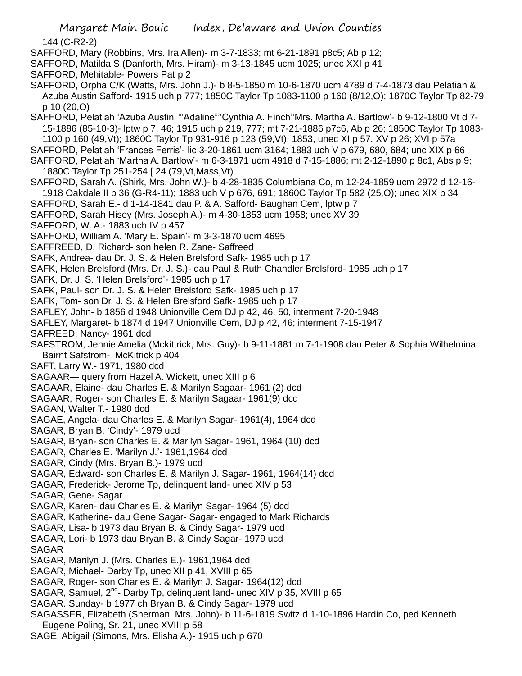- Margaret Main Bouic Index, Delaware and Union Counties 144 (C-R2-2) SAFFORD, Mary (Robbins, Mrs. Ira Allen)- m 3-7-1833; mt 6-21-1891 p8c5; Ab p 12; SAFFORD, Matilda S.(Danforth, Mrs. Hiram)- m 3-13-1845 ucm 1025; unec XXI p 41 SAFFORD, Mehitable- Powers Pat p 2 SAFFORD, Orpha C/K (Watts, Mrs. John J.)- b 8-5-1850 m 10-6-1870 ucm 4789 d 7-4-1873 dau Pelatiah & Azuba Austin Safford- 1915 uch p 777; 1850C Taylor Tp 1083-1100 p 160 (8/12,O); 1870C Taylor Tp 82-79 p 10 (20,O) SAFFORD, Pelatiah 'Azuba Austin' "'Adaline"''Cynthia A. Finch''Mrs. Martha A. Bartlow'- b 9-12-1800 Vt d 7- 15-1886 (85-10-3)- lptw p 7, 46; 1915 uch p 219, 777; mt 7-21-1886 p7c6, Ab p 26; 1850C Taylor Tp 1083- 1100 p 160 (49,Vt); 1860C Taylor Tp 931-916 p 123 (59,Vt); 1853, unec XI p 57. XV p 26; XVI p 57a SAFFORD, Pelatiah 'Frances Ferris'- lic 3-20-1861 ucm 3164; 1883 uch V p 679, 680, 684; unc XIX p 66 SAFFORD, Pelatiah 'Martha A. Bartlow'- m 6-3-1871 ucm 4918 d 7-15-1886; mt 2-12-1890 p 8c1, Abs p 9; 1880C Taylor Tp 251-254 [ 24 (79,Vt,Mass,Vt) SAFFORD, Sarah A. (Shirk, Mrs. John W.)- b 4-28-1835 Columbiana Co, m 12-24-1859 ucm 2972 d 12-16- 1918 Oakdale II p 36 (G-R4-11); 1883 uch V p 676, 691; 1860C Taylor Tp 582 (25,O); unec XIX p 34 SAFFORD, Sarah E.- d 1-14-1841 dau P. & A. Safford- Baughan Cem, lptw p 7 SAFFORD, Sarah Hisey (Mrs. Joseph A.)- m 4-30-1853 ucm 1958; unec XV 39 SAFFORD, W. A.- 1883 uch IV p 457 SAFFORD, William A. 'Mary E. Spain'- m 3-3-1870 ucm 4695 SAFFREED, D. Richard- son helen R. Zane- Saffreed
- SAFK, Andrea- dau Dr. J. S. & Helen Brelsford Safk- 1985 uch p 17
- SAFK, Helen Brelsford (Mrs. Dr. J. S.)- dau Paul & Ruth Chandler Brelsford- 1985 uch p 17
- SAFK, Dr. J. S. 'Helen Brelsford'- 1985 uch p 17
- SAFK, Paul- son Dr. J. S. & Helen Brelsford Safk- 1985 uch p 17
- SAFK, Tom- son Dr. J. S. & Helen Brelsford Safk- 1985 uch p 17
- SAFLEY, John- b 1856 d 1948 Unionville Cem DJ p 42, 46, 50, interment 7-20-1948
- SAFLEY, Margaret- b 1874 d 1947 Unionville Cem, DJ p 42, 46; interment 7-15-1947
- SAFREED, Nancy- 1961 dcd
- SAFSTROM, Jennie Amelia (Mckittrick, Mrs. Guy)- b 9-11-1881 m 7-1-1908 dau Peter & Sophia Wilhelmina Bairnt Safstrom- McKitrick p 404
- SAFT, Larry W.- 1971, 1980 dcd
- SAGAAR— query from Hazel A. Wickett, unec XIII p 6
- SAGAAR, Elaine- dau Charles E. & Marilyn Sagaar- 1961 (2) dcd
- SAGAAR, Roger- son Charles E. & Marilyn Sagaar- 1961(9) dcd
- SAGAN, Walter T.- 1980 dcd
- SAGAE, Angela- dau Charles E. & Marilyn Sagar- 1961(4), 1964 dcd
- SAGAR, Bryan B. 'Cindy'- 1979 ucd
- SAGAR, Bryan- son Charles E. & Marilyn Sagar- 1961, 1964 (10) dcd
- SAGAR, Charles E. 'Marilyn J.'- 1961,1964 dcd
- SAGAR, Cindy (Mrs. Bryan B.)- 1979 ucd
- SAGAR, Edward- son Charles E. & Marilyn J. Sagar- 1961, 1964(14) dcd
- SAGAR, Frederick- Jerome Tp, delinquent land- unec XIV p 53
- SAGAR, Gene- Sagar
- SAGAR, Karen- dau Charles E. & Marilyn Sagar- 1964 (5) dcd
- SAGAR, Katherine- dau Gene Sagar- Sagar- engaged to Mark Richards
- SAGAR, Lisa- b 1973 dau Bryan B. & Cindy Sagar- 1979 ucd
- SAGAR, Lori- b 1973 dau Bryan B. & Cindy Sagar- 1979 ucd
- SAGAR
- SAGAR, Marilyn J. (Mrs. Charles E.)- 1961,1964 dcd
- SAGAR, Michael- Darby Tp, unec XII p 41, XVIII p 65
- SAGAR, Roger- son Charles E. & Marilyn J. Sagar- 1964(12) dcd
- SAGAR, Samuel, 2<sup>nd</sup>- Darby Tp, delinquent land- unec XIV p 35, XVIII p 65
- SAGAR. Sunday- b 1977 ch Bryan B. & Cindy Sagar- 1979 ucd
- SAGASSER, Elizabeth (Sherman, Mrs. John)- b 11-6-1819 Switz d 1-10-1896 Hardin Co, ped Kenneth Eugene Poling, Sr. 21, unec XVIII p 58
- SAGE, Abigail (Simons, Mrs. Elisha A.)- 1915 uch p 670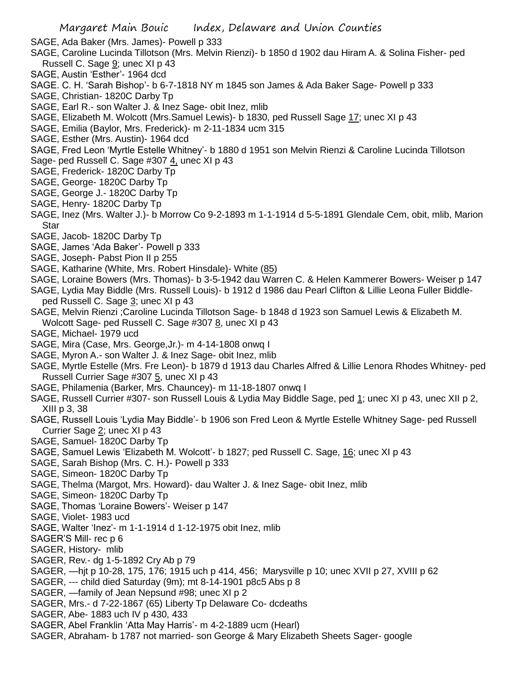SAGE, Ada Baker (Mrs. James)- Powell p 333

- SAGE, Caroline Lucinda Tillotson (Mrs. Melvin Rienzi)- b 1850 d 1902 dau Hiram A. & Solina Fisher- ped Russell C. Sage  $9$ ; unec XI p 43
- SAGE, Austin 'Esther'- 1964 dcd
- SAGE. C. H. 'Sarah Bishop'- b 6-7-1818 NY m 1845 son James & Ada Baker Sage- Powell p 333
- SAGE, Christian- 1820C Darby Tp
- SAGE, Earl R.- son Walter J. & Inez Sage- obit Inez, mlib
- SAGE, Elizabeth M. Wolcott (Mrs.Samuel Lewis)- b 1830, ped Russell Sage 17; unec XI p 43
- SAGE, Emilia (Baylor, Mrs. Frederick)- m 2-11-1834 ucm 315
- SAGE, Esther (Mrs. Austin)- 1964 dcd

SAGE, Fred Leon 'Myrtle Estelle Whitney'- b 1880 d 1951 son Melvin Rienzi & Caroline Lucinda Tillotson Sage- ped Russell C. Sage #307 4, unec XI p 43

- SAGE, Frederick- 1820C Darby Tp
- SAGE, George- 1820C Darby Tp
- SAGE, George J.- 1820C Darby Tp
- SAGE, Henry- 1820C Darby Tp
- SAGE, Inez (Mrs. Walter J.)- b Morrow Co 9-2-1893 m 1-1-1914 d 5-5-1891 Glendale Cem, obit, mlib, Marion **Star**
- SAGE, Jacob- 1820C Darby Tp
- SAGE, James 'Ada Baker'- Powell p 333
- SAGE, Joseph- Pabst Pion II p 255
- SAGE, Katharine (White, Mrs. Robert Hinsdale)- White (85)
- SAGE, Loraine Bowers (Mrs. Thomas)- b 3-5-1942 dau Warren C. & Helen Kammerer Bowers- Weiser p 147
- SAGE, Lydia May Biddle (Mrs. Russell Louis)- b 1912 d 1986 dau Pearl Clifton & Lillie Leona Fuller Biddleped Russell C. Sage 3; unec XI p 43
- SAGE, Melvin Rienzi ;Caroline Lucinda Tillotson Sage- b 1848 d 1923 son Samuel Lewis & Elizabeth M. Wolcott Sage- ped Russell C. Sage #307 8, unec XI p 43
- SAGE, Michael- 1979 ucd
- SAGE, Mira (Case, Mrs. George,Jr.)- m 4-14-1808 onwq I
- SAGE, Myron A.- son Walter J. & Inez Sage- obit Inez, mlib
- SAGE, Myrtle Estelle (Mrs. Fre Leon)- b 1879 d 1913 dau Charles Alfred & Lillie Lenora Rhodes Whitney- ped Russell Currier Sage #307 5, unec XI p 43
- SAGE, Philamenia (Barker, Mrs. Chauncey)- m 11-18-1807 onwq I
- SAGE, Russell Currier #307- son Russell Louis & Lydia May Biddle Sage, ped 1; unec XI p 43, unec XII p 2, XIII p 3, 38
- SAGE, Russell Louis 'Lydia May Biddle'- b 1906 son Fred Leon & Myrtle Estelle Whitney Sage- ped Russell Currier Sage 2; unec XI p 43
- SAGE, Samuel- 1820C Darby Tp
- SAGE, Samuel Lewis 'Elizabeth M. Wolcott'- b 1827; ped Russell C. Sage, 16; unec XI p 43
- SAGE, Sarah Bishop (Mrs. C. H.)- Powell p 333
- SAGE, Simeon- 1820C Darby Tp
- SAGE, Thelma (Margot, Mrs. Howard)- dau Walter J. & Inez Sage- obit Inez, mlib
- SAGE, Simeon- 1820C Darby Tp
- SAGE, Thomas 'Loraine Bowers'- Weiser p 147
- SAGE, Violet- 1983 ucd
- SAGE, Walter 'Inez'- m 1-1-1914 d 1-12-1975 obit Inez, mlib
- SAGER'S Mill- rec p 6
- SAGER, History- mlib
- SAGER, Rev.- dg 1-5-1892 Cry Ab p 79
- SAGER, —hjt p 10-28, 175, 176; 1915 uch p 414, 456; Marysville p 10; unec XVII p 27, XVIII p 62
- SAGER, --- child died Saturday (9m); mt 8-14-1901 p8c5 Abs p 8
- SAGER, —family of Jean Nepsund #98; unec XI p 2
- SAGER, Mrs.- d 7-22-1867 (65) Liberty Tp Delaware Co- dcdeaths
- SAGER, Abe- 1883 uch IV p 430, 433
- SAGER, Abel Franklin 'Atta May Harris'- m 4-2-1889 ucm (Hearl)
- SAGER, Abraham- b 1787 not married- son George & Mary Elizabeth Sheets Sager- google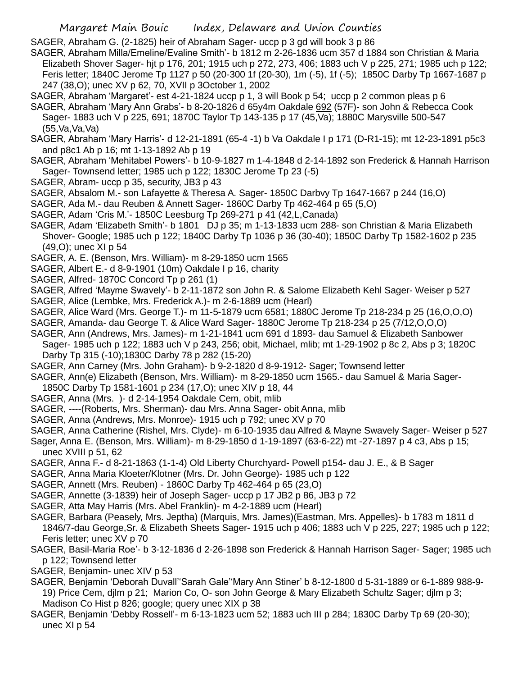SAGER, Abraham G. (2-1825) heir of Abraham Sager- uccp p 3 gd will book 3 p 86

- SAGER, Abraham Milla/Emeline/Evaline Smith'- b 1812 m 2-26-1836 ucm 357 d 1884 son Christian & Maria Elizabeth Shover Sager- hjt p 176, 201; 1915 uch p 272, 273, 406; 1883 uch V p 225, 271; 1985 uch p 122; Feris letter; 1840C Jerome Tp 1127 p 50 (20-300 1f (20-30), 1m (-5), 1f (-5); 1850C Darby Tp 1667-1687 p 247 (38,O); unec XV p 62, 70, XVII p 3October 1, 2002
- SAGER, Abraham 'Margaret'- est 4-21-1824 uccp p 1, 3 will Book p 54; uccp p 2 common pleas p 6
- SAGER, Abraham 'Mary Ann Grabs'- b 8-20-1826 d 65y4m Oakdale 692 (57F)- son John & Rebecca Cook Sager- 1883 uch V p 225, 691; 1870C Taylor Tp 143-135 p 17 (45,Va); 1880C Marysville 500-547 (55,Va,Va,Va)
- SAGER, Abraham 'Mary Harris'- d 12-21-1891 (65-4 -1) b Va Oakdale I p 171 (D-R1-15); mt 12-23-1891 p5c3 and p8c1 Ab p 16; mt 1-13-1892 Ab p 19
- SAGER, Abraham 'Mehitabel Powers'- b 10-9-1827 m 1-4-1848 d 2-14-1892 son Frederick & Hannah Harrison Sager- Townsend letter; 1985 uch p 122; 1830C Jerome Tp 23 (-5)
- SAGER, Abram- uccp p 35, security, JB3 p 43
- SAGER, Absalom M.- son Lafayette & Theresa A. Sager- 1850C Darbvy Tp 1647-1667 p 244 (16,O)
- SAGER, Ada M.- dau Reuben & Annett Sager- 1860C Darby Tp 462-464 p 65 (5,O)
- SAGER, Adam 'Cris M.'- 1850C Leesburg Tp 269-271 p 41 (42,L,Canada)
- SAGER, Adam 'Elizabeth Smith'- b 1801 DJ p 35; m 1-13-1833 ucm 288- son Christian & Maria Elizabeth Shover- Google; 1985 uch p 122; 1840C Darby Tp 1036 p 36 (30-40); 1850C Darby Tp 1582-1602 p 235 (49,O); unec XI p 54
- SAGER, A. E. (Benson, Mrs. William)- m 8-29-1850 ucm 1565
- SAGER, Albert E.- d 8-9-1901 (10m) Oakdale I p 16, charity
- SAGER, Alfred- 1870C Concord Tp p 261 (1)
- SAGER, Alfred 'Mayme Swavely'- b 2-11-1872 son John R. & Salome Elizabeth Kehl Sager- Weiser p 527 SAGER, Alice (Lembke, Mrs. Frederick A.)- m 2-6-1889 ucm (Hearl)
- SAGER, Alice Ward (Mrs. George T.)- m 11-5-1879 ucm 6581; 1880C Jerome Tp 218-234 p 25 (16,O,O,O)
- SAGER, Amanda- dau George T. & Alice Ward Sager- 1880C Jerome Tp 218-234 p 25 (7/12,O,O,O) SAGER, Ann (Andrews, Mrs. James)- m 1-21-1841 ucm 691 d 1893- dau Samuel & Elizabeth Sanbower
- Sager- 1985 uch p 122; 1883 uch V p 243, 256; obit, Michael, mlib; mt 1-29-1902 p 8c 2, Abs p 3; 1820C Darby Tp 315 (-10);1830C Darby 78 p 282 (15-20)
- SAGER, Ann Carney (Mrs. John Graham)- b 9-2-1820 d 8-9-1912- Sager; Townsend letter
- SAGER, Ann(e) Elizabeth (Benson, Mrs. William)- m 8-29-1850 ucm 1565.- dau Samuel & Maria Sager-
- 1850C Darby Tp 1581-1601 p 234 (17,O); unec XIV p 18, 44
- SAGER, Anna (Mrs. )- d 2-14-1954 Oakdale Cem, obit, mlib
- SAGER, ----(Roberts, Mrs. Sherman)- dau Mrs. Anna Sager- obit Anna, mlib
- SAGER, Anna (Andrews, Mrs. Monroe)- 1915 uch p 792; unec XV p 70
- SAGER, Anna Catherine (Rishel, Mrs. Clyde)- m 6-10-1935 dau Alfred & Mayne Swavely Sager- Weiser p 527
- Sager, Anna E. (Benson, Mrs. William)- m 8-29-1850 d 1-19-1897 (63-6-22) mt -27-1897 p 4 c3, Abs p 15; unec XVIII p 51, 62
- SAGER, Anna F.- d 8-21-1863 (1-1-4) Old Liberty Churchyard- Powell p154- dau J. E., & B Sager
- SAGER, Anna Maria Kloeter/Klotner (Mrs. Dr. John George)- 1985 uch p 122
- SAGER, Annett (Mrs. Reuben) 1860C Darby Tp 462-464 p 65 (23,O)
- SAGER, Annette (3-1839) heir of Joseph Sager- uccp p 17 JB2 p 86, JB3 p 72
- SAGER, Atta May Harris (Mrs. Abel Franklin)- m 4-2-1889 ucm (Hearl)
- SAGER, Barbara (Peasely, Mrs. Jeptha) (Marquis, Mrs. James)(Eastman, Mrs. Appelles)- b 1783 m 1811 d 1846/7-dau George,Sr. & Elizabeth Sheets Sager- 1915 uch p 406; 1883 uch V p 225, 227; 1985 uch p 122; Feris letter; unec XV p 70
- SAGER, Basil-Maria Roe'- b 3-12-1836 d 2-26-1898 son Frederick & Hannah Harrison Sager- Sager; 1985 uch p 122; Townsend letter
- SAGER, Benjamin- unec XIV p 53
- SAGER, Benjamin 'Deborah Duvall''Sarah Gale''Mary Ann Stiner' b 8-12-1800 d 5-31-1889 or 6-1-889 988-9- 19) Price Cem, djlm p 21; Marion Co, O- son John George & Mary Elizabeth Schultz Sager; djlm p 3; Madison Co Hist p 826; google; query unec XIX p 38
- SAGER, Benjamin 'Debby Rossell'- m 6-13-1823 ucm 52; 1883 uch III p 284; 1830C Darby Tp 69 (20-30); unec XI p 54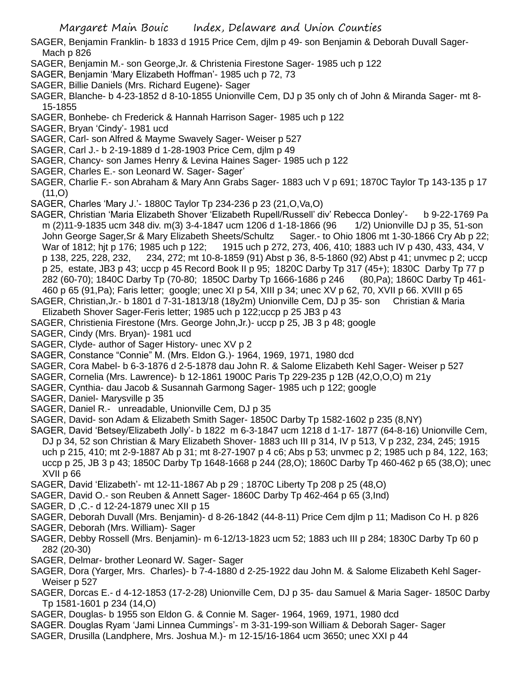- SAGER, Benjamin Franklin- b 1833 d 1915 Price Cem, djlm p 49- son Benjamin & Deborah Duvall Sager-Mach p 826
- SAGER, Benjamin M.- son George,Jr. & Christenia Firestone Sager- 1985 uch p 122
- SAGER, Benjamin 'Mary Elizabeth Hoffman'- 1985 uch p 72, 73
- SAGER, Billie Daniels (Mrs. Richard Eugene)- Sager
- SAGER, Blanche- b 4-23-1852 d 8-10-1855 Unionville Cem, DJ p 35 only ch of John & Miranda Sager- mt 8- 15-1855
- SAGER, Bonhebe- ch Frederick & Hannah Harrison Sager- 1985 uch p 122
- SAGER, Bryan 'Cindy'- 1981 ucd
- SAGER, Carl- son Alfred & Mayme Swavely Sager- Weiser p 527
- SAGER, Carl J.- b 2-19-1889 d 1-28-1903 Price Cem, djlm p 49
- SAGER, Chancy- son James Henry & Levina Haines Sager- 1985 uch p 122
- SAGER, Charles E.- son Leonard W. Sager- Sager'
- SAGER, Charlie F.- son Abraham & Mary Ann Grabs Sager- 1883 uch V p 691; 1870C Taylor Tp 143-135 p 17 (11,O)
- SAGER, Charles 'Mary J.'- 1880C Taylor Tp 234-236 p 23 (21,O,Va,O)
- SAGER, Christian 'Maria Elizabeth Shover 'Elizabeth Rupell/Russell' div' Rebecca Donley'- b 9-22-1769 Pa m (2)11-9-1835 ucm 348 div. m(3) 3-4-1847 ucm 1206 d 1-18-1866 (96 1/2) Unionville DJ p 35, 51-son John George Sager,Sr & Mary Elizabeth Sheets/Schultz Sager.- to Ohio 1806 mt 1-30-1866 Cry Ab p 22; War of 1812; hit p 176; 1985 uch p 122; 1915 uch p 272, 273, 406, 410; 1883 uch IV p 430, 433, 434, V p 138, 225, 228, 232, 234, 272; mt 10-8-1859 (91) Abst p 36, 8-5-1860 (92) Abst p 41; unvmec p 2; uccp p 25, estate, JB3 p 43; uccp p 45 Record Book II p 95; 1820C Darby Tp 317 (45+); 1830C Darby Tp 77 p 282 (60-70); 1840C Darby Tp (70-80; 1850C Darby Tp 1666-1686 p 246 (80,Pa); 1860C Darby Tp 461- 460 p 65 (91,Pa); Faris letter; google; unec XI p 54, XIII p 34; unec XV p 62, 70, XVII p 66. XVIII p 65
- SAGER, Christian,Jr.- b 1801 d 7-31-1813/18 (18y2m) Unionville Cem, DJ p 35- son Christian & Maria Elizabeth Shover Sager-Feris letter; 1985 uch p 122;uccp p 25 JB3 p 43
- SAGER, Christienia Firestone (Mrs. George John,Jr.)- uccp p 25, JB 3 p 48; google
- SAGER, Cindy (Mrs. Bryan)- 1981 ucd
- SAGER, Clyde- author of Sager History- unec XV p 2
- SAGER, Constance "Connie" M. (Mrs. Eldon G.)- 1964, 1969, 1971, 1980 dcd
- SAGER, Cora Mabel- b 6-3-1876 d 2-5-1878 dau John R. & Salome Elizabeth Kehl Sager- Weiser p 527
- SAGER, Cornelia (Mrs. Lawrence)- b 12-1861 1900C Paris Tp 229-235 p 12B (42,O,O,O) m 21y
- SAGER, Cynthia- dau Jacob & Susannah Garmong Sager- 1985 uch p 122; google
- SAGER, Daniel- Marysville p 35
- SAGER, Daniel R.- unreadable, Unionville Cem, DJ p 35
- SAGER, David- son Adam & Elizabeth Smith Sager- 1850C Darby Tp 1582-1602 p 235 (8,NY)
- SAGER, David 'Betsey/Elizabeth Jolly'- b 1822 m 6-3-1847 ucm 1218 d 1-17- 1877 (64-8-16) Unionville Cem, DJ p 34, 52 son Christian & Mary Elizabeth Shover- 1883 uch III p 314, IV p 513, V p 232, 234, 245; 1915 uch p 215, 410; mt 2-9-1887 Ab p 31; mt 8-27-1907 p 4 c6; Abs p 53; unvmec p 2; 1985 uch p 84, 122, 163; uccp p 25, JB 3 p 43; 1850C Darby Tp 1648-1668 p 244 (28,O); 1860C Darby Tp 460-462 p 65 (38,O); unec XVII p 66
- SAGER, David 'Elizabeth'- mt 12-11-1867 Ab p 29 ; 1870C Liberty Tp 208 p 25 (48,O)
- SAGER, David O.- son Reuben & Annett Sager- 1860C Darby Tp 462-464 p 65 (3,Ind)
- SAGER, D ,C.- d 12-24-1879 unec XII p 15
- SAGER, Deborah Duvall (Mrs. Benjamin)- d 8-26-1842 (44-8-11) Price Cem djlm p 11; Madison Co H. p 826
- SAGER, Deborah (Mrs. William)- Sager
- SAGER, Debby Rossell (Mrs. Benjamin)- m 6-12/13-1823 ucm 52; 1883 uch III p 284; 1830C Darby Tp 60 p 282 (20-30)
- SAGER, Delmar- brother Leonard W. Sager- Sager
- SAGER, Dora (Yarger, Mrs. Charles)- b 7-4-1880 d 2-25-1922 dau John M. & Salome Elizabeth Kehl Sager-Weiser p 527
- SAGER, Dorcas E.- d 4-12-1853 (17-2-28) Unionville Cem, DJ p 35- dau Samuel & Maria Sager- 1850C Darby Tp 1581-1601 p 234 (14,O)
- SAGER, Douglas- b 1955 son Eldon G. & Connie M. Sager- 1964, 1969, 1971, 1980 dcd
- SAGER. Douglas Ryam 'Jami Linnea Cummings'- m 3-31-199-son William & Deborah Sager- Sager
- SAGER, Drusilla (Landphere, Mrs. Joshua M.)- m 12-15/16-1864 ucm 3650; unec XXI p 44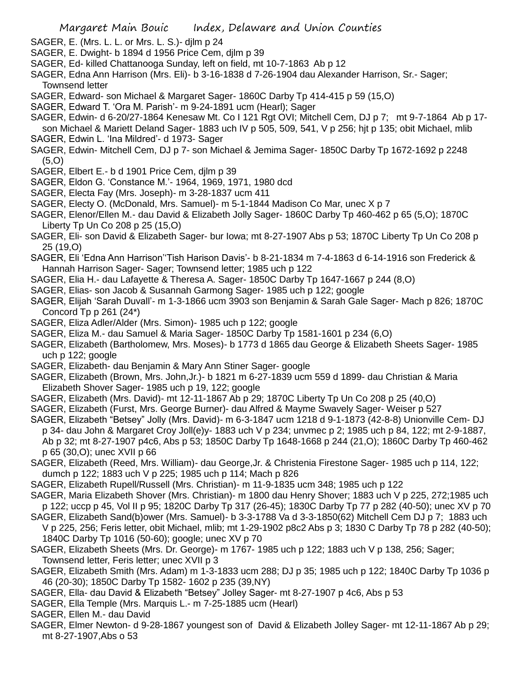- SAGER, E. (Mrs. L. L. or Mrs. L. S.)- djlm p 24
- SAGER, E. Dwight- b 1894 d 1956 Price Cem, djlm p 39
- SAGER, Ed- killed Chattanooga Sunday, left on field, mt 10-7-1863 Ab p 12
- SAGER, Edna Ann Harrison (Mrs. Eli)- b 3-16-1838 d 7-26-1904 dau Alexander Harrison, Sr.- Sager; Townsend letter
- SAGER, Edward- son Michael & Margaret Sager- 1860C Darby Tp 414-415 p 59 (15,O)
- SAGER, Edward T. 'Ora M. Parish'- m 9-24-1891 ucm (Hearl); Sager
- SAGER, Edwin- d 6-20/27-1864 Kenesaw Mt. Co I 121 Rgt OVI; Mitchell Cem, DJ p 7; mt 9-7-1864 Ab p 17 son Michael & Mariett Deland Sager- 1883 uch IV p 505, 509, 541, V p 256; hjt p 135; obit Michael, mlib SAGER, Edwin L. 'Ina Mildred'- d 1973- Sager
- SAGER, Edwin- Mitchell Cem, DJ p 7- son Michael & Jemima Sager- 1850C Darby Tp 1672-1692 p 2248 (5,O)
- SAGER, Elbert E.- b d 1901 Price Cem, djlm p 39
- SAGER, Eldon G. 'Constance M.'- 1964, 1969, 1971, 1980 dcd
- SAGER, Electa Fay (Mrs. Joseph)- m 3-28-1837 ucm 411
- SAGER, Electy O. (McDonald, Mrs. Samuel)- m 5-1-1844 Madison Co Mar, unec X p 7
- SAGER, Elenor/Ellen M.- dau David & Elizabeth Jolly Sager- 1860C Darby Tp 460-462 p 65 (5,O); 1870C Liberty Tp Un Co 208 p 25 (15,O)
- SAGER, Eli- son David & Elizabeth Sager- bur Iowa; mt 8-27-1907 Abs p 53; 1870C Liberty Tp Un Co 208 p 25 (19,O)
- SAGER, Eli 'Edna Ann Harrison''Tish Harison Davis'- b 8-21-1834 m 7-4-1863 d 6-14-1916 son Frederick & Hannah Harrison Sager- Sager; Townsend letter; 1985 uch p 122
- SAGER, Elia H.- dau Lafayette & Theresa A. Sager- 1850C Darby Tp 1647-1667 p 244 (8,O)
- SAGER, Elias- son Jacob & Susannah Garmong Sager- 1985 uch p 122; google
- SAGER, Elijah 'Sarah Duvall'- m 1-3-1866 ucm 3903 son Benjamin & Sarah Gale Sager- Mach p 826; 1870C Concord Tp p 261 (24\*)
- SAGER, Eliza Adler/Alder (Mrs. Simon)- 1985 uch p 122; google
- SAGER, Eliza M.- dau Samuel & Maria Sager- 1850C Darby Tp 1581-1601 p 234 (6,O)
- SAGER, Elizabeth (Bartholomew, Mrs. Moses)- b 1773 d 1865 dau George & Elizabeth Sheets Sager- 1985 uch p 122; google
- SAGER, Elizabeth- dau Benjamin & Mary Ann Stiner Sager- google
- SAGER, Elizabeth (Brown, Mrs. John,Jr.)- b 1821 m 6-27-1839 ucm 559 d 1899- dau Christian & Maria Elizabeth Shover Sager- 1985 uch p 19, 122; google
- SAGER, Elizabeth (Mrs. David)- mt 12-11-1867 Ab p 29; 1870C Liberty Tp Un Co 208 p 25 (40,O)
- SAGER, Elizabeth (Furst, Mrs. George Burner)- dau Alfred & Mayme Swavely Sager- Weiser p 527
- SAGER, Elizabeth "Betsey" Jolly (Mrs. David)- m 6-3-1847 ucm 1218 d 9-1-1873 (42-8-8) Unionville Cem- DJ p 34- dau John & Margaret Croy Joll(e)y- 1883 uch V p 234; unvmec p 2; 1985 uch p 84, 122; mt 2-9-1887, Ab p 32; mt 8-27-1907 p4c6, Abs p 53; 1850C Darby Tp 1648-1668 p 244 (21,O); 1860C Darby Tp 460-462 p 65 (30,O); unec XVII p 66
- SAGER, Elizabeth (Reed, Mrs. William)- dau George,Jr. & Christenia Firestone Sager- 1985 uch p 114, 122; dumch p 122; 1883 uch V p 225; 1985 uch p 114; Mach p 826
- SAGER, Elizabeth Rupell/Russell (Mrs. Christian)- m 11-9-1835 ucm 348; 1985 uch p 122
- SAGER, Maria Elizabeth Shover (Mrs. Christian)- m 1800 dau Henry Shover; 1883 uch V p 225, 272;1985 uch p 122; uccp p 45, Vol II p 95; 1820C Darby Tp 317 (26-45); 1830C Darby Tp 77 p 282 (40-50); unec XV p 70
- SAGER, Elizabeth Sand(b)ower (Mrs. Samuel)- b 3-3-1788 Va d 3-3-1850(62) Mitchell Cem DJ p 7; 1883 uch V p 225, 256; Feris letter, obit Michael, mlib; mt 1-29-1902 p8c2 Abs p 3; 1830 C Darby Tp 78 p 282 (40-50); 1840C Darby Tp 1016 (50-60); google; unec XV p 70
- SAGER, Elizabeth Sheets (Mrs. Dr. George)- m 1767- 1985 uch p 122; 1883 uch V p 138, 256; Sager; Townsend letter, Feris letter; unec XVII p 3
- SAGER, Elizabeth Smith (Mrs. Adam) m 1-3-1833 ucm 288; DJ p 35; 1985 uch p 122; 1840C Darby Tp 1036 p 46 (20-30); 1850C Darby Tp 1582- 1602 p 235 (39,NY)
- SAGER, Ella- dau David & Elizabeth "Betsey" Jolley Sager- mt 8-27-1907 p 4c6, Abs p 53
- SAGER, Ella Temple (Mrs. Marquis L.- m 7-25-1885 ucm (Hearl)
- SAGER, Ellen M.- dau David
- SAGER, Elmer Newton- d 9-28-1867 youngest son of David & Elizabeth Jolley Sager- mt 12-11-1867 Ab p 29; mt 8-27-1907,Abs o 53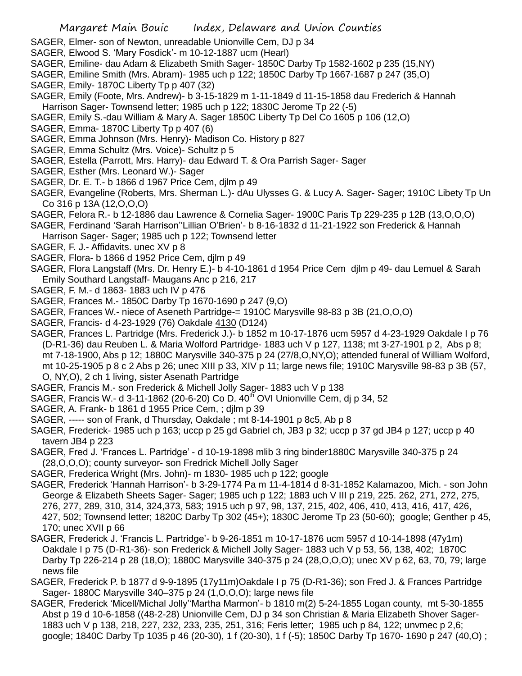- SAGER, Elmer- son of Newton, unreadable Unionville Cem, DJ p 34
- SAGER, Elwood S. 'Mary Fosdick'- m 10-12-1887 ucm (Hearl)
- SAGER, Emiline- dau Adam & Elizabeth Smith Sager- 1850C Darby Tp 1582-1602 p 235 (15,NY)
- SAGER, Emiline Smith (Mrs. Abram)- 1985 uch p 122; 1850C Darby Tp 1667-1687 p 247 (35,O)
- SAGER, Emily- 1870C Liberty Tp p 407 (32)
- SAGER, Emily (Foote, Mrs. Andrew)- b 3-15-1829 m 1-11-1849 d 11-15-1858 dau Frederich & Hannah Harrison Sager- Townsend letter; 1985 uch p 122; 1830C Jerome Tp 22 (-5)
- SAGER, Emily S.-dau William & Mary A. Sager 1850C Liberty Tp Del Co 1605 p 106 (12,O)
- SAGER, Emma- 1870C Liberty Tp p 407 (6)
- SAGER, Emma Johnson (Mrs. Henry)- Madison Co. History p 827
- SAGER, Emma Schultz (Mrs. Voice)- Schultz p 5
- SAGER, Estella (Parrott, Mrs. Harry)- dau Edward T. & Ora Parrish Sager- Sager
- SAGER, Esther (Mrs. Leonard W.)- Sager
- SAGER, Dr. E. T.- b 1866 d 1967 Price Cem, djlm p 49
- SAGER, Evangeline (Roberts, Mrs. Sherman L.)- dAu Ulysses G. & Lucy A. Sager- Sager; 1910C Libety Tp Un Co 316 p 13A (12,O,O,O)
- SAGER, Felora R.- b 12-1886 dau Lawrence & Cornelia Sager- 1900C Paris Tp 229-235 p 12B (13,O,O,O)
- SAGER, Ferdinand 'Sarah Harrison''Lillian O'Brien'- b 8-16-1832 d 11-21-1922 son Frederick & Hannah
- Harrison Sager- Sager; 1985 uch p 122; Townsend letter
- SAGER, F. J.- Affidavits. unec XV p 8
- SAGER, Flora- b 1866 d 1952 Price Cem, djlm p 49
- SAGER, Flora Langstaff (Mrs. Dr. Henry E.)- b 4-10-1861 d 1954 Price Cem djlm p 49- dau Lemuel & Sarah Emily Southard Langstaff- Maugans Anc p 216, 217
- SAGER, F. M.- d 1863- 1883 uch IV p 476
- SAGER, Frances M.- 1850C Darby Tp 1670-1690 p 247 (9,O)
- SAGER, Frances W.- niece of Aseneth Partridge-= 1910C Marysville 98-83 p 3B (21,O,O,O)
- SAGER, Francis- d 4-23-1929 (76) Oakdale 4130 (D124)
- SAGER, Frances L. Partridge (Mrs. Frederick J.)- b 1852 m 10-17-1876 ucm 5957 d 4-23-1929 Oakdale I p 76 (D-R1-36) dau Reuben L. & Maria Wolford Partridge- 1883 uch V p 127, 1138; mt 3-27-1901 p 2, Abs p 8; mt 7-18-1900, Abs p 12; 1880C Marysville 340-375 p 24 (27/8,O,NY,O); attended funeral of William Wolford, mt 10-25-1905 p 8 c 2 Abs p 26; unec XIII p 33, XIV p 11; large news file; 1910C Marysville 98-83 p 3B (57, O, NY,O), 2 ch 1 living, sister Asenath Partridge
- SAGER, Francis M.- son Frederick & Michell Jolly Sager- 1883 uch V p 138
- SAGER, Francis W.- d 3-11-1862 (20-6-20) Co D.  $40^{\text{th}}$  OVI Unionville Cem, di p 34, 52
- SAGER, A. Frank- b 1861 d 1955 Price Cem, ; djlm p 39
- SAGER, ----- son of Frank, d Thursday, Oakdale ; mt 8-14-1901 p 8c5, Ab p 8
- SAGER, Frederick- 1985 uch p 163; uccp p 25 gd Gabriel ch, JB3 p 32; uccp p 37 gd JB4 p 127; uccp p 40 tavern JB4 p 223
- SAGER, Fred J. 'Frances L. Partridge' d 10-19-1898 mlib 3 ring binder1880C Marysville 340-375 p 24 (28,O,O,O); county surveyor- son Fredrick Michell Jolly Sager
- SAGER, Frederica Wright (Mrs. John)- m 1830- 1985 uch p 122; google
- SAGER, Frederick 'Hannah Harrison'- b 3-29-1774 Pa m 11-4-1814 d 8-31-1852 Kalamazoo, Mich. son John George & Elizabeth Sheets Sager- Sager; 1985 uch p 122; 1883 uch V III p 219, 225. 262, 271, 272, 275, 276, 277, 289, 310, 314, 324,373, 583; 1915 uch p 97, 98, 137, 215, 402, 406, 410, 413, 416, 417, 426, 427, 502; Townsend letter; 1820C Darby Tp 302 (45+); 1830C Jerome Tp 23 (50-60); google; Genther p 45, 170; unec XVII p 66
- SAGER, Frederick J. 'Francis L. Partridge'- b 9-26-1851 m 10-17-1876 ucm 5957 d 10-14-1898 (47y1m) Oakdale I p 75 (D-R1-36)- son Frederick & Michell Jolly Sager- 1883 uch V p 53, 56, 138, 402; 1870C Darby Tp 226-214 p 28 (18,O); 1880C Marysville 340-375 p 24 (28,O,O,O); unec XV p 62, 63, 70, 79; large news file
- SAGER, Frederick P. b 1877 d 9-9-1895 (17y11m)Oakdale I p 75 (D-R1-36); son Fred J. & Frances Partridge Sager- 1880C Marysville 340–375 p 24 (1,O,O,O); large news file
- SAGER, Frederick 'Micell/Michal Jolly''Martha Marmon'- b 1810 m(2) 5-24-1855 Logan county, mt 5-30-1855 Abst p 19 d 10-6-1858 ((48-2-28) Unionville Cem, DJ p 34 son Christian & Maria Elizabeth Shover Sager-1883 uch V p 138, 218, 227, 232, 233, 235, 251, 316; Feris letter; 1985 uch p 84, 122; unvmec p 2,6; google; 1840C Darby Tp 1035 p 46 (20-30), 1 f (20-30), 1 f (-5); 1850C Darby Tp 1670- 1690 p 247 (40,O) ;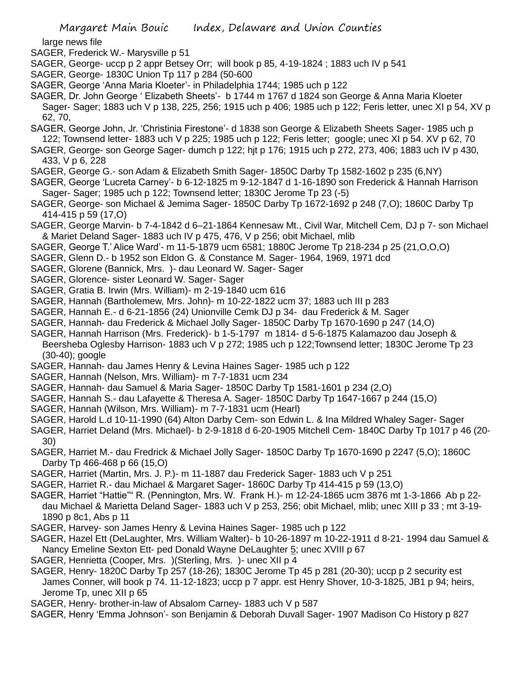large news file

- SAGER, Frederick W.- Marysville p 51
- SAGER, George- uccp p 2 appr Betsey Orr; will book p 85, 4-19-1824 ; 1883 uch IV p 541
- SAGER, George- 1830C Union Tp 117 p 284 (50-600
- SAGER, George 'Anna Maria Kloeter'- in Philadelphia 1744; 1985 uch p 122
- SAGER, Dr. John George ' Elizabeth Sheets'- b 1744 m 1767 d 1824 son George & Anna Maria Kloeter Sager- Sager; 1883 uch V p 138, 225, 256; 1915 uch p 406; 1985 uch p 122; Feris letter, unec XI p 54, XV p 62, 70,
- SAGER, George John, Jr. 'Christinia Firestone'- d 1838 son George & Elizabeth Sheets Sager- 1985 uch p 122; Townsend letter- 1883 uch V p 225; 1985 uch p 122; Feris letter; google; unec XI p 54. XV p 62, 70
- SAGER, George- son George Sager- dumch p 122; hjt p 176; 1915 uch p 272, 273, 406; 1883 uch IV p 430, 433, V p 6, 228
- SAGER, George G.- son Adam & Elizabeth Smith Sager- 1850C Darby Tp 1582-1602 p 235 (6,NY)
- SAGER, George 'Lucreta Carney'- b 6-12-1825 m 9-12-1847 d 1-16-1890 son Frederick & Hannah Harrison Sager- Sager; 1985 uch p 122; Townsend letter; 1830C Jerome Tp 23 (-5)
- SAGER, George- son Michael & Jemima Sager- 1850C Darby Tp 1672-1692 p 248 (7,O); 1860C Darby Tp 414-415 p 59 (17,O)
- SAGER, George Marvin- b 7-4-1842 d 6–21-1864 Kennesaw Mt., Civil War, Mitchell Cem, DJ p 7- son Michael & Mariet Deland Sager- 1883 uch IV p 475, 476, V p 256; obit Michael, mlib
- SAGER, George T.' Alice Ward'- m 11-5-1879 ucm 6581; 1880C Jerome Tp 218-234 p 25 (21,O,O,O)
- SAGER, Glenn D.- b 1952 son Eldon G. & Constance M. Sager- 1964, 1969, 1971 dcd
- SAGER, Glorene (Bannick, Mrs. )- dau Leonard W. Sager- Sager
- SAGER, Glorence- sister Leonard W. Sager- Sager
- SAGER, Gratia B. Irwin (Mrs. William)- m 2-19-1840 ucm 616
- SAGER, Hannah (Bartholemew, Mrs. John)- m 10-22-1822 ucm 37; 1883 uch III p 283
- SAGER, Hannah E.- d 6-21-1856 (24) Unionville Cemk DJ p 34- dau Frederick & M. Sager
- SAGER, Hannah- dau Frederick & Michael Jolly Sager- 1850C Darby Tp 1670-1690 p 247 (14,O)
- SAGER, Hannah Harrison (Mrs. Frederick)- b 1-5-1797 m 1814- d 5-6-1875 Kalamazoo dau Joseph & Beersheba Oglesby Harrison- 1883 uch V p 272; 1985 uch p 122;Townsend letter; 1830C Jerome Tp 23 (30-40); google
- SAGER, Hannah- dau James Henry & Levina Haines Sager- 1985 uch p 122
- SAGER, Hannah (Nelson, Mrs. William)- m 7-7-1831 ucm 234
- SAGER, Hannah- dau Samuel & Maria Sager- 1850C Darby Tp 1581-1601 p 234 (2,O)
- SAGER, Hannah S.- dau Lafayette & Theresa A. Sager- 1850C Darby Tp 1647-1667 p 244 (15,O)
- SAGER, Hannah (Wilson, Mrs. William)- m 7-7-1831 ucm (Hearl)
- SAGER, Harold L.d 10-11-1990 (64) Alton Darby Cem- son Edwin L. & Ina Mildred Whaley Sager- Sager
- SAGER, Harriet Deland (Mrs. Michael)- b 2-9-1818 d 6-20-1905 Mitchell Cem- 1840C Darby Tp 1017 p 46 (20- 30)
- SAGER, Harriet M.- dau Fredrick & Michael Jolly Sager- 1850C Darby Tp 1670-1690 p 2247 (5,O); 1860C Darby Tp 466-468 p 66 (15,O)
- SAGER, Harriet (Martin, Mrs. J. P.)- m 11-1887 dau Frederick Sager- 1883 uch V p 251
- SAGER, Harriet R.- dau Michael & Margaret Sager- 1860C Darby Tp 414-415 p 59 (13,O)
- SAGER, Harriet "Hattie"" R. (Pennington, Mrs. W. Frank H.)- m 12-24-1865 ucm 3876 mt 1-3-1866 Ab p 22 dau Michael & Marietta Deland Sager- 1883 uch V p 253, 256; obit Michael, mlib; unec XIII p 33 ; mt 3-19- 1890 p 8c1, Abs p 11
- SAGER, Harvey- son James Henry & Levina Haines Sager- 1985 uch p 122
- SAGER, Hazel Ett (DeLaughter, Mrs. William Walter)- b 10-26-1897 m 10-22-1911 d 8-21- 1994 dau Samuel & Nancy Emeline Sexton Ett- ped Donald Wayne DeLaughter 5; unec XVIII p 67
- SAGER, Henrietta (Cooper, Mrs. )(Sterling, Mrs. )- unec XII p 4
- SAGER, Henry- 1820C Darby Tp 257 (18-26); 1830C Jerome Tp 45 p 281 (20-30); uccp p 2 security est James Conner, will book p 74. 11-12-1823; uccp p 7 appr. est Henry Shover, 10-3-1825, JB1 p 94; heirs, Jerome Tp, unec XII p 65
- SAGER, Henry- brother-in-law of Absalom Carney- 1883 uch V p 587
- SAGER, Henry 'Emma Johnson'- son Benjamin & Deborah Duvall Sager- 1907 Madison Co History p 827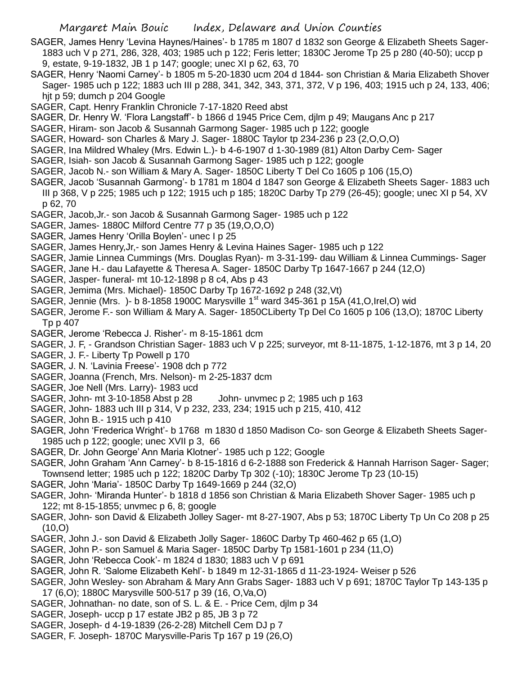- SAGER, James Henry 'Levina Haynes/Haines'- b 1785 m 1807 d 1832 son George & Elizabeth Sheets Sager-1883 uch V p 271, 286, 328, 403; 1985 uch p 122; Feris letter; 1830C Jerome Tp 25 p 280 (40-50); uccp p 9, estate, 9-19-1832, JB 1 p 147; google; unec XI p 62, 63, 70
- SAGER, Henry 'Naomi Carney'- b 1805 m 5-20-1830 ucm 204 d 1844- son Christian & Maria Elizabeth Shover Sager- 1985 uch p 122; 1883 uch III p 288, 341, 342, 343, 371, 372, V p 196, 403; 1915 uch p 24, 133, 406; hjt p 59; dumch p 204 Google
- SAGER, Capt. Henry Franklin Chronicle 7-17-1820 Reed abst
- SAGER, Dr. Henry W. 'Flora Langstaff'- b 1866 d 1945 Price Cem, djlm p 49; Maugans Anc p 217
- SAGER, Hiram- son Jacob & Susannah Garmong Sager- 1985 uch p 122; google
- SAGER, Howard- son Charles & Mary J. Sager- 1880C Taylor tp 234-236 p 23 (2,O,O,O)
- SAGER, Ina Mildred Whaley (Mrs. Edwin L.)- b 4-6-1907 d 1-30-1989 (81) Alton Darby Cem- Sager
- SAGER, Isiah- son Jacob & Susannah Garmong Sager- 1985 uch p 122; google
- SAGER, Jacob N.- son William & Mary A. Sager- 1850C Liberty T Del Co 1605 p 106 (15,O)
- SAGER, Jacob 'Susannah Garmong'- b 1781 m 1804 d 1847 son George & Elizabeth Sheets Sager- 1883 uch III p 368, V p 225; 1985 uch p 122; 1915 uch p 185; 1820C Darby Tp 279 (26-45); google; unec XI p 54, XV p 62, 70
- SAGER, Jacob,Jr.- son Jacob & Susannah Garmong Sager- 1985 uch p 122
- SAGER, James- 1880C Milford Centre 77 p 35 (19,O,O,O)
- SAGER, James Henry 'Orilla Boylen'- unec I p 25
- SAGER, James Henry,Jr,- son James Henry & Levina Haines Sager- 1985 uch p 122
- SAGER, Jamie Linnea Cummings (Mrs. Douglas Ryan)- m 3-31-199- dau William & Linnea Cummings- Sager
- SAGER, Jane H.- dau Lafayette & Theresa A. Sager- 1850C Darby Tp 1647-1667 p 244 (12,O)
- SAGER, Jasper- funeral- mt 10-12-1898 p 8 c4, Abs p 43
- SAGER, Jemima (Mrs. Michael)- 1850C Darby Tp 1672-1692 p 248 (32,Vt)
- SAGER, Jennie (Mrs. )- b 8-1858 1900C Marysville 1<sup>st</sup> ward 345-361 p 15A (41, O, Irel, O) wid
- SAGER, Jerome F.- son William & Mary A. Sager- 1850CLiberty Tp Del Co 1605 p 106 (13,O); 1870C Liberty Tp p 407
- SAGER, Jerome 'Rebecca J. Risher'- m 8-15-1861 dcm
- SAGER, J. F, Grandson Christian Sager- 1883 uch V p 225; surveyor, mt 8-11-1875, 1-12-1876, mt 3 p 14, 20
- SAGER, J. F.- Liberty Tp Powell p 170
- SAGER, J. N. 'Lavinia Freese'- 1908 dch p 772
- SAGER, Joanna (French, Mrs. Nelson)- m 2-25-1837 dcm
- SAGER, Joe Nell (Mrs. Larry)- 1983 ucd
- SAGER, John- mt 3-10-1858 Abst p 28 John- unvmec p 2; 1985 uch p 163
- SAGER, John- 1883 uch III p 314, V p 232, 233, 234; 1915 uch p 215, 410, 412
- SAGER, John B.- 1915 uch p 410
- SAGER, John 'Frederica Wright'- b 1768 m 1830 d 1850 Madison Co- son George & Elizabeth Sheets Sager-1985 uch p 122; google; unec XVII p 3, 66
- SAGER, Dr. John George' Ann Maria Klotner'- 1985 uch p 122; Google
- SAGER, John Graham 'Ann Carney'- b 8-15-1816 d 6-2-1888 son Frederick & Hannah Harrison Sager- Sager; Townsend letter; 1985 uch p 122; 1820C Darby Tp 302 (-10); 1830C Jerome Tp 23 (10-15)
- SAGER, John 'Maria'- 1850C Darby Tp 1649-1669 p 244 (32,O)
- SAGER, John- 'Miranda Hunter'- b 1818 d 1856 son Christian & Maria Elizabeth Shover Sager- 1985 uch p 122; mt 8-15-1855; unvmec p 6, 8; google
- SAGER, John- son David & Elizabeth Jolley Sager- mt 8-27-1907, Abs p 53; 1870C Liberty Tp Un Co 208 p 25 (10,O)
- SAGER, John J.- son David & Elizabeth Jolly Sager- 1860C Darby Tp 460-462 p 65 (1,O)
- SAGER, John P.- son Samuel & Maria Sager- 1850C Darby Tp 1581-1601 p 234 (11,O)
- SAGER, John 'Rebecca Cook'- m 1824 d 1830; 1883 uch V p 691
- SAGER, John R. 'Salome Elizabeth Kehl'- b 1849 m 12-31-1865 d 11-23-1924- Weiser p 526
- SAGER, John Wesley- son Abraham & Mary Ann Grabs Sager- 1883 uch V p 691; 1870C Taylor Tp 143-135 p 17 (6,O); 1880C Marysville 500-517 p 39 (16, O,Va,O)
- SAGER, Johnathan- no date, son of S. L. & E. Price Cem, djlm p 34
- SAGER, Joseph- uccp p 17 estate JB2 p 85, JB 3 p 72
- SAGER, Joseph- d 4-19-1839 (26-2-28) Mitchell Cem DJ p 7
- SAGER, F. Joseph- 1870C Marysville-Paris Tp 167 p 19 (26,O)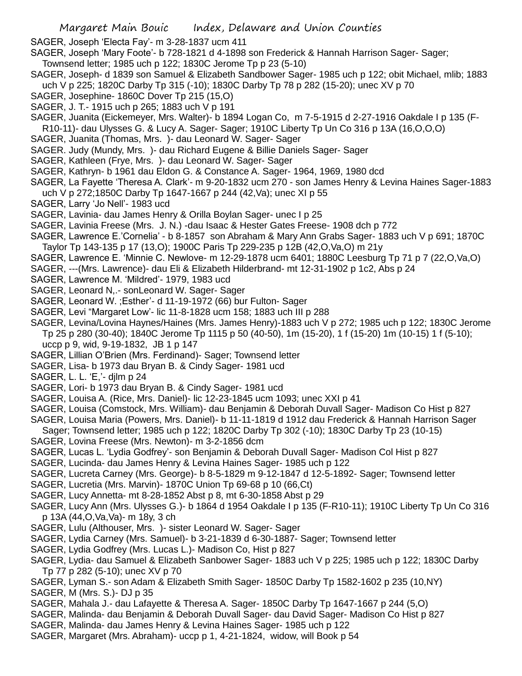SAGER, Joseph 'Electa Fay'- m 3-28-1837 ucm 411

SAGER, Joseph 'Mary Foote'- b 728-1821 d 4-1898 son Frederick & Hannah Harrison Sager- Sager; Townsend letter; 1985 uch p 122; 1830C Jerome Tp p 23 (5-10)

- SAGER, Joseph- d 1839 son Samuel & Elizabeth Sandbower Sager- 1985 uch p 122; obit Michael, mlib; 1883 uch V p 225; 1820C Darby Tp 315 (-10); 1830C Darby Tp 78 p 282 (15-20); unec XV p 70
- SAGER, Josephine- 1860C Dover Tp 215 (15,O)
- SAGER, J. T.- 1915 uch p 265; 1883 uch V p 191
- SAGER, Juanita (Eickemeyer, Mrs. Walter)- b 1894 Logan Co, m 7-5-1915 d 2-27-1916 Oakdale I p 135 (F-
- R10-11)- dau Ulysses G. & Lucy A. Sager- Sager; 1910C Liberty Tp Un Co 316 p 13A (16,O,O,O)
- SAGER, Juanita (Thomas, Mrs. )- dau Leonard W. Sager- Sager
- SAGER. Judy (Mundy, Mrs. )- dau Richard Eugene & Billie Daniels Sager- Sager
- SAGER, Kathleen (Frye, Mrs. )- dau Leonard W. Sager- Sager
- SAGER, Kathryn- b 1961 dau Eldon G. & Constance A. Sager- 1964, 1969, 1980 dcd
- SAGER, La Fayette 'Theresa A. Clark'- m 9-20-1832 ucm 270 son James Henry & Levina Haines Sager-1883
- uch V p 272;1850C Darby Tp 1647-1667 p 244 (42,Va); unec XI p 55
- SAGER, Larry 'Jo Nell'- 1983 ucd
- SAGER, Lavinia- dau James Henry & Orilla Boylan Sager- unec I p 25
- SAGER, Lavinia Freese (Mrs. J. N.) -dau Isaac & Hester Gates Freese- 1908 dch p 772
- SAGER, Lawrence E.'Cornelia' b 8-1857 son Abraham & Mary Ann Grabs Sager- 1883 uch V p 691; 1870C
- Taylor Tp 143-135 p 17 (13,O); 1900C Paris Tp 229-235 p 12B (42,O,Va,O) m 21y
- SAGER, Lawrence E. 'Minnie C. Newlove- m 12-29-1878 ucm 6401; 1880C Leesburg Tp 71 p 7 (22,O,Va,O)
- SAGER, ---(Mrs. Lawrence)- dau Eli & Elizabeth Hilderbrand- mt 12-31-1902 p 1c2, Abs p 24
- SAGER, Lawrence M. 'Mildred'- 1979, 1983 ucd
- SAGER, Leonard N,.- sonLeonard W. Sager- Sager
- SAGER, Leonard W. ;Esther'- d 11-19-1972 (66) bur Fulton- Sager
- SAGER, Levi "Margaret Low'- lic 11-8-1828 ucm 158; 1883 uch III p 288
- SAGER, Levina/Lovina Haynes/Haines (Mrs. James Henry)-1883 uch V p 272; 1985 uch p 122; 1830C Jerome Tp 25 p 280 (30-40); 1840C Jerome Tp 1115 p 50 (40-50), 1m (15-20), 1 f (15-20) 1m (10-15) 1 f (5-10); uccp p 9, wid, 9-19-1832, JB 1 p 147
- SAGER, Lillian O'Brien (Mrs. Ferdinand)- Sager; Townsend letter
- SAGER, Lisa- b 1973 dau Bryan B. & Cindy Sager- 1981 ucd
- SAGER, L. L. 'E,'- djlm p 24
- SAGER, Lori- b 1973 dau Bryan B. & Cindy Sager- 1981 ucd
- SAGER, Louisa A. (Rice, Mrs. Daniel)- lic 12-23-1845 ucm 1093; unec XXI p 41
- SAGER, Louisa (Comstock, Mrs. William)- dau Benjamin & Deborah Duvall Sager- Madison Co Hist p 827
- SAGER, Louisa Maria (Powers, Mrs. Daniel)- b 11-11-1819 d 1912 dau Frederick & Hannah Harrison Sager Sager; Townsend letter; 1985 uch p 122; 1820C Darby Tp 302 (-10); 1830C Darby Tp 23 (10-15)
- SAGER, Lovina Freese (Mrs. Newton)- m 3-2-1856 dcm
- SAGER, Lucas L. 'Lydia Godfrey'- son Benjamin & Deborah Duvall Sager- Madison Col Hist p 827
- SAGER, Lucinda- dau James Henry & Levina Haines Sager- 1985 uch p 122
- SAGER, Lucreta Carney (Mrs. George)- b 8-5-1829 m 9-12-1847 d 12-5-1892- Sager; Townsend letter
- SAGER, Lucretia (Mrs. Marvin)- 1870C Union Tp 69-68 p 10 (66,Ct)
- SAGER, Lucy Annetta- mt 8-28-1852 Abst p 8, mt 6-30-1858 Abst p 29
- SAGER, Lucy Ann (Mrs. Ulysses G.)- b 1864 d 1954 Oakdale I p 135 (F-R10-11); 1910C Liberty Tp Un Co 316 p 13A (44,O,Va,Va)- m 18y, 3 ch
- SAGER, Lulu (Althouser, Mrs. )- sister Leonard W. Sager- Sager
- SAGER, Lydia Carney (Mrs. Samuel)- b 3-21-1839 d 6-30-1887- Sager; Townsend letter
- SAGER, Lydia Godfrey (Mrs. Lucas L.)- Madison Co, Hist p 827
- SAGER, Lydia- dau Samuel & Elizabeth Sanbower Sager- 1883 uch V p 225; 1985 uch p 122; 1830C Darby Tp 77 p 282 (5-10); unec XV p 70
- SAGER, Lyman S.- son Adam & Elizabeth Smith Sager- 1850C Darby Tp 1582-1602 p 235 (10,NY)
- SAGER, M (Mrs. S.)- DJ p 35
- SAGER, Mahala J.- dau Lafayette & Theresa A. Sager- 1850C Darby Tp 1647-1667 p 244 (5,O)
- SAGER, Malinda- dau Benjamin & Deborah Duvall Sager- dau David Sager- Madison Co Hist p 827
- SAGER, Malinda- dau James Henry & Levina Haines Sager- 1985 uch p 122
- SAGER, Margaret (Mrs. Abraham)- uccp p 1, 4-21-1824, widow, will Book p 54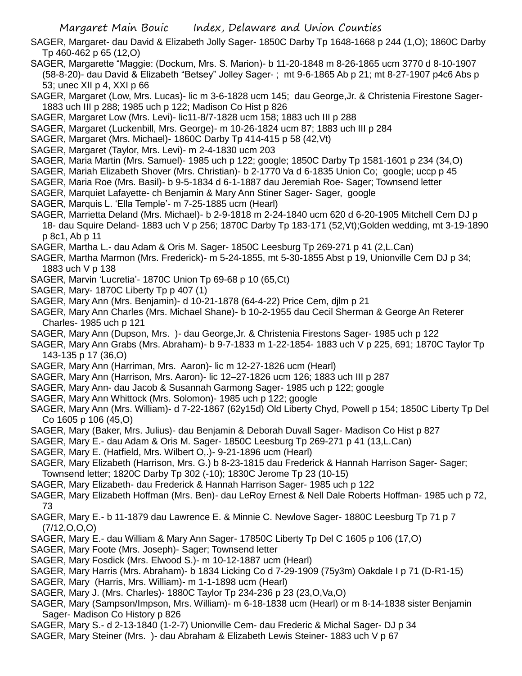SAGER, Margaret- dau David & Elizabeth Jolly Sager- 1850C Darby Tp 1648-1668 p 244 (1,O); 1860C Darby Tp 460-462 p 65 (12,O)

- SAGER, Margarette "Maggie: (Dockum, Mrs. S. Marion)- b 11-20-1848 m 8-26-1865 ucm 3770 d 8-10-1907 (58-8-20)- dau David & Elizabeth "Betsey" Jolley Sager- ; mt 9-6-1865 Ab p 21; mt 8-27-1907 p4c6 Abs p 53; unec XII p 4, XXI p 66
- SAGER, Margaret (Low, Mrs. Lucas)- lic m 3-6-1828 ucm 145; dau George,Jr. & Christenia Firestone Sager-1883 uch III p 288; 1985 uch p 122; Madison Co Hist p 826
- SAGER, Margaret Low (Mrs. Levi)- lic11-8/7-1828 ucm 158; 1883 uch III p 288
- SAGER, Margaret (Luckenbill, Mrs. George)- m 10-26-1824 ucm 87; 1883 uch III p 284
- SAGER, Margaret (Mrs. Michael)- 1860C Darby Tp 414-415 p 58 (42,Vt)
- SAGER, Margaret (Taylor, Mrs. Levi)- m 2-4-1830 ucm 203
- SAGER, Maria Martin (Mrs. Samuel)- 1985 uch p 122; google; 1850C Darby Tp 1581-1601 p 234 (34,O)
- SAGER, Mariah Elizabeth Shover (Mrs. Christian)- b 2-1770 Va d 6-1835 Union Co; google; uccp p 45
- SAGER, Maria Roe (Mrs. Basil)- b 9-5-1834 d 6-1-1887 dau Jeremiah Roe- Sager; Townsend letter
- SAGER, Marquiet Lafayette- ch Benjamin & Mary Ann Stiner Sager- Sager, google
- SAGER, Marquis L. 'Ella Temple'- m 7-25-1885 ucm (Hearl)
- SAGER, Marrietta Deland (Mrs. Michael)- b 2-9-1818 m 2-24-1840 ucm 620 d 6-20-1905 Mitchell Cem DJ p 18- dau Squire Deland- 1883 uch V p 256; 1870C Darby Tp 183-171 (52,Vt);Golden wedding, mt 3-19-1890 p 8c1, Ab p 11
- SAGER, Martha L.- dau Adam & Oris M. Sager- 1850C Leesburg Tp 269-271 p 41 (2,L.Can)
- SAGER, Martha Marmon (Mrs. Frederick)- m 5-24-1855, mt 5-30-1855 Abst p 19, Unionville Cem DJ p 34; 1883 uch V p 138
- SAGER, Marvin 'Lucretia'- 1870C Union Tp 69-68 p 10 (65,Ct)
- SAGER, Mary- 1870C Liberty Tp p 407 (1)
- SAGER, Mary Ann (Mrs. Benjamin)- d 10-21-1878 (64-4-22) Price Cem, djlm p 21
- SAGER, Mary Ann Charles (Mrs. Michael Shane)- b 10-2-1955 dau Cecil Sherman & George An Reterer Charles- 1985 uch p 121
- SAGER, Mary Ann (Dupson, Mrs. )- dau George,Jr. & Christenia Firestons Sager- 1985 uch p 122
- SAGER, Mary Ann Grabs (Mrs. Abraham)- b 9-7-1833 m 1-22-1854- 1883 uch V p 225, 691; 1870C Taylor Tp 143-135 p 17 (36,O)
- SAGER, Mary Ann (Harriman, Mrs. Aaron)- lic m 12-27-1826 ucm (Hearl)
- SAGER, Mary Ann (Harrison, Mrs. Aaron)- lic 12–27-1826 ucm 126; 1883 uch III p 287
- SAGER, Mary Ann- dau Jacob & Susannah Garmong Sager- 1985 uch p 122; google
- SAGER, Mary Ann Whittock (Mrs. Solomon)- 1985 uch p 122; google
- SAGER, Mary Ann (Mrs. William)- d 7-22-1867 (62y15d) Old Liberty Chyd, Powell p 154; 1850C Liberty Tp Del Co 1605 p 106 (45,O)
- SAGER, Mary (Baker, Mrs. Julius)- dau Benjamin & Deborah Duvall Sager- Madison Co Hist p 827
- SAGER, Mary E.- dau Adam & Oris M. Sager- 1850C Leesburg Tp 269-271 p 41 (13,L.Can)
- SAGER, Mary E. (Hatfield, Mrs. Wilbert O,.)- 9-21-1896 ucm (Hearl)
- SAGER, Mary Elizabeth (Harrison, Mrs. G.) b 8-23-1815 dau Frederick & Hannah Harrison Sager- Sager;
- Townsend letter; 1820C Darby Tp 302 (-10); 1830C Jerome Tp 23 (10-15)
- SAGER, Mary Elizabeth- dau Frederick & Hannah Harrison Sager- 1985 uch p 122
- SAGER, Mary Elizabeth Hoffman (Mrs. Ben)- dau LeRoy Ernest & Nell Dale Roberts Hoffman- 1985 uch p 72, 73
- SAGER, Mary E.- b 11-1879 dau Lawrence E. & Minnie C. Newlove Sager- 1880C Leesburg Tp 71 p 7 (7/12,O,O,O)
- SAGER, Mary E.- dau William & Mary Ann Sager- 17850C Liberty Tp Del C 1605 p 106 (17,O)
- SAGER, Mary Foote (Mrs. Joseph)- Sager; Townsend letter
- SAGER, Mary Fosdick (Mrs. Elwood S.)- m 10-12-1887 ucm (Hearl)
- SAGER, Mary Harris (Mrs. Abraham)- b 1834 Licking Co d 7-29-1909 (75y3m) Oakdale I p 71 (D-R1-15)
- SAGER, Mary (Harris, Mrs. William)- m 1-1-1898 ucm (Hearl)
- SAGER, Mary J. (Mrs. Charles)- 1880C Taylor Tp 234-236 p 23 (23,O,Va,O)
- SAGER, Mary (Sampson/Impson, Mrs. William)- m 6-18-1838 ucm (Hearl) or m 8-14-1838 sister Benjamin Sager- Madison Co History p 826
- SAGER, Mary S.- d 2-13-1840 (1-2-7) Unionville Cem- dau Frederic & Michal Sager- DJ p 34
- SAGER, Mary Steiner (Mrs. )- dau Abraham & Elizabeth Lewis Steiner- 1883 uch V p 67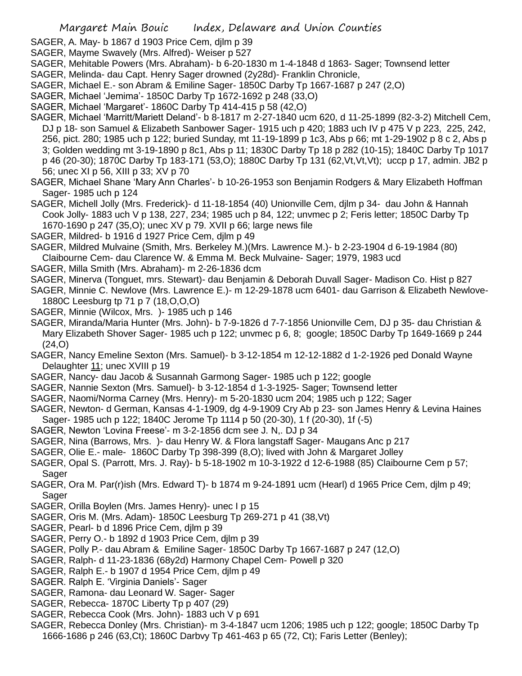- Margaret Main Bouic Index, Delaware and Union Counties
- SAGER, A. May- b 1867 d 1903 Price Cem, djlm p 39
- SAGER, Mayme Swavely (Mrs. Alfred)- Weiser p 527
- SAGER, Mehitable Powers (Mrs. Abraham)- b 6-20-1830 m 1-4-1848 d 1863- Sager; Townsend letter
- SAGER, Melinda- dau Capt. Henry Sager drowned (2y28d)- Franklin Chronicle,
- SAGER, Michael E.- son Abram & Emiline Sager- 1850C Darby Tp 1667-1687 p 247 (2,O)
- SAGER, Michael 'Jemima'- 1850C Darby Tp 1672-1692 p 248 (33,O)
- SAGER, Michael 'Margaret'- 1860C Darby Tp 414-415 p 58 (42,O)
- SAGER, Michael 'Marritt/Mariett Deland'- b 8-1817 m 2-27-1840 ucm 620, d 11-25-1899 (82-3-2) Mitchell Cem, DJ p 18- son Samuel & Elizabeth Sanbower Sager- 1915 uch p 420; 1883 uch IV p 475 V p 223, 225, 242, 256, pict. 280; 1985 uch p 122; buried Sunday, mt 11-19-1899 p 1c3, Abs p 66; mt 1-29-1902 p 8 c 2, Abs p 3; Golden wedding mt 3-19-1890 p 8c1, Abs p 11; 1830C Darby Tp 18 p 282 (10-15); 1840C Darby Tp 1017 p 46 (20-30); 1870C Darby Tp 183-171 (53,O); 1880C Darby Tp 131 (62,Vt,Vt,Vt); uccp p 17, admin. JB2 p 56; unec XI p 56, XIII p 33; XV p 70
- SAGER, Michael Shane 'Mary Ann Charles'- b 10-26-1953 son Benjamin Rodgers & Mary Elizabeth Hoffman Sager- 1985 uch p 124
- SAGER, Michell Jolly (Mrs. Frederick)- d 11-18-1854 (40) Unionville Cem, djlm p 34- dau John & Hannah Cook Jolly- 1883 uch V p 138, 227, 234; 1985 uch p 84, 122; unvmec p 2; Feris letter; 1850C Darby Tp 1670-1690 p 247 (35,O); unec XV p 79. XVII p 66; large news file
- SAGER, Mildred- b 1916 d 1927 Price Cem, djlm p 49
- SAGER, Mildred Mulvaine (Smith, Mrs. Berkeley M.)(Mrs. Lawrence M.)- b 2-23-1904 d 6-19-1984 (80) Claibourne Cem- dau Clarence W. & Emma M. Beck Mulvaine- Sager; 1979, 1983 ucd
- SAGER, Milla Smith (Mrs. Abraham)- m 2-26-1836 dcm
- SAGER, Minerva (Tonguet, mrs. Stewart)- dau Benjamin & Deborah Duvall Sager- Madison Co. Hist p 827
- SAGER, Minnie C. Newlove (Mrs. Lawrence E.)- m 12-29-1878 ucm 6401- dau Garrison & Elizabeth Newlove-1880C Leesburg tp 71 p 7 (18,O,O,O)
- SAGER, Minnie (Wilcox, Mrs. )- 1985 uch p 146
- SAGER, Miranda/Maria Hunter (Mrs. John)- b 7-9-1826 d 7-7-1856 Unionville Cem, DJ p 35- dau Christian & Mary Elizabeth Shover Sager- 1985 uch p 122; unvmec p 6, 8; google; 1850C Darby Tp 1649-1669 p 244 (24,O)
- SAGER, Nancy Emeline Sexton (Mrs. Samuel)- b 3-12-1854 m 12-12-1882 d 1-2-1926 ped Donald Wayne Delaughter 11; unec XVIII p 19
- SAGER, Nancy- dau Jacob & Susannah Garmong Sager- 1985 uch p 122; google
- SAGER, Nannie Sexton (Mrs. Samuel)- b 3-12-1854 d 1-3-1925- Sager; Townsend letter
- SAGER, Naomi/Norma Carney (Mrs. Henry)- m 5-20-1830 ucm 204; 1985 uch p 122; Sager
- SAGER, Newton- d German, Kansas 4-1-1909, dg 4-9-1909 Cry Ab p 23- son James Henry & Levina Haines Sager- 1985 uch p 122; 1840C Jerome Tp 1114 p 50 (20-30), 1 f (20-30), 1f (-5)
- SAGER, Newton 'Lovina Freese'- m 3-2-1856 dcm see J. N,. DJ p 34
- SAGER, Nina (Barrows, Mrs. )- dau Henry W. & Flora langstaff Sager- Maugans Anc p 217
- SAGER, Olie E.- male- 1860C Darby Tp 398-399 (8,O); lived with John & Margaret Jolley
- SAGER, Opal S. (Parrott, Mrs. J. Ray)- b 5-18-1902 m 10-3-1922 d 12-6-1988 (85) Claibourne Cem p 57; Sager
- SAGER, Ora M. Par(r)ish (Mrs. Edward T)- b 1874 m 9-24-1891 ucm (Hearl) d 1965 Price Cem, djlm p 49; Sager
- SAGER, Orilla Boylen (Mrs. James Henry)- unec I p 15
- SAGER, Oris M. (Mrs. Adam)- 1850C Leesburg Tp 269-271 p 41 (38,Vt)
- SAGER, Pearl- b d 1896 Price Cem, djlm p 39
- SAGER, Perry O.- b 1892 d 1903 Price Cem, djlm p 39
- SAGER, Polly P.- dau Abram & Emiline Sager- 1850C Darby Tp 1667-1687 p 247 (12,O)
- SAGER, Ralph- d 11-23-1836 (68y2d) Harmony Chapel Cem- Powell p 320
- SAGER, Ralph E.- b 1907 d 1954 Price Cem, djlm p 49
- SAGER. Ralph E. 'Virginia Daniels'- Sager
- SAGER, Ramona- dau Leonard W. Sager- Sager
- SAGER, Rebecca- 1870C Liberty Tp p 407 (29)
- SAGER, Rebecca Cook (Mrs. John)- 1883 uch V p 691
- SAGER, Rebecca Donley (Mrs. Christian)- m 3-4-1847 ucm 1206; 1985 uch p 122; google; 1850C Darby Tp 1666-1686 p 246 (63,Ct); 1860C Darbvy Tp 461-463 p 65 (72, Ct); Faris Letter (Benley);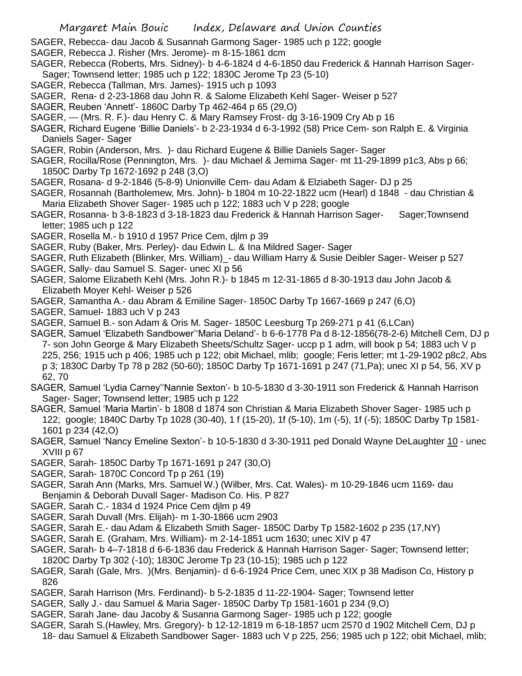SAGER, Rebecca- dau Jacob & Susannah Garmong Sager- 1985 uch p 122; google

- SAGER, Rebecca J. Risher (Mrs. Jerome)- m 8-15-1861 dcm
- SAGER, Rebecca (Roberts, Mrs. Sidney)- b 4-6-1824 d 4-6-1850 dau Frederick & Hannah Harrison Sager-Sager; Townsend letter; 1985 uch p 122; 1830C Jerome Tp 23 (5-10)
- SAGER, Rebecca (Tallman, Mrs. James)- 1915 uch p 1093
- SAGER, Rena- d 2-23-1868 dau John R. & Salome Elizabeth Kehl Sager- Weiser p 527
- SAGER, Reuben 'Annett'- 1860C Darby Tp 462-464 p 65 (29,O)
- SAGER, --- (Mrs. R. F.)- dau Henry C. & Mary Ramsey Frost- dg 3-16-1909 Cry Ab p 16
- SAGER, Richard Eugene 'Billie Daniels'- b 2-23-1934 d 6-3-1992 (58) Price Cem- son Ralph E. & Virginia Daniels Sager- Sager
- SAGER, Robin (Anderson, Mrs. )- dau Richard Eugene & Billie Daniels Sager- Sager
- SAGER, Rocilla/Rose (Pennington, Mrs. )- dau Michael & Jemima Sager- mt 11-29-1899 p1c3, Abs p 66; 1850C Darby Tp 1672-1692 p 248 (3,O)
- SAGER, Rosana- d 9-2-1846 (5-8-9) Unionville Cem- dau Adam & Elziabeth Sager- DJ p 25
- SAGER, Rosannah (Bartholemew, Mrs. John)- b 1804 m 10-22-1822 ucm (Hearl) d 1848 dau Christian & Maria Elizabeth Shover Sager- 1985 uch p 122; 1883 uch V p 228; google
- SAGER, Rosanna- b 3-8-1823 d 3-18-1823 dau Frederick & Hannah Harrison Sager- Sager;Townsend letter; 1985 uch p 122
- SAGER, Rosella M.- b 1910 d 1957 Price Cem, djlm p 39
- SAGER, Ruby (Baker, Mrs. Perley)- dau Edwin L. & Ina Mildred Sager- Sager
- SAGER, Ruth Elizabeth (Blinker, Mrs. William)\_- dau William Harry & Susie Deibler Sager- Weiser p 527
- SAGER, Sally- dau Samuel S. Sager- unec XI p 56
- SAGER, Salome Elizabeth Kehl (Mrs. John R.)- b 1845 m 12-31-1865 d 8-30-1913 dau John Jacob & Elizabeth Moyer Kehl- Weiser p 526
- SAGER, Samantha A.- dau Abram & Emiline Sager- 1850C Darby Tp 1667-1669 p 247 (6,O)
- SAGER, Samuel- 1883 uch V p 243
- SAGER, Samuel B.- son Adam & Oris M. Sager- 1850C Leesburg Tp 269-271 p 41 (6,LCan)
- SAGER, Samuel 'Elizabeth Sandbower''Maria Deland'- b 6-6-1778 Pa d 8-12-1856(78-2-6) Mitchell Cem, DJ p 7- son John George & Mary Elizabeth Sheets/Schultz Sager- uccp p 1 adm, will book p 54; 1883 uch V p 225, 256; 1915 uch p 406; 1985 uch p 122; obit Michael, mlib; google; Feris letter; mt 1-29-1902 p8c2, Abs p 3; 1830C Darby Tp 78 p 282 (50-60); 1850C Darby Tp 1671-1691 p 247 (71,Pa); unec XI p 54, 56, XV p 62, 70
- SAGER, Samuel 'Lydia Carney''Nannie Sexton'- b 10-5-1830 d 3-30-1911 son Frederick & Hannah Harrison Sager- Sager; Townsend letter; 1985 uch p 122
- SAGER, Samuel 'Maria Martin'- b 1808 d 1874 son Christian & Maria Elizabeth Shover Sager- 1985 uch p 122; google; 1840C Darby Tp 1028 (30-40), 1 f (15-20), 1f (5-10), 1m (-5), 1f (-5); 1850C Darby Tp 1581- 1601 p 234 (42,O)
- SAGER, Samuel 'Nancy Emeline Sexton'- b 10-5-1830 d 3-30-1911 ped Donald Wayne DeLaughter 10 unec XVIII p 67
- SAGER, Sarah- 1850C Darby Tp 1671-1691 p 247 (30,O)
- SAGER, Sarah- 1870C Concord Tp p 261 (19)
- SAGER, Sarah Ann (Marks, Mrs. Samuel W.) (Wilber, Mrs. Cat. Wales)- m 10-29-1846 ucm 1169- dau Benjamin & Deborah Duvall Sager- Madison Co. His. P 827
- SAGER, Sarah C.- 1834 d 1924 Price Cem djlm p 49
- SAGER, Sarah Duvall (Mrs. Elijah)- m 1-30-1866 ucm 2903
- SAGER, Sarah E.- dau Adam & Elizabeth Smith Sager- 1850C Darby Tp 1582-1602 p 235 (17,NY)
- SAGER, Sarah E. (Graham, Mrs. William)- m 2-14-1851 ucm 1630; unec XIV p 47
- SAGER, Sarah- b 4–7-1818 d 6-6-1836 dau Frederick & Hannah Harrison Sager- Sager; Townsend letter; 1820C Darby Tp 302 (-10); 1830C Jerome Tp 23 (10-15); 1985 uch p 122
- SAGER, Sarah (Gale, Mrs. )(Mrs. Benjamin)- d 6-6-1924 Price Cem, unec XIX p 38 Madison Co, History p 826
- SAGER, Sarah Harrison (Mrs. Ferdinand)- b 5-2-1835 d 11-22-1904- Sager; Townsend letter
- SAGER, Sally J.- dau Samuel & Maria Sager- 1850C Darby Tp 1581-1601 p 234 (9,O)
- SAGER, Sarah Jane- dau Jacoby & Susanna Garmong Sager- 1985 uch p 122; google
- SAGER, Sarah S.(Hawley, Mrs. Gregory)- b 12-12-1819 m 6-18-1857 ucm 2570 d 1902 Mitchell Cem, DJ p 18- dau Samuel & Elizabeth Sandbower Sager- 1883 uch V p 225, 256; 1985 uch p 122; obit Michael, mlib;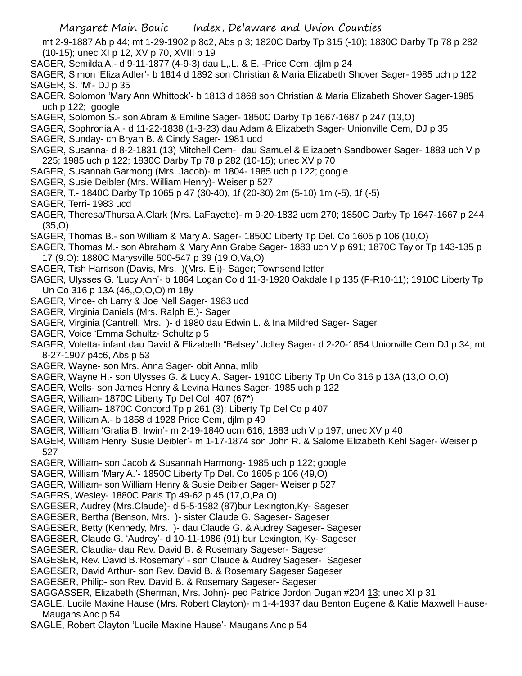mt 2-9-1887 Ab p 44; mt 1-29-1902 p 8c2, Abs p 3; 1820C Darby Tp 315 (-10); 1830C Darby Tp 78 p 282 (10-15); unec XI p 12, XV p 70, XVIII p 19

- SAGER, Semilda A.- d 9-11-1877 (4-9-3) dau L,.L. & E. -Price Cem, djlm p 24
- SAGER, Simon 'Eliza Adler'- b 1814 d 1892 son Christian & Maria Elizabeth Shover Sager- 1985 uch p 122 SAGER, S. 'M'- DJ p 35
- SAGER, Solomon 'Mary Ann Whittock'- b 1813 d 1868 son Christian & Maria Elizabeth Shover Sager-1985 uch p 122; google
- SAGER, Solomon S.- son Abram & Emiline Sager- 1850C Darby Tp 1667-1687 p 247 (13,O)
- SAGER, Sophronia A.- d 11-22-1838 (1-3-23) dau Adam & Elizabeth Sager- Unionville Cem, DJ p 35
- SAGER, Sunday- ch Bryan B. & Cindy Sager- 1981 ucd
- SAGER, Susanna- d 8-2-1831 (13) Mitchell Cem- dau Samuel & Elizabeth Sandbower Sager- 1883 uch V p 225; 1985 uch p 122; 1830C Darby Tp 78 p 282 (10-15); unec XV p 70
- SAGER, Susannah Garmong (Mrs. Jacob)- m 1804- 1985 uch p 122; google
- SAGER, Susie Deibler (Mrs. William Henry)- Weiser p 527
- SAGER, T.- 1840C Darby Tp 1065 p 47 (30-40), 1f (20-30) 2m (5-10) 1m (-5), 1f (-5)
- SAGER, Terri- 1983 ucd
- SAGER, Theresa/Thursa A.Clark (Mrs. LaFayette)- m 9-20-1832 ucm 270; 1850C Darby Tp 1647-1667 p 244 (35,O)
- SAGER, Thomas B.- son William & Mary A. Sager- 1850C Liberty Tp Del. Co 1605 p 106 (10,O)
- SAGER, Thomas M.- son Abraham & Mary Ann Grabe Sager- 1883 uch V p 691; 1870C Taylor Tp 143-135 p 17 (9.O): 1880C Marysville 500-547 p 39 (19,O,Va,O)
- SAGER, Tish Harrison (Davis, Mrs. )(Mrs. Eli)- Sager; Townsend letter
- SAGER, Ulysses G. 'Lucy Ann'- b 1864 Logan Co d 11-3-1920 Oakdale I p 135 (F-R10-11); 1910C Liberty Tp Un Co 316 p 13A (46,,O,O,O) m 18y
- SAGER, Vince- ch Larry & Joe Nell Sager- 1983 ucd
- SAGER, Virginia Daniels (Mrs. Ralph E.)- Sager
- SAGER, Virginia (Cantrell, Mrs. )- d 1980 dau Edwin L. & Ina Mildred Sager- Sager
- SAGER, Voice 'Emma Schultz- Schultz p 5
- SAGER, Voletta- infant dau David & Elizabeth "Betsey" Jolley Sager- d 2-20-1854 Unionville Cem DJ p 34; mt 8-27-1907 p4c6, Abs p 53
- SAGER, Wayne- son Mrs. Anna Sager- obit Anna, mlib
- SAGER, Wayne H.- son Ulysses G. & Lucy A. Sager- 1910C Liberty Tp Un Co 316 p 13A (13,O,O,O)
- SAGER, Wells- son James Henry & Levina Haines Sager- 1985 uch p 122
- SAGER, William- 1870C Liberty Tp Del Col 407 (67\*)
- SAGER, William- 1870C Concord Tp p 261 (3); Liberty Tp Del Co p 407
- SAGER, William A.- b 1858 d 1928 Price Cem, djlm p 49
- SAGER, William 'Gratia B. Irwin'- m 2-19-1840 ucm 616; 1883 uch V p 197; unec XV p 40
- SAGER, William Henry 'Susie Deibler'- m 1-17-1874 son John R. & Salome Elizabeth Kehl Sager- Weiser p 527
- SAGER, William- son Jacob & Susannah Harmong- 1985 uch p 122; google
- SAGER, William 'Mary A.'- 1850C Liberty Tp Del. Co 1605 p 106 (49,O)
- SAGER, William- son William Henry & Susie Deibler Sager- Weiser p 527
- SAGERS, Wesley- 1880C Paris Tp 49-62 p 45 (17,O,Pa,O)
- SAGESER, Audrey (Mrs.Claude)- d 5-5-1982 (87)bur Lexington,Ky- Sageser
- SAGESER, Bertha (Benson, Mrs. )- sister Claude G. Sageser- Sageser
- SAGESER, Betty (Kennedy, Mrs. )- dau Claude G. & Audrey Sageser- Sageser
- SAGESER, Claude G. 'Audrey'- d 10-11-1986 (91) bur Lexington, Ky- Sageser
- SAGESER, Claudia- dau Rev. David B. & Rosemary Sageser- Sageser
- SAGESER, Rev. David B.'Rosemary' son Claude & Audrey Sageser- Sageser
- SAGESER, David Arthur- son Rev. David B. & Rosemary Sageser Sageser
- SAGESER, Philip- son Rev. David B. & Rosemary Sageser- Sageser
- SAGGASSER, Elizabeth (Sherman, Mrs. John)- ped Patrice Jordon Dugan #204 13; unec XI p 31
- SAGLE, Lucile Maxine Hause (Mrs. Robert Clayton)- m 1-4-1937 dau Benton Eugene & Katie Maxwell Hause-Maugans Anc p 54
- SAGLE, Robert Clayton 'Lucile Maxine Hause'- Maugans Anc p 54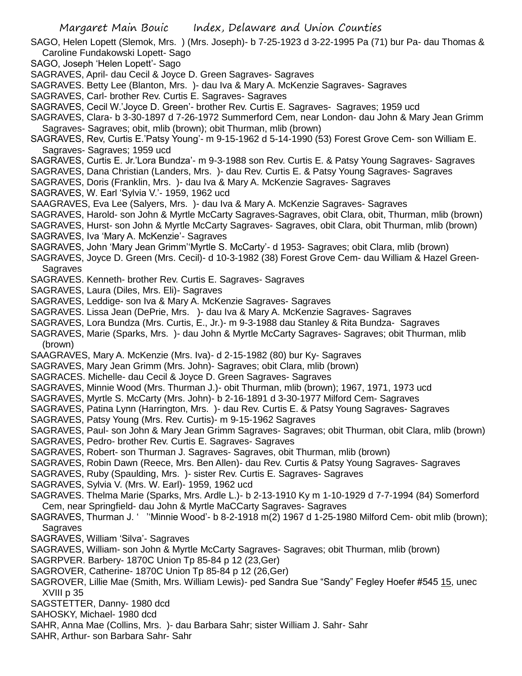- SAGO, Helen Lopett (Slemok, Mrs. ) (Mrs. Joseph)- b 7-25-1923 d 3-22-1995 Pa (71) bur Pa- dau Thomas & Caroline Fundakowski Lopett- Sago
- SAGO, Joseph 'Helen Lopett'- Sago
- SAGRAVES, April- dau Cecil & Joyce D. Green Sagraves- Sagraves
- SAGRAVES. Betty Lee (Blanton, Mrs. )- dau Iva & Mary A. McKenzie Sagraves- Sagraves
- SAGRAVES, Carl- brother Rev. Curtis E. Sagraves- Sagraves
- SAGRAVES, Cecil W.'Joyce D. Green'- brother Rev. Curtis E. Sagraves- Sagraves; 1959 ucd
- SAGRAVES, Clara- b 3-30-1897 d 7-26-1972 Summerford Cem, near London- dau John & Mary Jean Grimm Sagraves- Sagraves; obit, mlib (brown); obit Thurman, mlib (brown)
- SAGRAVES, Rev, Curtis E.'Patsy Young'- m 9-15-1962 d 5-14-1990 (53) Forest Grove Cem- son William E. Sagraves- Sagraves; 1959 ucd
- SAGRAVES, Curtis E. Jr.'Lora Bundza'- m 9-3-1988 son Rev. Curtis E. & Patsy Young Sagraves- Sagraves
- SAGRAVES, Dana Christian (Landers, Mrs. )- dau Rev. Curtis E. & Patsy Young Sagraves- Sagraves

SAGRAVES, Doris (Franklin, Mrs. )- dau Iva & Mary A. McKenzie Sagraves- Sagraves

- SAGRAVES, W. Earl 'Sylvia V.'- 1959, 1962 ucd
- SAAGRAVES, Eva Lee (Salyers, Mrs. )- dau Iva & Mary A. McKenzie Sagraves- Sagraves
- SAGRAVES, Harold- son John & Myrtle McCarty Sagraves-Sagraves, obit Clara, obit, Thurman, mlib (brown)
- SAGRAVES, Hurst- son John & Myrtle McCarty Sagraves- Sagraves, obit Clara, obit Thurman, mlib (brown)
- SAGRAVES, Iva 'Mary A. McKenzie'- Sagraves
- SAGRAVES, John 'Mary Jean Grimm''Myrtle S. McCarty'- d 1953- Sagraves; obit Clara, mlib (brown)
- SAGRAVES, Joyce D. Green (Mrs. Cecil)- d 10-3-1982 (38) Forest Grove Cem- dau William & Hazel Green-**Sagraves**
- SAGRAVES. Kenneth- brother Rev. Curtis E. Sagraves- Sagraves
- SAGRAVES, Laura (Diles, Mrs. Eli)- Sagraves
- SAGRAVES, Leddige- son Iva & Mary A. McKenzie Sagraves- Sagraves
- SAGRAVES. Lissa Jean (DePrie, Mrs. )- dau Iva & Mary A. McKenzie Sagraves- Sagraves
- SAGRAVES, Lora Bundza (Mrs. Curtis, E., Jr.)- m 9-3-1988 dau Stanley & Rita Bundza- Sagraves
- SAGRAVES, Marie (Sparks, Mrs. )- dau John & Myrtle McCarty Sagraves- Sagraves; obit Thurman, mlib (brown)
- SAAGRAVES, Mary A. McKenzie (Mrs. Iva)- d 2-15-1982 (80) bur Ky- Sagraves
- SAGRAVES, Mary Jean Grimm (Mrs. John)- Sagraves; obit Clara, mlib (brown)
- SAGRACES. Michelle- dau Cecil & Joyce D. Green Sagraves- Sagraves
- SAGRAVES, Minnie Wood (Mrs. Thurman J.)- obit Thurman, mlib (brown); 1967, 1971, 1973 ucd
- SAGRAVES, Myrtle S. McCarty (Mrs. John)- b 2-16-1891 d 3-30-1977 Milford Cem- Sagraves
- SAGRAVES, Patina Lynn (Harrington, Mrs. )- dau Rev. Curtis E. & Patsy Young Sagraves- Sagraves
- SAGRAVES, Patsy Young (Mrs. Rev. Curtis)- m 9-15-1962 Sagraves
- SAGRAVES, Paul- son John & Mary Jean Grimm Sagraves- Sagraves; obit Thurman, obit Clara, mlib (brown)
- SAGRAVES, Pedro- brother Rev. Curtis E. Sagraves- Sagraves
- SAGRAVES, Robert- son Thurman J. Sagraves- Sagraves, obit Thurman, mlib (brown)
- SAGRAVES, Robin Dawn (Reece, Mrs. Ben Allen)- dau Rev. Curtis & Patsy Young Sagraves- Sagraves
- SAGRAVES, Ruby (Spaulding, Mrs. )- sister Rev. Curtis E. Sagraves- Sagraves
- SAGRAVES, Sylvia V. (Mrs. W. Earl)- 1959, 1962 ucd
- SAGRAVES. Thelma Marie (Sparks, Mrs. Ardle L.)- b 2-13-1910 Ky m 1-10-1929 d 7-7-1994 (84) Somerford Cem, near Springfield- dau John & Myrtle MaCCarty Sagraves- Sagraves
- SAGRAVES, Thurman J. ' ''Minnie Wood'- b 8-2-1918 m(2) 1967 d 1-25-1980 Milford Cem- obit mlib (brown); Sagraves
- SAGRAVES, William 'Silva'- Sagraves
- SAGRAVES, William- son John & Myrtle McCarty Sagraves- Sagraves; obit Thurman, mlib (brown)
- SAGRPVER. Barbery- 1870C Union Tp 85-84 p 12 (23,Ger)
- SAGROVER, Catherine- 1870C Union Tp 85-84 p 12 (26,Ger)
- SAGROVER, Lillie Mae (Smith, Mrs. William Lewis)- ped Sandra Sue "Sandy" Fegley Hoefer #545 15, unec XVIII p 35
- SAGSTETTER, Danny- 1980 dcd
- SAHOSKY, Michael- 1980 dcd
- SAHR, Anna Mae (Collins, Mrs. )- dau Barbara Sahr; sister William J. Sahr- Sahr
- SAHR, Arthur- son Barbara Sahr- Sahr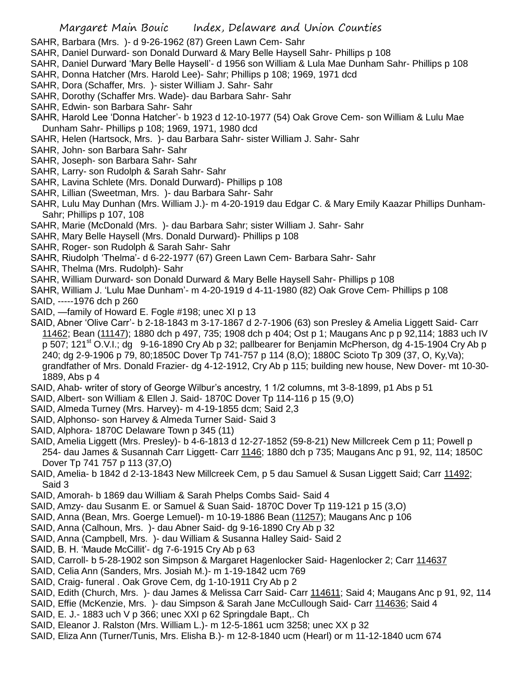- SAHR, Barbara (Mrs. )- d 9-26-1962 (87) Green Lawn Cem- Sahr
- SAHR, Daniel Durward- son Donald Durward & Mary Belle Haysell Sahr- Phillips p 108
- SAHR, Daniel Durward 'Mary Belle Haysell'- d 1956 son William & Lula Mae Dunham Sahr- Phillips p 108
- SAHR, Donna Hatcher (Mrs. Harold Lee)- Sahr; Phillips p 108; 1969, 1971 dcd
- SAHR, Dora (Schaffer, Mrs. )- sister William J. Sahr- Sahr
- SAHR, Dorothy (Schaffer Mrs. Wade)- dau Barbara Sahr- Sahr
- SAHR, Edwin- son Barbara Sahr- Sahr
- SAHR, Harold Lee 'Donna Hatcher'- b 1923 d 12-10-1977 (54) Oak Grove Cem- son William & Lulu Mae Dunham Sahr- Phillips p 108; 1969, 1971, 1980 dcd
- SAHR, Helen (Hartsock, Mrs. )- dau Barbara Sahr- sister William J. Sahr- Sahr
- SAHR, John- son Barbara Sahr- Sahr
- SAHR, Joseph- son Barbara Sahr- Sahr
- SAHR, Larry- son Rudolph & Sarah Sahr- Sahr
- SAHR, Lavina Schlete (Mrs. Donald Durward)- Phillips p 108
- SAHR, Lillian (Sweetman, Mrs. )- dau Barbara Sahr- Sahr
- SAHR, Lulu May Dunhan (Mrs. William J.)- m 4-20-1919 dau Edgar C. & Mary Emily Kaazar Phillips Dunham-Sahr; Phillips p 107, 108
- SAHR, Marie (McDonald (Mrs. )- dau Barbara Sahr; sister William J. Sahr- Sahr
- SAHR, Mary Belle Haysell (Mrs. Donald Durward)- Phillips p 108
- SAHR, Roger- son Rudolph & Sarah Sahr- Sahr
- SAHR, Riudolph 'Thelma'- d 6-22-1977 (67) Green Lawn Cem- Barbara Sahr- Sahr
- SAHR, Thelma (Mrs. Rudolph)- Sahr
- SAHR, William Durward- son Donald Durward & Mary Belle Haysell Sahr- Phillips p 108
- SAHR, William J. 'Lulu Mae Dunham'- m 4-20-1919 d 4-11-1980 (82) Oak Grove Cem- Phillips p 108
- SAID, -----1976 dch p 260
- SAID, —family of Howard E. Fogle #198; unec XI p 13
- SAID, Abner 'Olive Carr'- b 2-18-1843 m 3-17-1867 d 2-7-1906 (63) son Presley & Amelia Liggett Said- Carr 11462; Bean (11147); 1880 dch p 497, 735; 1908 dch p 404; Ost p 1; Maugans Anc p p 92,114; 1883 uch IV p 507; 121 $^{\rm st}$  O.V.I.; dg 9-16-1890 Cry Ab p 32; pallbearer for Benjamin McPherson, dg 4-15-1904 Cry Ab p 240; dg 2-9-1906 p 79, 80;1850C Dover Tp 741-757 p 114 (8,O); 1880C Scioto Tp 309 (37, O, Ky,Va); grandfather of Mrs. Donald Frazier- dg 4-12-1912, Cry Ab p 115; building new house, New Dover- mt 10-30- 1889, Abs p 4
- SAID, Ahab- writer of story of George Wilbur's ancestry, 1 1/2 columns, mt 3-8-1899, p1 Abs p 51
- SAID, Albert- son William & Ellen J. Said- 1870C Dover Tp 114-116 p 15 (9,O)
- SAID, Almeda Turney (Mrs. Harvey)- m 4-19-1855 dcm; Said 2,3
- SAID, Alphonso- son Harvey & Almeda Turner Said- Said 3
- SAID, Alphora- 1870C Delaware Town p 345 (11)
- SAID, Amelia Liggett (Mrs. Presley)- b 4-6-1813 d 12-27-1852 (59-8-21) New Millcreek Cem p 11; Powell p 254- dau James & Susannah Carr Liggett- Carr 1146; 1880 dch p 735; Maugans Anc p 91, 92, 114; 1850C Dover Tp 741 757 p 113 (37,O)
- SAID, Amelia- b 1842 d 2-13-1843 New Millcreek Cem, p 5 dau Samuel & Susan Liggett Said; Carr 11492; Said 3
- SAID, Amorah- b 1869 dau William & Sarah Phelps Combs Said- Said 4
- SAID, Amzy- dau Susanm E. or Samuel & Suan Said- 1870C Dover Tp 119-121 p 15 (3,O)
- SAID, Anna (Bean, Mrs. Goerge Lemuel)- m 10-19-1886 Bean (11257); Maugans Anc p 106
- SAID, Anna (Calhoun, Mrs. )- dau Abner Said- dg 9-16-1890 Cry Ab p 32
- SAID, Anna (Campbell, Mrs. )- dau William & Susanna Halley Said- Said 2
- SAID, B. H. 'Maude McCillit'- dg 7-6-1915 Cry Ab p 63
- SAID, Carroll- b 5-28-1902 son Simpson & Margaret Hagenlocker Said- Hagenlocker 2; Carr 114637
- SAID, Celia Ann (Sanders, Mrs. Josiah M.)- m 1-19-1842 ucm 769
- SAID, Craig- funeral . Oak Grove Cem, dg 1-10-1911 Cry Ab p 2
- SAID, Edith (Church, Mrs.)- dau James & Melissa Carr Said- Carr 114611; Said 4; Maugans Anc p 91, 92, 114
- SAID, Effie (McKenzie, Mrs. )- dau Simpson & Sarah Jane McCullough Said- Carr 114636; Said 4
- SAID, E. J.- 1883 uch V p 366; unec XXI p 62 Springdale Bapt,. Ch
- SAID, Eleanor J. Ralston (Mrs. William L.)- m 12-5-1861 ucm 3258; unec XX p 32
- SAID, Eliza Ann (Turner/Tunis, Mrs. Elisha B.)- m 12-8-1840 ucm (Hearl) or m 11-12-1840 ucm 674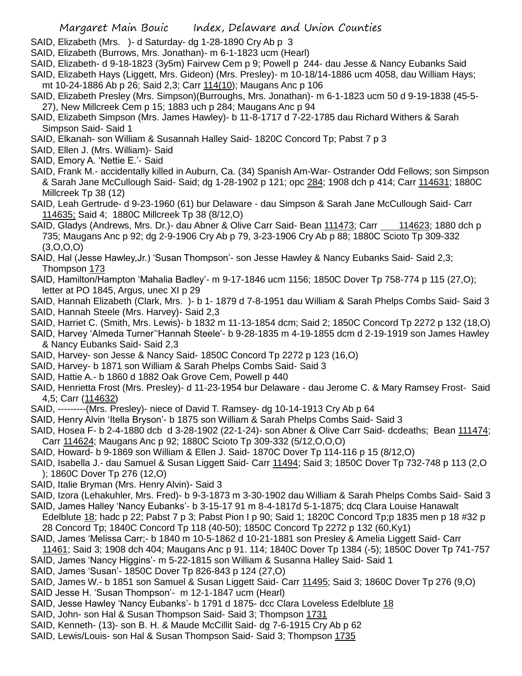- SAID, Elizabeth (Mrs. )- d Saturday- dg 1-28-1890 Cry Ab p 3
- SAID, Elizabeth (Burrows, Mrs. Jonathan)- m 6-1-1823 ucm (Hearl)
- SAID, Elizabeth- d 9-18-1823 (3y5m) Fairvew Cem p 9; Powell p 244- dau Jesse & Nancy Eubanks Said
- SAID, Elizabeth Hays (Liggett, Mrs. Gideon) (Mrs. Presley)- m 10-18/14-1886 ucm 4058, dau William Hays; mt 10-24-1886 Ab p 26; Said 2,3; Carr 114(10); Maugans Anc p 106
- SAID, Elizabeth Presley (Mrs. Simpson)(Burroughs, Mrs. Jonathan)- m 6-1-1823 ucm 50 d 9-19-1838 (45-5- 27), New Millcreek Cem p 15; 1883 uch p 284; Maugans Anc p 94
- SAID, Elizabeth Simpson (Mrs. James Hawley)- b 11-8-1717 d 7-22-1785 dau Richard Withers & Sarah Simpson Said- Said 1
- SAID, Elkanah- son William & Susannah Halley Said- 1820C Concord Tp; Pabst 7 p 3
- SAID, Ellen J. (Mrs. William)- Said
- SAID, Emory A. 'Nettie E.'- Said
- SAID, Frank M.- accidentally killed in Auburn, Ca. (34) Spanish Am-War- Ostrander Odd Fellows; son Simpson & Sarah Jane McCullough Said- Said; dg 1-28-1902 p 121; opc 284; 1908 dch p 414; Carr 114631; 1880C Millcreek Tp 38 (12)
- SAID, Leah Gertrude- d 9-23-1960 (61) bur Delaware dau Simpson & Sarah Jane McCullough Said- Carr 114635; Said 4; 1880C Millcreek Tp 38 (8/12,O)
- SAID, Gladys (Andrews, Mrs. Dr.)- dau Abner & Olive Carr Said- Bean 111473; Carr 114623; 1880 dch p 735; Maugans Anc p 92; dg 2-9-1906 Cry Ab p 79, 3-23-1906 Cry Ab p 88; 1880C Scioto Tp 309-332 (3,O,O,O)
- SAID, Hal (Jesse Hawley,Jr.) 'Susan Thompson'- son Jesse Hawley & Nancy Eubanks Said- Said 2,3; Thompson 173
- SAID, Hamilton/Hampton 'Mahalia Badley'- m 9-17-1846 ucm 1156; 1850C Dover Tp 758-774 p 115 (27,O); letter at PO 1845, Argus, unec XI p 29
- SAID, Hannah Elizabeth (Clark, Mrs. )- b 1- 1879 d 7-8-1951 dau William & Sarah Phelps Combs Said- Said 3 SAID, Hannah Steele (Mrs. Harvey)- Said 2,3
- SAID, Harriet C. (Smith, Mrs. Lewis)- b 1832 m 11-13-1854 dcm; Said 2; 1850C Concord Tp 2272 p 132 (18,O)
- SAID, Harvey 'Almeda Turner''Hannah Steele'- b 9-28-1835 m 4-19-1855 dcm d 2-19-1919 son James Hawley & Nancy Eubanks Said- Said 2,3
- SAID, Harvey- son Jesse & Nancy Said- 1850C Concord Tp 2272 p 123 (16,O)
- SAID, Harvey- b 1871 son William & Sarah Phelps Combs Said- Said 3
- SAID, Hattie A.- b 1860 d 1882 Oak Grove Cem, Powell p 440
- SAID, Henrietta Frost (Mrs. Presley)- d 11-23-1954 bur Delaware dau Jerome C. & Mary Ramsey Frost- Said 4,5; Carr (114632)
- SAID, ---------(Mrs. Presley)- niece of David T. Ramsey- dg 10-14-1913 Cry Ab p 64
- SAID, Henry Alvin 'Itella Bryson'- b 1875 son William & Sarah Phelps Combs Said- Said 3
- SAID, Hosea F- b 2-4-1880 dcb d 3-28-1902 (22-1-24)- son Abner & Olive Carr Said- dcdeaths; Bean 111474; Carr 114624; Maugans Anc p 92; 1880C Scioto Tp 309-332 (5/12,O,O,O)
- SAID, Howard- b 9-1869 son William & Ellen J. Said- 1870C Dover Tp 114-116 p 15 (8/12,O)
- SAID, Isabella J.- dau Samuel & Susan Liggett Said- Carr 11494; Said 3; 1850C Dover Tp 732-748 p 113 (2,O ); 1860C Dover Tp 276 (12,O)
- SAID, Italie Bryman (Mrs. Henry Alvin)- Said 3
- SAID, Izora (Lehakuhler, Mrs. Fred)- b 9-3-1873 m 3-30-1902 dau William & Sarah Phelps Combs Said- Said 3 SAID, James Halley 'Nancy Eubanks'- b 3-15-17 91 m 8-4-1817d 5-1-1875; dcq Clara Louise Hanawalt
- Edelblute 18; hadc p 22; Pabst 7 p 3; Pabst Pion I p 90; Said 1; 1820C Concord Tp;p 1835 men p 18 #32 p 28 Concord Tp; 1840C Concord Tp 118 (40-50); 1850C Concord Tp 2272 p 132 (60,Ky1)
- SAID, James 'Melissa Carr;- b 1840 m 10-5-1862 d 10-21-1881 son Presley & Amelia Liggett Said- Carr 11461; Said 3; 1908 dch 404; Maugans Anc p 91. 114; 1840C Dover Tp 1384 (-5); 1850C Dover Tp 741-757
- SAID, James 'Nancy Higgins'- m 5-22-1815 son William & Susanna Halley Said- Said 1
- SAID, James 'Susan'- 1850C Dover Tp 826-843 p 124 (27,O)
- SAID, James W.- b 1851 son Samuel & Susan Liggett Said- Carr 11495; Said 3; 1860C Dover Tp 276 (9,O)
- SAID Jesse H. 'Susan Thompson'- m 12-1-1847 ucm (Hearl)
- SAID, Jesse Hawley 'Nancy Eubanks'- b 1791 d 1875- dcc Clara Loveless Edelblute 18
- SAID, John- son Hal & Susan Thompson Said- Said 3; Thompson 1731
- SAID, Kenneth- (13)- son B. H. & Maude McCillit Said- dg 7-6-1915 Cry Ab p 62
- SAID, Lewis/Louis- son Hal & Susan Thompson Said- Said 3; Thompson 1735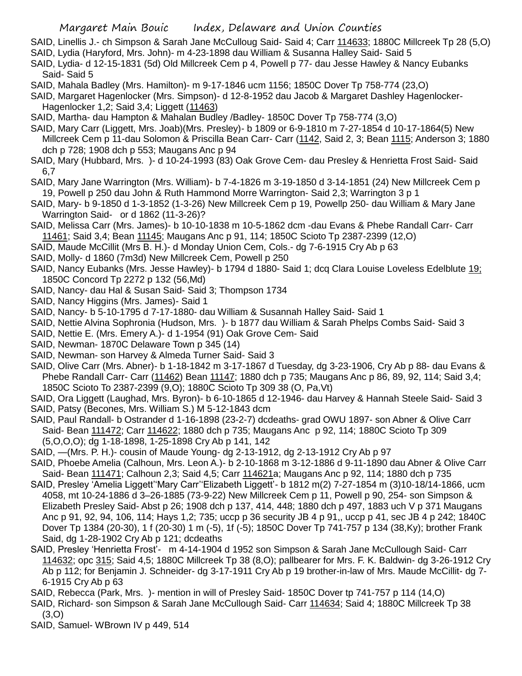- SAID, Linellis J.- ch Simpson & Sarah Jane McCulloug Said- Said 4; Carr 114633; 1880C Millcreek Tp 28 (5,O)
- SAID, Lydia (Haryford, Mrs. John)- m 4-23-1898 dau William & Susanna Halley Said- Said 5
- SAID, Lydia- d 12-15-1831 (5d) Old Millcreek Cem p 4, Powell p 77- dau Jesse Hawley & Nancy Eubanks Said- Said 5
- SAID, Mahala Badley (Mrs. Hamilton)- m 9-17-1846 ucm 1156; 1850C Dover Tp 758-774 (23,O)
- SAID, Margaret Hagenlocker (Mrs. Simpson)- d 12-8-1952 dau Jacob & Margaret Dashley Hagenlocker-Hagenlocker 1,2; Said 3,4; Liggett (11463)
- SAID, Martha- dau Hampton & Mahalan Budley /Badley- 1850C Dover Tp 758-774 (3,O)
- SAID, Mary Carr (Liggett, Mrs. Joab)(Mrs. Presley)- b 1809 or 6-9-1810 m 7-27-1854 d 10-17-1864(5) New Millcreek Cem p 11-dau Solomon & Priscilla Bean Carr- Carr (1142, Said 2, 3; Bean 1115; Anderson 3; 1880 dch p 728; 1908 dch p 553; Maugans Anc p 94
- SAID, Mary (Hubbard, Mrs. )- d 10-24-1993 (83) Oak Grove Cem- dau Presley & Henrietta Frost Said- Said 6,7
- SAID, Mary Jane Warrington (Mrs. William)- b 7-4-1826 m 3-19-1850 d 3-14-1851 (24) New Millcreek Cem p 19, Powell p 250 dau John & Ruth Hammond Morre Warrington- Said 2,3; Warrington 3 p 1
- SAID, Mary- b 9-1850 d 1-3-1852 (1-3-26) New Millcreek Cem p 19, Powellp 250- dau William & Mary Jane Warrington Said- or d 1862 (11-3-26)?
- SAID, Melissa Carr (Mrs. James)- b 10-10-1838 m 10-5-1862 dcm -dau Evans & Phebe Randall Carr- Carr 11461; Said 3,4; Bean 11145; Maugans Anc p 91, 114; 1850C Scioto Tp 2387-2399 (12,O)
- SAID, Maude McCillit (Mrs B. H.)- d Monday Union Cem, Cols.- dg 7-6-1915 Cry Ab p 63
- SAID, Molly- d 1860 (7m3d) New Millcreek Cem, Powell p 250
- SAID, Nancy Eubanks (Mrs. Jesse Hawley)- b 1794 d 1880- Said 1; dcq Clara Louise Loveless Edelblute 19; 1850C Concord Tp 2272 p 132 (56,Md)
- SAID, Nancy- dau Hal & Susan Said- Said 3; Thompson 1734
- SAID, Nancy Higgins (Mrs. James)- Said 1
- SAID, Nancy- b 5-10-1795 d 7-17-1880- dau William & Susannah Halley Said- Said 1
- SAID, Nettie Alvina Sophronia (Hudson, Mrs. )- b 1877 dau William & Sarah Phelps Combs Said- Said 3
- SAID, Nettie E. (Mrs. Emery A.)- d 1-1954 (91) Oak Grove Cem- Said
- SAID, Newman- 1870C Delaware Town p 345 (14)
- SAID, Newman- son Harvey & Almeda Turner Said- Said 3
- SAID, Olive Carr (Mrs. Abner)- b 1-18-1842 m 3-17-1867 d Tuesday, dg 3-23-1906, Cry Ab p 88- dau Evans & Phebe Randall Carr- Carr (11462) Bean 11147; 1880 dch p 735; Maugans Anc p 86, 89, 92, 114; Said 3,4; 1850C Scioto To 2387-2399 (9,O); 1880C Scioto Tp 309 38 (O, Pa,Vt)
- SAID, Ora Liggett (Laughad, Mrs. Byron)- b 6-10-1865 d 12-1946- dau Harvey & Hannah Steele Said- Said 3
- SAID, Patsy (Becones, Mrs. William S.) M 5-12-1843 dcm
- SAID, Paul Randall- b Ostrander d 1-16-1898 (23-2-7) dcdeaths- grad OWU 1897- son Abner & Olive Carr Said- Bean 111472; Carr 114622; 1880 dch p 735; Maugans Anc p 92, 114; 1880C Scioto Tp 309 (5,O,O,O); dg 1-18-1898, 1-25-1898 Cry Ab p 141, 142
- SAID, —(Mrs. P. H.)- cousin of Maude Young- dg 2-13-1912, dg 2-13-1912 Cry Ab p 97
- SAID, Phoebe Amelia (Calhoun, Mrs. Leon A.)- b 2-10-1868 m 3-12-1886 d 9-11-1890 dau Abner & Olive Carr Said- Bean 111471; Calhoun 2,3; Said 4,5; Carr 114621a; Maugans Anc p 92, 114; 1880 dch p 735
- SAID, Presley 'Amelia Liggett''Mary Carr''Elizabeth Liggett'- b 1812 m(2) 7-27-1854 m (3)10-18/14-1866, ucm 4058, mt 10-24-1886 d 3–26-1885 (73-9-22) New Millcreek Cem p 11, Powell p 90, 254- son Simpson & Elizabeth Presley Said- Abst p 26; 1908 dch p 137, 414, 448; 1880 dch p 497, 1883 uch V p 371 Maugans Anc p 91, 92, 94, 106, 114; Hays 1,2; 735; uccp p 36 security JB 4 p 91,, uccp p 41, sec JB 4 p 242; 1840C Dover Tp 1384 (20-30), 1 f (20-30) 1 m (-5), 1f (-5); 1850C Dover Tp 741-757 p 134 (38,Ky); brother Frank Said, dg 1-28-1902 Cry Ab p 121; dcdeaths
- SAID, Presley 'Henrietta Frost'- m 4-14-1904 d 1952 son Simpson & Sarah Jane McCullough Said- Carr 114632; opc 315; Said 4,5; 1880C Millcreek Tp 38 (8,O); pallbearer for Mrs. F. K. Baldwin- dg 3-26-1912 Cry Ab p 112; for Benjamin J. Schneider- dg 3-17-1911 Cry Ab p 19 brother-in-law of Mrs. Maude McCillit- dg 7- 6-1915 Cry Ab p 63
- SAID, Rebecca (Park, Mrs. )- mention in will of Presley Said- 1850C Dover tp 741-757 p 114 (14,O)
- SAID, Richard- son Simpson & Sarah Jane McCullough Said- Carr 114634; Said 4; 1880C Millcreek Tp 38  $(3, 0)$
- SAID, Samuel- WBrown IV p 449, 514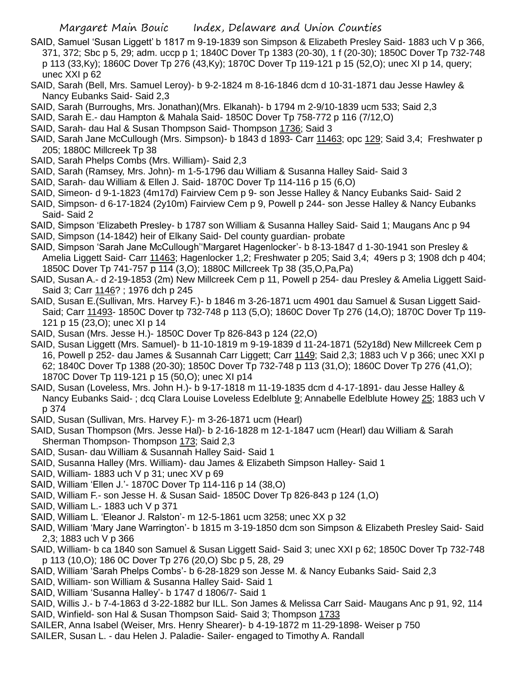- SAID, Samuel 'Susan Liggett' b 1817 m 9-19-1839 son Simpson & Elizabeth Presley Said- 1883 uch V p 366, 371, 372; Sbc p 5, 29; adm. uccp p 1; 1840C Dover Tp 1383 (20-30), 1 f (20-30); 1850C Dover Tp 732-748 p 113 (33,Ky); 1860C Dover Tp 276 (43,Ky); 1870C Dover Tp 119-121 p 15 (52,O); unec XI p 14, query; unec XXI p 62
- SAID, Sarah (Bell, Mrs. Samuel Leroy)- b 9-2-1824 m 8-16-1846 dcm d 10-31-1871 dau Jesse Hawley & Nancy Eubanks Said- Said 2,3
- SAID, Sarah (Burroughs, Mrs. Jonathan)(Mrs. Elkanah)- b 1794 m 2-9/10-1839 ucm 533; Said 2,3
- SAID, Sarah E.- dau Hampton & Mahala Said- 1850C Dover Tp 758-772 p 116 (7/12,O)
- SAID, Sarah- dau Hal & Susan Thompson Said- Thompson 1736; Said 3
- SAID, Sarah Jane McCullough (Mrs. Simpson)- b 1843 d 1893- Carr 11463; opc 129; Said 3,4; Freshwater p 205; 1880C Millcreek Tp 38
- SAID, Sarah Phelps Combs (Mrs. William)- Said 2,3
- SAID, Sarah (Ramsey, Mrs. John)- m 1-5-1796 dau William & Susanna Halley Said- Said 3
- SAID, Sarah- dau William & Ellen J. Said- 1870C Dover Tp 114-116 p 15 (6,O)
- SAID, Simeon- d 9-1-1823 (4m17d) Fairview Cem p 9- son Jesse Halley & Nancy Eubanks Said- Said 2
- SAID, Simpson- d 6-17-1824 (2y10m) Fairview Cem p 9, Powell p 244- son Jesse Halley & Nancy Eubanks Said- Said 2
- SAID, Simpson 'Elizabeth Presley- b 1787 son William & Susanna Halley Said- Said 1; Maugans Anc p 94
- SAID, Simpson (14-1842) heir of Elkany Said- Del county guardian- probate
- SAID, Simpson 'Sarah Jane McCullough''Margaret Hagenlocker'- b 8-13-1847 d 1-30-1941 son Presley & Amelia Liggett Said- Carr 11463; Hagenlocker 1,2; Freshwater p 205; Said 3,4; 49ers p 3; 1908 dch p 404; 1850C Dover Tp 741-757 p 114 (3,O); 1880C Millcreek Tp 38 (35,O,Pa,Pa)
- SAID, Susan A.- d 2-19-1853 (2m) New Millcreek Cem p 11, Powell p 254- dau Presley & Amelia Liggett Said-Said 3; Carr 1146? ; 1976 dch p 245
- SAID, Susan E.(Sullivan, Mrs. Harvey F.)- b 1846 m 3-26-1871 ucm 4901 dau Samuel & Susan Liggett Said-Said; Carr 11493- 1850C Dover tp 732-748 p 113 (5,O); 1860C Dover Tp 276 (14,O); 1870C Dover Tp 119- 121 p 15 (23,O); unec XI p 14
- SAID, Susan (Mrs. Jesse H.)- 1850C Dover Tp 826-843 p 124 (22,O)
- SAID, Susan Liggett (Mrs. Samuel)- b 11-10-1819 m 9-19-1839 d 11-24-1871 (52y18d) New Millcreek Cem p 16, Powell p 252- dau James & Susannah Carr Liggett; Carr 1149; Said 2,3; 1883 uch V p 366; unec XXI p 62; 1840C Dover Tp 1388 (20-30); 1850C Dover Tp 732-748 p 113 (31,O); 1860C Dover Tp 276 (41,O); 1870C Dover Tp 119-121 p 15 (50,O); unec XI p14
- SAID, Susan (Loveless, Mrs. John H.)- b 9-17-1818 m 11-19-1835 dcm d 4-17-1891- dau Jesse Halley & Nancy Eubanks Said- ; dcq Clara Louise Loveless Edelblute 9; Annabelle Edelblute Howey 25; 1883 uch V p 374
- SAID, Susan (Sullivan, Mrs. Harvey F.)- m 3-26-1871 ucm (Hearl)
- SAID, Susan Thompson (Mrs. Jesse Hal)- b 2-16-1828 m 12-1-1847 ucm (Hearl) dau William & Sarah Sherman Thompson- Thompson 173; Said 2,3
- SAID, Susan- dau William & Susannah Halley Said- Said 1
- SAID, Susanna Halley (Mrs. William)- dau James & Elizabeth Simpson Halley- Said 1
- SAID, William- 1883 uch V p 31; unec XV p 69
- SAID, William 'Ellen J.'- 1870C Dover Tp 114-116 p 14 (38,O)
- SAID, William F.- son Jesse H. & Susan Said- 1850C Dover Tp 826-843 p 124 (1,O)
- SAID, William L.- 1883 uch V p 371
- SAID, William L. 'Eleanor J. Ralston'- m 12-5-1861 ucm 3258; unec XX p 32
- SAID, William 'Mary Jane Warrington'- b 1815 m 3-19-1850 dcm son Simpson & Elizabeth Presley Said- Said 2,3; 1883 uch V p 366
- SAID, William- b ca 1840 son Samuel & Susan Liggett Said- Said 3; unec XXI p 62; 1850C Dover Tp 732-748 p 113 (10,O); 186 0C Dover Tp 276 (20,O) Sbc p 5, 28, 29
- SAID, William 'Sarah Phelps Combs'- b 6-28-1829 son Jesse M. & Nancy Eubanks Said- Said 2,3
- SAID, William- son William & Susanna Halley Said- Said 1
- SAID, William 'Susanna Halley'- b 1747 d 1806/7- Said 1
- SAID, Willis J.- b 7-4-1863 d 3-22-1882 bur ILL. Son James & Melissa Carr Said- Maugans Anc p 91, 92, 114 SAID, Winfield- son Hal & Susan Thompson Said- Said 3; Thompson 1733
- SAILER, Anna Isabel (Weiser, Mrs. Henry Shearer)- b 4-19-1872 m 11-29-1898- Weiser p 750
- SAILER, Susan L. dau Helen J. Paladie- Sailer- engaged to Timothy A. Randall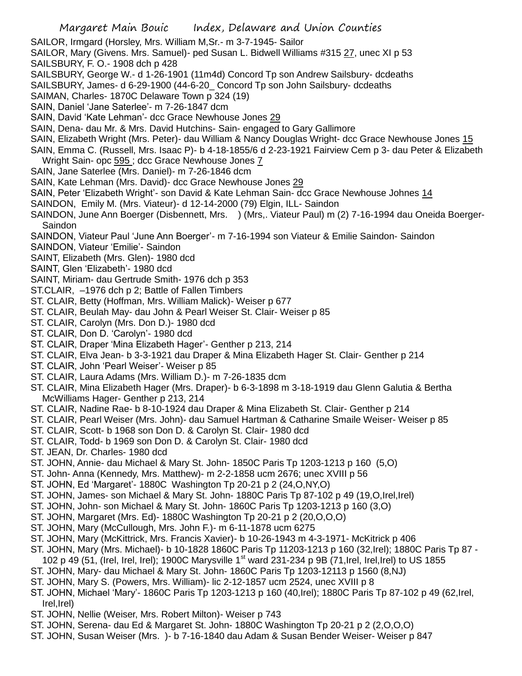SAILOR, Irmgard (Horsley, Mrs. William M,Sr.- m 3-7-1945- Sailor

- SAILOR, Mary (Givens. Mrs. Samuel)- ped Susan L. Bidwell Williams #315 27, unec XI p 53 SAILSBURY, F. O.- 1908 dch p 428
- SAILSBURY, George W.- d 1-26-1901 (11m4d) Concord Tp son Andrew Sailsbury- dcdeaths
- SAILSBURY, James- d 6-29-1900 (44-6-20\_ Concord Tp son John Sailsbury- dcdeaths
- SAIMAN, Charles- 1870C Delaware Town p 324 (19)
- SAIN, Daniel 'Jane Saterlee'- m 7-26-1847 dcm
- SAIN, David 'Kate Lehman'- dcc Grace Newhouse Jones 29
- SAIN, Dena- dau Mr. & Mrs. David Hutchins- Sain- engaged to Gary Gallimore
- SAIN, Elizabeth Wright (Mrs. Peter)- dau William & Nancy Douglas Wright- dcc Grace Newhouse Jones 15
- SAIN, Emma C. (Russell, Mrs. Isaac P)- b 4-18-1855/6 d 2-23-1921 Fairview Cem p 3- dau Peter & Elizabeth Wright Sain- opc 595 ; dcc Grace Newhouse Jones 7
- SAIN, Jane Saterlee (Mrs. Daniel)- m 7-26-1846 dcm
- SAIN, Kate Lehman (Mrs. David)- dcc Grace Newhouse Jones 29
- SAIN, Peter 'Elizabeth Wright'- son David & Kate Lehman Sain- dcc Grace Newhouse Johnes 14
- SAINDON, Emily M. (Mrs. Viateur)- d 12-14-2000 (79) Elgin, ILL- Saindon
- SAINDON, June Ann Boerger (Disbennett, Mrs. ) (Mrs,. Viateur Paul) m (2) 7-16-1994 dau Oneida Boerger-Saindon
- SAINDON, Viateur Paul 'June Ann Boerger'- m 7-16-1994 son Viateur & Emilie Saindon- Saindon
- SAINDON, Viateur 'Emilie'- Saindon
- SAINT, Elizabeth (Mrs. Glen)- 1980 dcd
- SAINT, Glen 'Elizabeth'- 1980 dcd
- SAINT, Miriam- dau Gertrude Smith- 1976 dch p 353
- ST.CLAIR, –1976 dch p 2; Battle of Fallen Timbers
- ST. CLAIR, Betty (Hoffman, Mrs. William Malick)- Weiser p 677
- ST. CLAIR, Beulah May- dau John & Pearl Weiser St. Clair- Weiser p 85
- ST. CLAIR, Carolyn (Mrs. Don D.)- 1980 dcd
- ST. CLAIR, Don D. 'Carolyn'- 1980 dcd
- ST. CLAIR, Draper 'Mina Elizabeth Hager'- Genther p 213, 214
- ST. CLAIR, Elva Jean- b 3-3-1921 dau Draper & Mina Elizabeth Hager St. Clair- Genther p 214
- ST. CLAIR, John 'Pearl Weiser'- Weiser p 85
- ST. CLAIR, Laura Adams (Mrs. William D.)- m 7-26-1835 dcm
- ST. CLAIR, Mina Elizabeth Hager (Mrs. Draper)- b 6-3-1898 m 3-18-1919 dau Glenn Galutia & Bertha McWilliams Hager- Genther p 213, 214
- ST. CLAIR, Nadine Rae- b 8-10-1924 dau Draper & Mina Elizabeth St. Clair- Genther p 214
- ST. CLAIR, Pearl Weiser (Mrs. John)- dau Samuel Hartman & Catharine Smaile Weiser- Weiser p 85
- ST. CLAIR, Scott- b 1968 son Don D. & Carolyn St. Clair- 1980 dcd
- ST. CLAIR, Todd- b 1969 son Don D. & Carolyn St. Clair- 1980 dcd
- ST. JEAN, Dr. Charles- 1980 dcd
- ST. JOHN, Annie- dau Michael & Mary St. John- 1850C Paris Tp 1203-1213 p 160 (5,O)
- ST. John- Anna (Kennedy, Mrs. Matthew)- m 2-2-1858 ucm 2676; unec XVIII p 56
- ST. JOHN, Ed 'Margaret'- 1880C Washington Tp 20-21 p 2 (24,O,NY,O)
- ST. JOHN, James- son Michael & Mary St. John- 1880C Paris Tp 87-102 p 49 (19,O,Irel,Irel)
- ST. JOHN, John- son Michael & Mary St. John- 1860C Paris Tp 1203-1213 p 160 (3,O)
- ST. JOHN, Margaret (Mrs. Ed)- 1880C Washington Tp 20-21 p 2 (20,O,O,O)
- ST. JOHN, Mary (McCullough, Mrs. John F.)- m 6-11-1878 ucm 6275
- ST. JOHN, Mary (McKittrick, Mrs. Francis Xavier)- b 10-26-1943 m 4-3-1971- McKitrick p 406
- ST. JOHN, Mary (Mrs. Michael)- b 10-1828 1860C Paris Tp 11203-1213 p 160 (32,Irel); 1880C Paris Tp 87 -
- 102 p 49 (51, (Irel, Irel, Irel); 1900C Marysville 1<sup>st</sup> ward 231-234 p 9B (71, Irel, Irel, Irel) to US 1855
- ST. JOHN, Mary- dau Michael & Mary St. John- 1860C Paris Tp 1203-12113 p 1560 (8,NJ)
- ST. JOHN, Mary S. (Powers, Mrs. William)- lic 2-12-1857 ucm 2524, unec XVIII p 8
- ST. JOHN, Michael 'Mary'- 1860C Paris Tp 1203-1213 p 160 (40,Irel); 1880C Paris Tp 87-102 p 49 (62,Irel, Irel,Irel)
- ST. JOHN, Nellie (Weiser, Mrs. Robert Milton)- Weiser p 743
- ST. JOHN, Serena- dau Ed & Margaret St. John- 1880C Washington Tp 20-21 p 2 (2,O,O,O)
- ST. JOHN, Susan Weiser (Mrs. )- b 7-16-1840 dau Adam & Susan Bender Weiser- Weiser p 847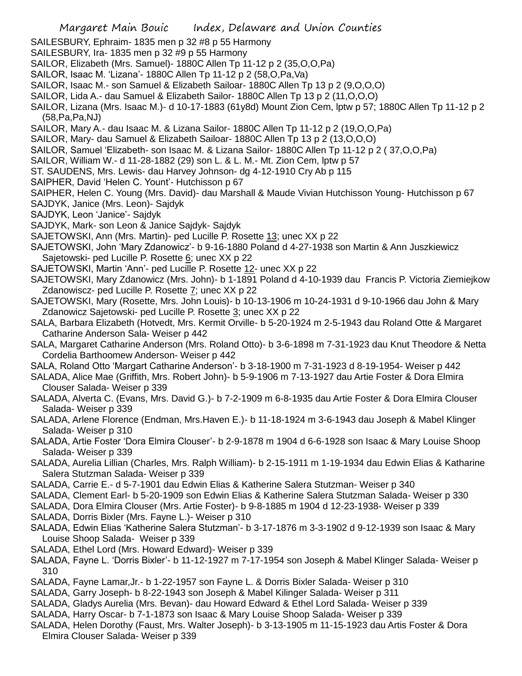- SAILESBURY, Ephraim- 1835 men p 32 #8 p 55 Harmony
- SAILESBURY, Ira- 1835 men p 32 #9 p 55 Harmony
- SAILOR, Elizabeth (Mrs. Samuel)- 1880C Allen Tp 11-12 p 2 (35,O,O,Pa)
- SAILOR, Isaac M. 'Lizana'- 1880C Allen Tp 11-12 p 2 (58,O,Pa,Va)
- SAILOR, Isaac M.- son Samuel & Elizabeth Sailoar- 1880C Allen Tp 13 p 2 (9,O,O,O)
- SAILOR, Lida A.- dau Samuel & Elizabeth Sailor- 1880C Allen Tp 13 p 2 (11,O,O,O)
- SAILOR, Lizana (Mrs. Isaac M.)- d 10-17-1883 (61y8d) Mount Zion Cem, lptw p 57; 1880C Allen Tp 11-12 p 2 (58,Pa,Pa,NJ)
- SAILOR, Mary A.- dau Isaac M. & Lizana Sailor- 1880C Allen Tp 11-12 p 2 (19,O,O,Pa)
- SAILOR, Mary- dau Samuel & Elizabeth Sailoar- 1880C Allen Tp 13 p 2 (13,O,O,O)
- SAILOR, Samuel 'Elizabeth- son Isaac M. & Lizana Sailor- 1880C Allen Tp 11-12 p 2 ( 37,O,O,Pa)
- SAILOR, William W.- d 11-28-1882 (29) son L. & L. M.- Mt. Zion Cem, lptw p 57
- ST. SAUDENS, Mrs. Lewis- dau Harvey Johnson- dg 4-12-1910 Cry Ab p 115
- SAIPHER, David 'Helen C. Yount'- Hutchisson p 67
- SAIPHER, Helen C. Young (Mrs. David)- dau Marshall & Maude Vivian Hutchisson Young- Hutchisson p 67
- SAJDYK, Janice (Mrs. Leon)- Sajdyk
- SAJDYK, Leon 'Janice'- Sajdyk
- SAJDYK, Mark- son Leon & Janice Sajdyk- Sajdyk
- SAJETOWSKI, Ann (Mrs. Martin)- ped Lucille P. Rosette 13; unec XX p 22
- SAJETOWSKI, John 'Mary Zdanowicz'- b 9-16-1880 Poland d 4-27-1938 son Martin & Ann Juszkiewicz Sajetowski- ped Lucille P. Rosette 6; unec XX p 22
- SAJETOWSKI, Martin 'Ann'- ped Lucille P. Rosette 12- unec XX p 22
- SAJETOWSKI, Mary Zdanowicz (Mrs. John)- b 1-1891 Poland d 4-10-1939 dau Francis P. Victoria Ziemiejkow Zdanowiscz- ped Lucille P. Rosette 7; unec XX p 22
- SAJETOWSKI, Mary (Rosette, Mrs. John Louis)- b 10-13-1906 m 10-24-1931 d 9-10-1966 dau John & Mary Zdanowicz Sajetowski- ped Lucille P. Rosette 3; unec XX p 22
- SALA, Barbara Elizabeth (Hotvedt, Mrs. Kermit Orville- b 5-20-1924 m 2-5-1943 dau Roland Otte & Margaret Catharine Anderson Sala- Weiser p 442
- SALA, Margaret Catharine Anderson (Mrs. Roland Otto)- b 3-6-1898 m 7-31-1923 dau Knut Theodore & Netta Cordelia Barthoomew Anderson- Weiser p 442
- SALA, Roland Otto 'Margart Catharine Anderson'- b 3-18-1900 m 7-31-1923 d 8-19-1954- Weiser p 442
- SALADA, Alice Mae (Griffith, Mrs. Robert John)- b 5-9-1906 m 7-13-1927 dau Artie Foster & Dora Elmira Clouser Salada- Weiser p 339
- SALADA, Alverta C. (Evans, Mrs. David G.)- b 7-2-1909 m 6-8-1935 dau Artie Foster & Dora Elmira Clouser Salada- Weiser p 339
- SALADA, Arlene Florence (Endman, Mrs.Haven E.)- b 11-18-1924 m 3-6-1943 dau Joseph & Mabel Klinger Salada- Weiser p 310
- SALADA, Artie Foster 'Dora Elmira Clouser'- b 2-9-1878 m 1904 d 6-6-1928 son Isaac & Mary Louise Shoop Salada- Weiser p 339
- SALADA, Aurelia Lillian (Charles, Mrs. Ralph William)- b 2-15-1911 m 1-19-1934 dau Edwin Elias & Katharine Salera Stutzman Salada- Weiser p 339
- SALADA, Carrie E.- d 5-7-1901 dau Edwin Elias & Katherine Salera Stutzman- Weiser p 340
- SALADA, Clement Earl- b 5-20-1909 son Edwin Elias & Katherine Salera Stutzman Salada- Weiser p 330
- SALADA, Dora Elmira Clouser (Mrs. Artie Foster)- b 9-8-1885 m 1904 d 12-23-1938- Weiser p 339
- SALADA, Dorris Bixler (Mrs. Fayne L.)- Weiser p 310
- SALADA, Edwin Elias 'Katherine Salera Stutzman'- b 3-17-1876 m 3-3-1902 d 9-12-1939 son Isaac & Mary Louise Shoop Salada- Weiser p 339
- SALADA, Ethel Lord (Mrs. Howard Edward)- Weiser p 339
- SALADA, Fayne L. 'Dorris Bixler'- b 11-12-1927 m 7-17-1954 son Joseph & Mabel Klinger Salada- Weiser p 310
- SALADA, Fayne Lamar,Jr.- b 1-22-1957 son Fayne L. & Dorris Bixler Salada- Weiser p 310
- SALADA, Garry Joseph- b 8-22-1943 son Joseph & Mabel Kilinger Salada- Weiser p 311
- SALADA, Gladys Aurelia (Mrs. Bevan)- dau Howard Edward & Ethel Lord Salada- Weiser p 339
- SALADA, Harry Oscar- b 7-1-1873 son Isaac & Mary Louise Shoop Salada- Weiser p 339
- SALADA, Helen Dorothy (Faust, Mrs. Walter Joseph)- b 3-13-1905 m 11-15-1923 dau Artis Foster & Dora Elmira Clouser Salada- Weiser p 339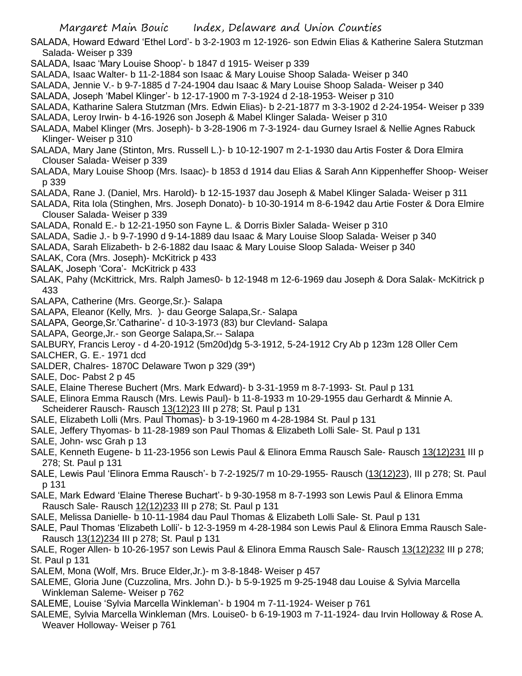SALADA, Howard Edward 'Ethel Lord'- b 3-2-1903 m 12-1926- son Edwin Elias & Katherine Salera Stutzman Salada- Weiser p 339

SALADA, Isaac 'Mary Louise Shoop'- b 1847 d 1915- Weiser p 339

- SALADA, Isaac Walter- b 11-2-1884 son Isaac & Mary Louise Shoop Salada- Weiser p 340
- SALADA, Jennie V.- b 9-7-1885 d 7-24-1904 dau Isaac & Mary Louise Shoop Salada- Weiser p 340

SALADA, Joseph 'Mabel Klinger'- b 12-17-1900 m 7-3-1924 d 2-18-1953- Weiser p 310

- SALADA, Katharine Salera Stutzman (Mrs. Edwin Elias)- b 2-21-1877 m 3-3-1902 d 2-24-1954- Weiser p 339
- SALADA, Leroy Irwin- b 4-16-1926 son Joseph & Mabel Klinger Salada- Weiser p 310
- SALADA, Mabel Klinger (Mrs. Joseph)- b 3-28-1906 m 7-3-1924- dau Gurney Israel & Nellie Agnes Rabuck Klinger- Weiser p 310
- SALADA, Mary Jane (Stinton, Mrs. Russell L.)- b 10-12-1907 m 2-1-1930 dau Artis Foster & Dora Elmira Clouser Salada- Weiser p 339
- SALADA, Mary Louise Shoop (Mrs. Isaac)- b 1853 d 1914 dau Elias & Sarah Ann Kippenheffer Shoop- Weiser p 339
- SALADA, Rane J. (Daniel, Mrs. Harold)- b 12-15-1937 dau Joseph & Mabel Klinger Salada- Weiser p 311
- SALADA, Rita Iola (Stinghen, Mrs. Joseph Donato)- b 10-30-1914 m 8-6-1942 dau Artie Foster & Dora Elmire Clouser Salada- Weiser p 339
- SALADA, Ronald E.- b 12-21-1950 son Fayne L. & Dorris Bixler Salada- Weiser p 310
- SALADA, Sadie J.- b 9-7-1990 d 9-14-1889 dau Isaac & Mary Louise Sloop Salada- Weiser p 340
- SALADA, Sarah Elizabeth- b 2-6-1882 dau Isaac & Mary Louise Sloop Salada- Weiser p 340
- SALAK, Cora (Mrs. Joseph)- McKitrick p 433
- SALAK, Joseph 'Cora'- McKitrick p 433
- SALAK, Pahy (McKittrick, Mrs. Ralph James0- b 12-1948 m 12-6-1969 dau Joseph & Dora Salak- McKitrick p 433
- SALAPA, Catherine (Mrs. George,Sr.)- Salapa
- SALAPA, Eleanor (Kelly, Mrs. )- dau George Salapa,Sr.- Salapa
- SALAPA, George,Sr.'Catharine'- d 10-3-1973 (83) bur Clevland- Salapa
- SALAPA, George,Jr.- son George Salapa,Sr.-- Salapa

SALBURY, Francis Leroy - d 4-20-1912 (5m20d)dg 5-3-1912, 5-24-1912 Cry Ab p 123m 128 Oller Cem

- SALCHER, G. E.- 1971 dcd
- SALDER, Chalres- 1870C Delaware Twon p 329 (39\*)
- SALE, Doc- Pabst 2 p 45
- SALE, Elaine Therese Buchert (Mrs. Mark Edward)- b 3-31-1959 m 8-7-1993- St. Paul p 131
- SALE, Elinora Emma Rausch (Mrs. Lewis Paul)- b 11-8-1933 m 10-29-1955 dau Gerhardt & Minnie A. Scheiderer Rausch- Rausch 13(12)23 III p 278; St. Paul p 131
- SALE, Elizabeth Lolli (Mrs. Paul Thomas)- b 3-19-1960 m 4-28-1984 St. Paul p 131
- SALE, Jeffery Thyomas- b 11-28-1989 son Paul Thomas & Elizabeth Lolli Sale- St. Paul p 131
- SALE, John- wsc Grah p 13
- SALE, Kenneth Eugene- b 11-23-1956 son Lewis Paul & Elinora Emma Rausch Sale- Rausch 13(12)231 III p 278; St. Paul p 131
- SALE, Lewis Paul 'Elinora Emma Rausch'- b 7-2-1925/7 m 10-29-1955- Rausch (13(12)23), III p 278; St. Paul p 131
- SALE, Mark Edward 'Elaine Therese Buchart'- b 9-30-1958 m 8-7-1993 son Lewis Paul & Elinora Emma Rausch Sale- Rausch 12(12)233 III p 278; St. Paul p 131
- SALE, Melissa Danielle- b 10-11-1984 dau Paul Thomas & Elizabeth Lolli Sale- St. Paul p 131
- SALE, Paul Thomas 'Elizabeth Lolli'- b 12-3-1959 m 4-28-1984 son Lewis Paul & Elinora Emma Rausch Sale-Rausch 13(12)234 III p 278; St. Paul p 131
- SALE, Roger Allen- b 10-26-1957 son Lewis Paul & Elinora Emma Rausch Sale- Rausch 13(12)232 III p 278; St. Paul p 131
- SALEM, Mona (Wolf, Mrs. Bruce Elder,Jr.)- m 3-8-1848- Weiser p 457
- SALEME, Gloria June (Cuzzolina, Mrs. John D.)- b 5-9-1925 m 9-25-1948 dau Louise & Sylvia Marcella Winkleman Saleme- Weiser p 762
- SALEME, Louise 'Sylvia Marcella Winkleman'- b 1904 m 7-11-1924- Weiser p 761
- SALEME, Sylvia Marcella Winkleman (Mrs. Louise0- b 6-19-1903 m 7-11-1924- dau Irvin Holloway & Rose A. Weaver Holloway- Weiser p 761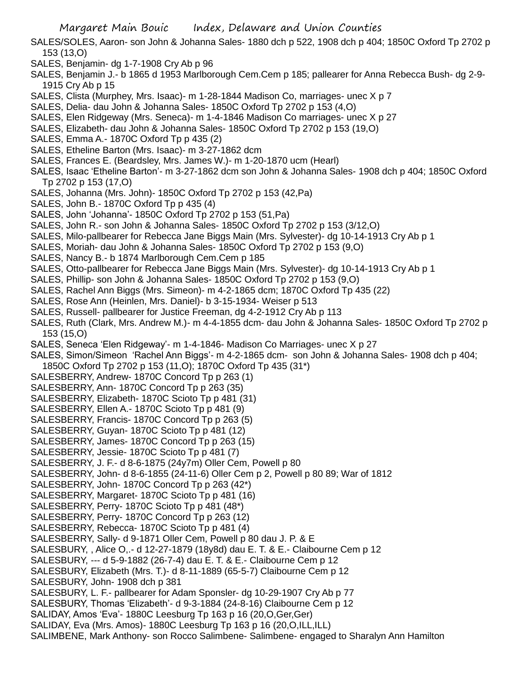- SALES/SOLES, Aaron- son John & Johanna Sales- 1880 dch p 522, 1908 dch p 404; 1850C Oxford Tp 2702 p 153 (13,O)
- SALES, Benjamin- dg 1-7-1908 Cry Ab p 96
- SALES, Benjamin J.- b 1865 d 1953 Marlborough Cem.Cem p 185; pallearer for Anna Rebecca Bush- dg 2-9- 1915 Cry Ab p 15
- SALES, Clista (Murphey, Mrs. Isaac)- m 1-28-1844 Madison Co, marriages- unec X p 7
- SALES, Delia- dau John & Johanna Sales- 1850C Oxford Tp 2702 p 153 (4,O)
- SALES, Elen Ridgeway (Mrs. Seneca)- m 1-4-1846 Madison Co marriages- unec X p 27
- SALES, Elizabeth- dau John & Johanna Sales- 1850C Oxford Tp 2702 p 153 (19,O)
- SALES, Emma A.- 1870C Oxford Tp p 435 (2)
- SALES, Etheline Barton (Mrs. Isaac)- m 3-27-1862 dcm
- SALES, Frances E. (Beardsley, Mrs. James W.)- m 1-20-1870 ucm (Hearl)
- SALES, Isaac 'Etheline Barton'- m 3-27-1862 dcm son John & Johanna Sales- 1908 dch p 404; 1850C Oxford Tp 2702 p 153 (17,O)
- SALES, Johanna (Mrs. John)- 1850C Oxford Tp 2702 p 153 (42,Pa)
- SALES, John B.- 1870C Oxford Tp p 435 (4)
- SALES, John 'Johanna'- 1850C Oxford Tp 2702 p 153 (51,Pa)
- SALES, John R.- son John & Johanna Sales- 1850C Oxford Tp 2702 p 153 (3/12,O)
- SALES, Milo-pallbearer for Rebecca Jane Biggs Main (Mrs. Sylvester)- dg 10-14-1913 Cry Ab p 1
- SALES, Moriah- dau John & Johanna Sales- 1850C Oxford Tp 2702 p 153 (9,O)
- SALES, Nancy B.- b 1874 Marlborough Cem.Cem p 185
- SALES, Otto-pallbearer for Rebecca Jane Biggs Main (Mrs. Sylvester)- dg 10-14-1913 Cry Ab p 1
- SALES, Phillip- son John & Johanna Sales- 1850C Oxford Tp 2702 p 153 (9,O)
- SALES, Rachel Ann Biggs (Mrs. Simeon)- m 4-2-1865 dcm; 1870C Oxford Tp 435 (22)
- SALES, Rose Ann (Heinlen, Mrs. Daniel)- b 3-15-1934- Weiser p 513
- SALES, Russell- pallbearer for Justice Freeman, dg 4-2-1912 Cry Ab p 113
- SALES, Ruth (Clark, Mrs. Andrew M.)- m 4-4-1855 dcm- dau John & Johanna Sales- 1850C Oxford Tp 2702 p 153 (15,O)
- SALES, Seneca 'Elen Ridgeway'- m 1-4-1846- Madison Co Marriages- unec X p 27
- SALES, Simon/Simeon 'Rachel Ann Biggs'- m 4-2-1865 dcm- son John & Johanna Sales- 1908 dch p 404; 1850C Oxford Tp 2702 p 153 (11,O); 1870C Oxford Tp 435 (31\*)
- SALESBERRY, Andrew- 1870C Concord Tp p 263 (1)
- SALESBERRY, Ann- 1870C Concord Tp p 263 (35)
- SALESBERRY, Elizabeth- 1870C Scioto Tp p 481 (31)
- SALESBERRY, Ellen A.- 1870C Scioto Tp p 481 (9)
- SALESBERRY, Francis- 1870C Concord Tp p 263 (5)
- SALESBERRY, Guyan- 1870C Scioto Tp p 481 (12)
- SALESBERRY, James- 1870C Concord Tp p 263 (15)
- SALESBERRY, Jessie- 1870C Scioto Tp p 481 (7)
- SALESBERRY, J. F.- d 8-6-1875 (24y7m) Oller Cem, Powell p 80
- SALESBERRY, John- d 8-6-1855 (24-11-6) Oller Cem p 2, Powell p 80 89; War of 1812
- SALESBERRY, John- 1870C Concord Tp p 263 (42\*)
- SALESBERRY, Margaret- 1870C Scioto Tp p 481 (16)
- SALESBERRY, Perry- 1870C Scioto Tp p 481 (48\*)
- SALESBERRY, Perry- 1870C Concord Tp p 263 (12)
- SALESBERRY, Rebecca- 1870C Scioto Tp p 481 (4)
- SALESBERRY, Sally- d 9-1871 Oller Cem, Powell p 80 dau J. P. & E
- SALESBURY, , Alice O,.- d 12-27-1879 (18y8d) dau E. T. & E.- Claibourne Cem p 12
- SALESBURY, --- d 5-9-1882 (26-7-4) dau E. T. & E.- Claibourne Cem p 12
- SALESBURY, Elizabeth (Mrs. T.)- d 8-11-1889 (65-5-7) Claibourne Cem p 12
- SALESBURY, John- 1908 dch p 381
- SALESBURY, L. F.- pallbearer for Adam Sponsler- dg 10-29-1907 Cry Ab p 77
- SALESBURY, Thomas 'Elizabeth'- d 9-3-1884 (24-8-16) Claibourne Cem p 12
- SALIDAY, Amos 'Eva'- 1880C Leesburg Tp 163 p 16 (20,O,Ger,Ger)
- SALIDAY, Eva (Mrs. Amos)- 1880C Leesburg Tp 163 p 16 (20,O,ILL,ILL)
- SALIMBENE, Mark Anthony- son Rocco Salimbene- Salimbene- engaged to Sharalyn Ann Hamilton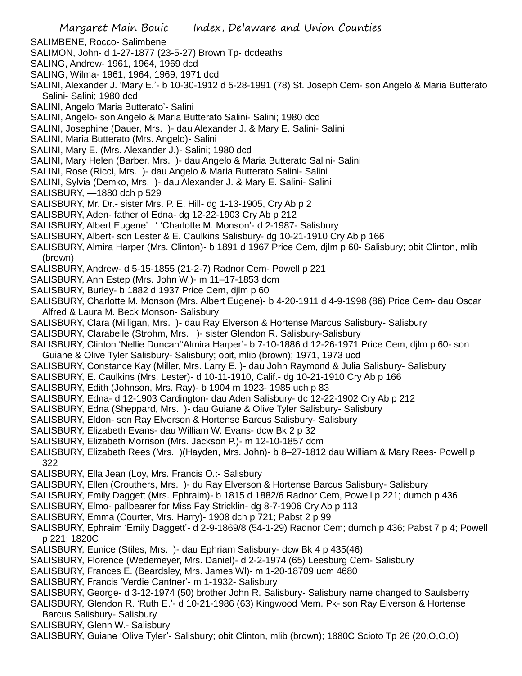- SALIMBENE, Rocco- Salimbene
- SALIMON, John- d 1-27-1877 (23-5-27) Brown Tp- dcdeaths
- SALING, Andrew- 1961, 1964, 1969 dcd
- SALING, Wilma- 1961, 1964, 1969, 1971 dcd
- SALINI, Alexander J. 'Mary E.'- b 10-30-1912 d 5-28-1991 (78) St. Joseph Cem- son Angelo & Maria Butterato Salini- Salini; 1980 dcd
- SALINI, Angelo 'Maria Butterato'- Salini
- SALINI, Angelo- son Angelo & Maria Butterato Salini- Salini; 1980 dcd
- SALINI, Josephine (Dauer, Mrs. )- dau Alexander J. & Mary E. Salini- Salini
- SALINI, Maria Butterato (Mrs. Angelo)- Salini
- SALINI, Mary E. (Mrs. Alexander J.)- Salini; 1980 dcd
- SALINI, Mary Helen (Barber, Mrs. )- dau Angelo & Maria Butterato Salini- Salini
- SALINI, Rose (Ricci, Mrs. )- dau Angelo & Maria Butterato Salini- Salini
- SALINI, Sylvia (Demko, Mrs. )- dau Alexander J. & Mary E. Salini- Salini
- SALISBURY, —1880 dch p 529
- SALISBURY, Mr. Dr.- sister Mrs. P. E. Hill- dg 1-13-1905, Cry Ab p 2
- SALISBURY, Aden- father of Edna- dg 12-22-1903 Cry Ab p 212
- SALISBURY, Albert Eugene' ' 'Charlotte M. Monson'- d 2-1987- Salisbury
- SALISBURY, Albert- son Lester & E. Caulkins Salisbury- dg 10-21-1910 Cry Ab p 166
- SALISBURY, Almira Harper (Mrs. Clinton)- b 1891 d 1967 Price Cem, djlm p 60- Salisbury; obit Clinton, mlib (brown)
- SALISBURY, Andrew- d 5-15-1855 (21-2-7) Radnor Cem- Powell p 221
- SALISBURY, Ann Estep (Mrs. John W.)- m 11–17-1853 dcm
- SALISBURY, Burley- b 1882 d 1937 Price Cem, djlm p 60
- SALISBURY, Charlotte M. Monson (Mrs. Albert Eugene)- b 4-20-1911 d 4-9-1998 (86) Price Cem- dau Oscar Alfred & Laura M. Beck Monson- Salisbury
- SALISBURY, Clara (Milligan, Mrs. )- dau Ray Elverson & Hortense Marcus Salisbury- Salisbury
- SALISBURY, Clarabelle (Strohm, Mrs. )- sister Glendon R. Salisbury-Salisbury
- SALISBURY, Clinton 'Nellie Duncan''Almira Harper'- b 7-10-1886 d 12-26-1971 Price Cem, djlm p 60- son Guiane & Olive Tyler Salisbury- Salisbury; obit, mlib (brown); 1971, 1973 ucd
- SALISBURY, Constance Kay (Miller, Mrs. Larry E. )- dau John Raymond & Julia Salisbury- Salisbury
- SALISBURY, E. Caulkins (Mrs. Lester)- d 10-11-1910, Calif.- dg 10-21-1910 Cry Ab p 166
- SALISBURY, Edith (Johnson, Mrs. Ray)- b 1904 m 1923- 1985 uch p 83
- SALISBURY, Edna- d 12-1903 Cardington- dau Aden Salisbury- dc 12-22-1902 Cry Ab p 212
- SALISBURY, Edna (Sheppard, Mrs. )- dau Guiane & Olive Tyler Salisbury- Salisbury
- SALISBURY, Eldon- son Ray Elverson & Hortense Barcus Salisbury- Salisbury
- SALISBURY, Elizabeth Evans- dau William W. Evans- dcw Bk 2 p 32
- SALISBURY, Elizabeth Morrison (Mrs. Jackson P.)- m 12-10-1857 dcm
- SALISBURY, Elizabeth Rees (Mrs. )(Hayden, Mrs. John)- b 8–27-1812 dau William & Mary Rees- Powell p 322
- SALISBURY, Ella Jean (Loy, Mrs. Francis O.:- Salisbury
- SALISBURY, Ellen (Crouthers, Mrs. )- du Ray Elverson & Hortense Barcus Salisbury- Salisbury
- SALISBURY, Emily Daggett (Mrs. Ephraim)- b 1815 d 1882/6 Radnor Cem, Powell p 221; dumch p 436
- SALISBURY, Elmo- pallbearer for Miss Fay Stricklin- dg 8-7-1906 Cry Ab p 113
- SALISBURY, Emma (Courter, Mrs. Harry)- 1908 dch p 721; Pabst 2 p 99
- SALISBURY, Ephraim 'Emily Daggett'- d 2-9-1869/8 (54-1-29) Radnor Cem; dumch p 436; Pabst 7 p 4; Powell p 221; 1820C
- SALISBURY, Eunice (Stiles, Mrs. )- dau Ephriam Salisbury- dcw Bk 4 p 435(46)
- SALISBURY, Florence (Wedemeyer, Mrs. Daniel)- d 2-2-1974 (65) Leesburg Cem- Salisbury
- SALISBURY, Frances E. (Beardsley, Mrs. James Wl)- m 1-20-18709 ucm 4680
- SALISBURY, Francis 'Verdie Cantner'- m 1-1932- Salisbury
- SALISBURY, George- d 3-12-1974 (50) brother John R. Salisbury- Salisbury name changed to Saulsberry
- SALISBURY, Glendon R. 'Ruth E.'- d 10-21-1986 (63) Kingwood Mem. Pk- son Ray Elverson & Hortense Barcus Salisbury- Salisbury
- SALISBURY, Glenn W.- Salisbury
- SALISBURY, Guiane 'Olive Tyler'- Salisbury; obit Clinton, mlib (brown); 1880C Scioto Tp 26 (20,O,O,O)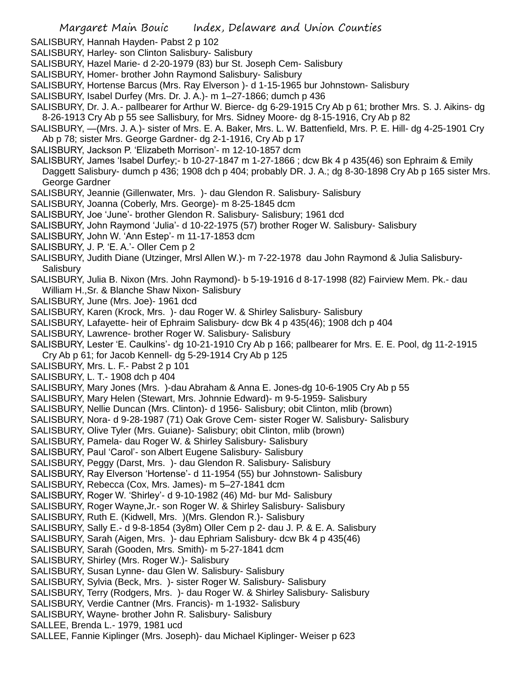- SALISBURY, Hannah Hayden- Pabst 2 p 102
- SALISBURY, Harley- son Clinton Salisbury- Salisbury
- SALISBURY, Hazel Marie- d 2-20-1979 (83) bur St. Joseph Cem- Salisbury
- SALISBURY, Homer- brother John Raymond Salisbury- Salisbury
- SALISBURY, Hortense Barcus (Mrs. Ray Elverson )- d 1-15-1965 bur Johnstown- Salisbury
- SALISBURY, Isabel Durfey (Mrs. Dr. J. A.)- m 1–27-1866; dumch p 436
- SALISBURY, Dr. J. A.- pallbearer for Arthur W. Bierce- dg 6-29-1915 Cry Ab p 61; brother Mrs. S. J. Aikins- dg 8-26-1913 Cry Ab p 55 see Sallisbury, for Mrs. Sidney Moore- dg 8-15-1916, Cry Ab p 82
- SALISBURY, —(Mrs. J. A.)- sister of Mrs. E. A. Baker, Mrs. L. W. Battenfield, Mrs. P. E. Hill- dg 4-25-1901 Cry Ab p 78; sister Mrs. George Gardner- dg 2-1-1916, Cry Ab p 17
- SALISBURY, Jackson P. 'Elizabeth Morrison'- m 12-10-1857 dcm
- SALISBURY, James 'Isabel Durfey;- b 10-27-1847 m 1-27-1866 ; dcw Bk 4 p 435(46) son Ephraim & Emily Daggett Salisbury- dumch p 436; 1908 dch p 404; probably DR. J. A.; dg 8-30-1898 Cry Ab p 165 sister Mrs. George Gardner
- SALISBURY, Jeannie (Gillenwater, Mrs. )- dau Glendon R. Salisbury- Salisbury
- SALISBURY, Joanna (Coberly, Mrs. George)- m 8-25-1845 dcm
- SALISBURY, Joe 'June'- brother Glendon R. Salisbury- Salisbury; 1961 dcd
- SALISBURY, John Raymond 'Julia'- d 10-22-1975 (57) brother Roger W. Salisbury- Salisbury
- SALISBURY, John W. 'Ann Estep'- m 11-17-1853 dcm
- SALISBURY, J. P. 'E. A.'- Oller Cem p 2
- SALISBURY, Judith Diane (Utzinger, Mrsl Allen W.)- m 7-22-1978 dau John Raymond & Julia Salisbury-**Salisbury**
- SALISBURY, Julia B. Nixon (Mrs. John Raymond)- b 5-19-1916 d 8-17-1998 (82) Fairview Mem. Pk.- dau William H.,Sr. & Blanche Shaw Nixon- Salisbury
- SALISBURY, June (Mrs. Joe)- 1961 dcd
- SALISBURY, Karen (Krock, Mrs. )- dau Roger W. & Shirley Salisbury- Salisbury
- SALISBURY, Lafayette- heir of Ephraim Salisbury- dcw Bk 4 p 435(46); 1908 dch p 404
- SALISBURY, Lawrence- brother Roger W. Salisbury- Salisbury
- SALISBURY, Lester 'E. Caulkins'- dg 10-21-1910 Cry Ab p 166; pallbearer for Mrs. E. E. Pool, dg 11-2-1915 Cry Ab p 61; for Jacob Kennell- dg 5-29-1914 Cry Ab p 125
- SALISBURY, Mrs. L. F.- Pabst 2 p 101
- SALISBURY, L. T.- 1908 dch p 404
- SALISBURY, Mary Jones (Mrs. )-dau Abraham & Anna E. Jones-dg 10-6-1905 Cry Ab p 55
- SALISBURY, Mary Helen (Stewart, Mrs. Johnnie Edward)- m 9-5-1959- Salisbury
- SALISBURY, Nellie Duncan (Mrs. Clinton)- d 1956- Salisbury; obit Clinton, mlib (brown)
- SALISBURY, Nora- d 9-28-1987 (71) Oak Grove Cem- sister Roger W. Salisbury- Salisbury
- SALISBURY, Olive Tyler (Mrs. Guiane)- Salisbury; obit Clinton, mlib (brown)
- SALISBURY, Pamela- dau Roger W. & Shirley Salisbury- Salisbury
- SALISBURY, Paul 'Carol'- son Albert Eugene Salisbury- Salisbury
- SALISBURY, Peggy (Darst, Mrs. )- dau Glendon R. Salisbury- Salisbury
- SALISBURY, Ray Elverson 'Hortense'- d 11-1954 (55) bur Johnstown- Salisbury
- SALISBURY, Rebecca (Cox, Mrs. James)- m 5–27-1841 dcm
- SALISBURY, Roger W. 'Shirley'- d 9-10-1982 (46) Md- bur Md- Salisbury
- SALISBURY, Roger Wayne,Jr.- son Roger W. & Shirley Salisbury- Salisbury
- SALISBURY, Ruth E. (Kidwell, Mrs. )(Mrs. Glendon R.)- Salisbury
- SALISBURY, Sally E.- d 9-8-1854 (3y8m) Oller Cem p 2- dau J. P. & E. A. Salisbury
- SALISBURY, Sarah (Aigen, Mrs. )- dau Ephriam Salisbury- dcw Bk 4 p 435(46)
- SALISBURY, Sarah (Gooden, Mrs. Smith)- m 5-27-1841 dcm
- SALISBURY, Shirley (Mrs. Roger W.)- Salisbury
- SALISBURY, Susan Lynne- dau Glen W. Salisbury- Salisbury
- SALISBURY, Sylvia (Beck, Mrs. )- sister Roger W. Salisbury- Salisbury
- SALISBURY, Terry (Rodgers, Mrs. )- dau Roger W. & Shirley Salisbury- Salisbury
- SALISBURY, Verdie Cantner (Mrs. Francis)- m 1-1932- Salisbury
- SALISBURY, Wayne- brother John R. Salisbury- Salisbury
- SALLEE, Brenda L.- 1979, 1981 ucd
- SALLEE, Fannie Kiplinger (Mrs. Joseph)- dau Michael Kiplinger- Weiser p 623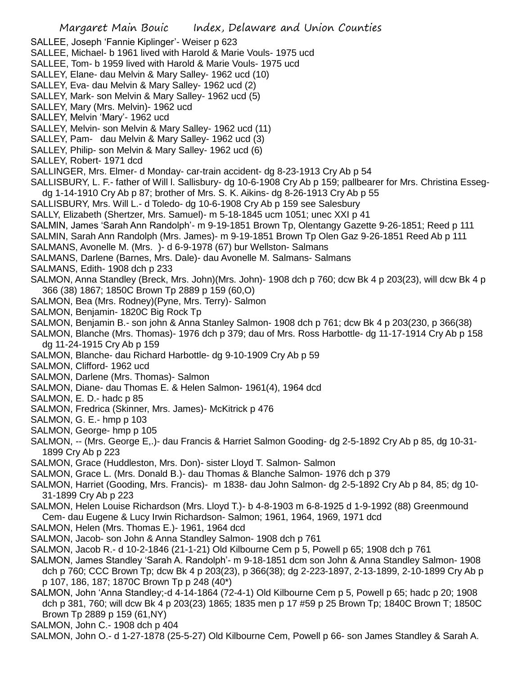- SALLEE, Joseph 'Fannie Kiplinger'- Weiser p 623
- SALLEE, Michael- b 1961 lived with Harold & Marie Vouls- 1975 ucd
- SALLEE, Tom- b 1959 lived with Harold & Marie Vouls- 1975 ucd
- SALLEY, Elane- dau Melvin & Mary Salley- 1962 ucd (10)
- SALLEY, Eva- dau Melvin & Mary Salley- 1962 ucd (2)
- SALLEY, Mark- son Melvin & Mary Salley- 1962 ucd (5)
- SALLEY, Mary (Mrs. Melvin)- 1962 ucd
- SALLEY, Melvin 'Mary'- 1962 ucd
- SALLEY, Melvin- son Melvin & Mary Salley- 1962 ucd (11)
- SALLEY, Pam- dau Melvin & Mary Salley- 1962 ucd (3)
- SALLEY, Philip- son Melvin & Mary Salley- 1962 ucd (6)
- SALLEY, Robert- 1971 dcd
- SALLINGER, Mrs. Elmer- d Monday- car-train accident- dg 8-23-1913 Cry Ab p 54
- SALLISBURY, L. F.- father of Will l. Sallisbury- dg 10-6-1908 Cry Ab p 159; pallbearer for Mrs. Christina Essegdg 1-14-1910 Cry Ab p 87; brother of Mrs. S. K. Aikins- dg 8-26-1913 Cry Ab p 55
- SALLISBURY, Mrs. Will L.- d Toledo- dg 10-6-1908 Cry Ab p 159 see Salesbury
- SALLY, Elizabeth (Shertzer, Mrs. Samuel)- m 5-18-1845 ucm 1051; unec XXI p 41
- SALMIN, James 'Sarah Ann Randolph'- m 9-19-1851 Brown Tp, Olentangy Gazette 9-26-1851; Reed p 111
- SALMIN, Sarah Ann Randolph (Mrs. James)- m 9-19-1851 Brown Tp Olen Gaz 9-26-1851 Reed Ab p 111
- SALMANS, Avonelle M. (Mrs. )- d 6-9-1978 (67) bur Wellston- Salmans
- SALMANS, Darlene (Barnes, Mrs. Dale)- dau Avonelle M. Salmans- Salmans
- SALMANS, Edith- 1908 dch p 233
- SALMON, Anna Standley (Breck, Mrs. John)(Mrs. John)- 1908 dch p 760; dcw Bk 4 p 203(23), will dcw Bk 4 p 366 (38) 1867; 1850C Brown Tp 2889 p 159 (60,O)
- SALMON, Bea (Mrs. Rodney)(Pyne, Mrs. Terry)- Salmon
- SALMON, Benjamin- 1820C Big Rock Tp
- SALMON, Benjamin B.- son john & Anna Stanley Salmon- 1908 dch p 761; dcw Bk 4 p 203(230, p 366(38)
- SALMON, Blanche (Mrs. Thomas)- 1976 dch p 379; dau of Mrs. Ross Harbottle- dg 11-17-1914 Cry Ab p 158 dg 11-24-1915 Cry Ab p 159
- SALMON, Blanche- dau Richard Harbottle- dg 9-10-1909 Cry Ab p 59
- SALMON, Clifford- 1962 ucd
- SALMON, Darlene (Mrs. Thomas)- Salmon
- SALMON, Diane- dau Thomas E. & Helen Salmon- 1961(4), 1964 dcd
- SALMON, E. D.- hadc p 85
- SALMON, Fredrica (Skinner, Mrs. James)- McKitrick p 476
- SALMON, G. E.- hmp p 103
- SALMON, George- hmp p 105
- SALMON, -- (Mrs. George E,.)- dau Francis & Harriet Salmon Gooding- dg 2-5-1892 Cry Ab p 85, dg 10-31- 1899 Cry Ab p 223
- SALMON, Grace (Huddleston, Mrs. Don)- sister Lloyd T. Salmon- Salmon
- SALMON, Grace L. (Mrs. Donald B.)- dau Thomas & Blanche Salmon- 1976 dch p 379
- SALMON, Harriet (Gooding, Mrs. Francis)- m 1838- dau John Salmon- dg 2-5-1892 Cry Ab p 84, 85; dg 10- 31-1899 Cry Ab p 223
- SALMON, Helen Louise Richardson (Mrs. Lloyd T.)- b 4-8-1903 m 6-8-1925 d 1-9-1992 (88) Greenmound Cem- dau Eugene & Lucy Irwin Richardson- Salmon; 1961, 1964, 1969, 1971 dcd
- SALMON, Helen (Mrs. Thomas E.)- 1961, 1964 dcd
- SALMON, Jacob- son John & Anna Standley Salmon- 1908 dch p 761
- SALMON, Jacob R.- d 10-2-1846 (21-1-21) Old Kilbourne Cem p 5, Powell p 65; 1908 dch p 761
- SALMON, James Standley 'Sarah A. Randolph'- m 9-18-1851 dcm son John & Anna Standley Salmon- 1908
- dch p 760; CCC Brown Tp; dcw Bk 4 p 203(23), p 366(38); dg 2-223-1897, 2-13-1899, 2-10-1899 Cry Ab p p 107, 186, 187; 1870C Brown Tp p 248 (40\*)
- SALMON, John 'Anna Standley;-d 4-14-1864 (72-4-1) Old Kilbourne Cem p 5, Powell p 65; hadc p 20; 1908 dch p 381, 760; will dcw Bk 4 p 203(23) 1865; 1835 men p 17 #59 p 25 Brown Tp; 1840C Brown T; 1850C Brown Tp 2889 p 159 (61,NY)
- SALMON, John C.- 1908 dch p 404
- SALMON, John O.- d 1-27-1878 (25-5-27) Old Kilbourne Cem, Powell p 66- son James Standley & Sarah A.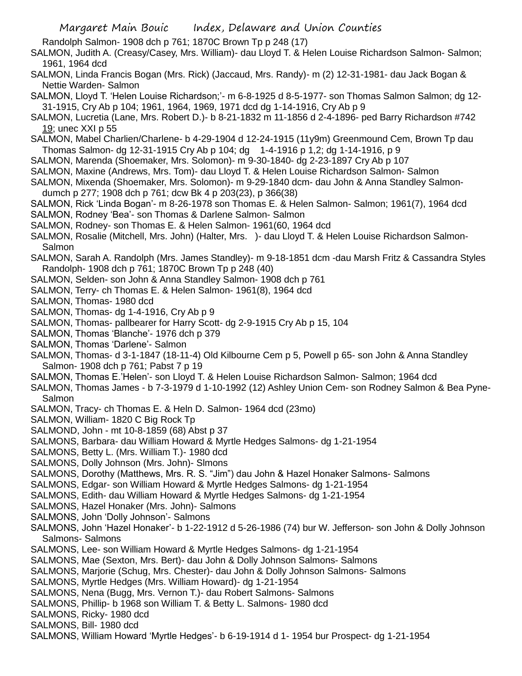Randolph Salmon- 1908 dch p 761; 1870C Brown Tp p 248 (17)

SALMON, Judith A. (Creasy/Casey, Mrs. William)- dau Lloyd T. & Helen Louise Richardson Salmon- Salmon; 1961, 1964 dcd

- SALMON, Linda Francis Bogan (Mrs. Rick) (Jaccaud, Mrs. Randy)- m (2) 12-31-1981- dau Jack Bogan & Nettie Warden- Salmon
- SALMON, Lloyd T. 'Helen Louise Richardson;'- m 6-8-1925 d 8-5-1977- son Thomas Salmon Salmon; dg 12- 31-1915, Cry Ab p 104; 1961, 1964, 1969, 1971 dcd dg 1-14-1916, Cry Ab p 9
- SALMON, Lucretia (Lane, Mrs. Robert D.)- b 8-21-1832 m 11-1856 d 2-4-1896- ped Barry Richardson #742 19; unec XXI p 55
- SALMON, Mabel Charlien/Charlene- b 4-29-1904 d 12-24-1915 (11y9m) Greenmound Cem, Brown Tp dau Thomas Salmon- dg 12-31-1915 Cry Ab p 104; dg 1-4-1916 p 1,2; dg 1-14-1916, p 9
- SALMON, Marenda (Shoemaker, Mrs. Solomon)- m 9-30-1840- dg 2-23-1897 Cry Ab p 107
- SALMON, Maxine (Andrews, Mrs. Tom)- dau Lloyd T. & Helen Louise Richardson Salmon- Salmon
- SALMON, Mixenda (Shoemaker, Mrs. Solomon)- m 9-29-1840 dcm- dau John & Anna Standley Salmondumch p 277; 1908 dch p 761; dcw Bk 4 p 203(23), p 366(38)
- SALMON, Rick 'Linda Bogan'- m 8-26-1978 son Thomas E. & Helen Salmon- Salmon; 1961(7), 1964 dcd
- SALMON, Rodney 'Bea'- son Thomas & Darlene Salmon- Salmon
- SALMON, Rodney- son Thomas E. & Helen Salmon- 1961(60, 1964 dcd
- SALMON, Rosalie (Mitchell, Mrs. John) (Halter, Mrs. )- dau Lloyd T. & Helen Louise Richardson Salmon-Salmon
- SALMON, Sarah A. Randolph (Mrs. James Standley)- m 9-18-1851 dcm -dau Marsh Fritz & Cassandra Styles Randolph- 1908 dch p 761; 1870C Brown Tp p 248 (40)
- SALMON, Selden- son John & Anna Standley Salmon- 1908 dch p 761
- SALMON, Terry- ch Thomas E. & Helen Salmon- 1961(8), 1964 dcd
- SALMON, Thomas- 1980 dcd
- SALMON, Thomas- dg 1-4-1916, Cry Ab p 9
- SALMON, Thomas- pallbearer for Harry Scott- dg 2-9-1915 Cry Ab p 15, 104
- SALMON, Thomas 'Blanche'- 1976 dch p 379
- SALMON, Thomas 'Darlene'- Salmon
- SALMON, Thomas- d 3-1-1847 (18-11-4) Old Kilbourne Cem p 5, Powell p 65- son John & Anna Standley Salmon- 1908 dch p 761; Pabst 7 p 19
- SALMON, Thomas E.'Helen'- son Lloyd T. & Helen Louise Richardson Salmon- Salmon; 1964 dcd
- SALMON, Thomas James b 7-3-1979 d 1-10-1992 (12) Ashley Union Cem- son Rodney Salmon & Bea Pyne-Salmon
- SALMON, Tracy- ch Thomas E. & Heln D. Salmon- 1964 dcd (23mo)
- SALMON, William- 1820 C Big Rock Tp
- SALMOND, John mt 10-8-1859 (68) Abst p 37
- SALMONS, Barbara- dau William Howard & Myrtle Hedges Salmons- dg 1-21-1954
- SALMONS, Betty L. (Mrs. William T.)- 1980 dcd
- SALMONS, Dolly Johnson (Mrs. John)- Slmons
- SALMONS, Dorothy (Matthews, Mrs. R. S. "Jim") dau John & Hazel Honaker Salmons- Salmons
- SALMONS, Edgar- son William Howard & Myrtle Hedges Salmons- dg 1-21-1954
- SALMONS, Edith- dau William Howard & Myrtle Hedges Salmons- dg 1-21-1954
- SALMONS, Hazel Honaker (Mrs. John)- Salmons
- SALMONS, John 'Dolly Johnson'- Salmons
- SALMONS, John 'Hazel Honaker'- b 1-22-1912 d 5-26-1986 (74) bur W. Jefferson- son John & Dolly Johnson Salmons- Salmons
- SALMONS, Lee- son William Howard & Myrtle Hedges Salmons- dg 1-21-1954
- SALMONS, Mae (Sexton, Mrs. Bert)- dau John & Dolly Johnson Salmons- Salmons
- SALMONS, Marjorie (Schug, Mrs. Chester)- dau John & Dolly Johnson Salmons- Salmons
- SALMONS, Myrtle Hedges (Mrs. William Howard)- dg 1-21-1954
- SALMONS, Nena (Bugg, Mrs. Vernon T.)- dau Robert Salmons- Salmons
- SALMONS, Phillip- b 1968 son William T. & Betty L. Salmons- 1980 dcd
- SALMONS, Ricky- 1980 dcd
- SALMONS, Bill- 1980 dcd
- SALMONS, William Howard 'Myrtle Hedges'- b 6-19-1914 d 1- 1954 bur Prospect- dg 1-21-1954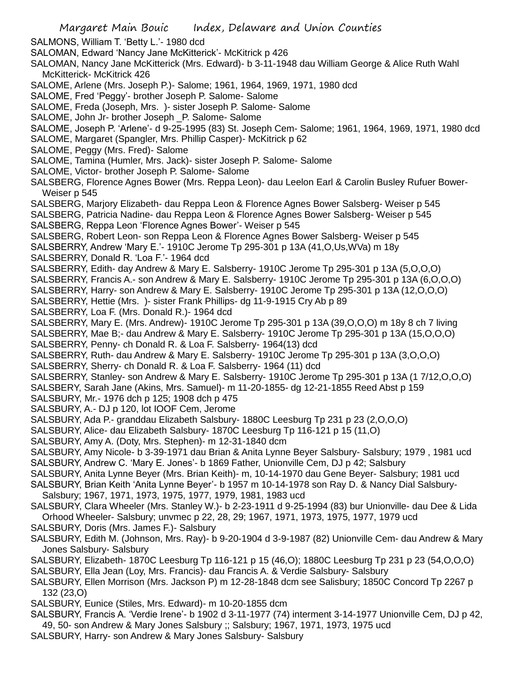- SALMONS, William T. 'Betty L.'- 1980 dcd
- SALOMAN, Edward 'Nancy Jane McKitterick'- McKitrick p 426
- SALOMAN, Nancy Jane McKitterick (Mrs. Edward)- b 3-11-1948 dau William George & Alice Ruth Wahl McKitterick- McKitrick 426
- SALOME, Arlene (Mrs. Joseph P.)- Salome; 1961, 1964, 1969, 1971, 1980 dcd
- SALOME, Fred 'Peggy'- brother Joseph P. Salome- Salome
- SALOME, Freda (Joseph, Mrs. )- sister Joseph P. Salome- Salome
- SALOME, John Jr- brother Joseph \_P. Salome- Salome
- SALOME, Joseph P. 'Arlene'- d 9-25-1995 (83) St. Joseph Cem- Salome; 1961, 1964, 1969, 1971, 1980 dcd
- SALOME, Margaret (Spangler, Mrs. Phillip Casper)- McKitrick p 62
- SALOME, Peggy (Mrs. Fred)- Salome
- SALOME, Tamina (Humler, Mrs. Jack)- sister Joseph P. Salome- Salome
- SALOME, Victor- brother Joseph P. Salome- Salome
- SALSBERG, Florence Agnes Bower (Mrs. Reppa Leon)- dau Leelon Earl & Carolin Busley Rufuer Bower-Weiser p 545
- SALSBERG, Marjory Elizabeth- dau Reppa Leon & Florence Agnes Bower Salsberg- Weiser p 545
- SALSBERG, Patricia Nadine- dau Reppa Leon & Florence Agnes Bower Salsberg- Weiser p 545 SALSBERG, Reppa Leon 'Florence Agnes Bower'- Weiser p 545
- SALSBERG, Robert Leon- son Reppa Leon & Florence Agnes Bower Salsberg- Weiser p 545
- SALSBERRY, Andrew 'Mary E.'- 1910C Jerome Tp 295-301 p 13A (41,O,Us,WVa) m 18y
- SALSBERRY, Donald R. 'Loa F.'- 1964 dcd
- SALSBERRY, Edith- day Andrew & Mary E. Salsberry- 1910C Jerome Tp 295-301 p 13A (5,O,O,O)
- SALSBERRY, Francis A.- son Andrew & Mary E. Salsberry- 1910C Jerome Tp 295-301 p 13A (6,O,O,O)
- SALSBERRY, Harry- son Andrew & Mary E. Salsberry- 1910C Jerome Tp 295-301 p 13A (12,O,O,O)
- SALSBERRY, Hettie (Mrs. )- sister Frank Phillips- dg 11-9-1915 Cry Ab p 89
- SALSBERRY, Loa F. (Mrs. Donald R.)- 1964 dcd
- SALSBERRY, Mary E. (Mrs. Andrew)- 1910C Jerome Tp 295-301 p 13A (39,O,O,O) m 18y 8 ch 7 living
- SALSBERRY, Mae B;- dau Andrew & Mary E. Salsberry- 1910C Jerome Tp 295-301 p 13A (15,O,O,O)
- SALSBERRY, Penny- ch Donald R. & Loa F. Salsberry- 1964(13) dcd
- SALSBERRY, Ruth- dau Andrew & Mary E. Salsberry- 1910C Jerome Tp 295-301 p 13A (3,O,O,O)
- SALSBERRY, Sherry- ch Donald R. & Loa F. Salsberry- 1964 (11) dcd
- SALSBERRY, Stanley- son Andrew & Mary E. Salsberry- 1910C Jerome Tp 295-301 p 13A (1 7/12,O,O,O)
- SALSBERY, Sarah Jane (Akins, Mrs. Samuel)- m 11-20-1855- dg 12-21-1855 Reed Abst p 159
- SALSBURY, Mr.- 1976 dch p 125; 1908 dch p 475
- SALSBURY, A.- DJ p 120, lot IOOF Cem, Jerome
- SALSBURY, Ada P.- granddau Elizabeth Salsbury- 1880C Leesburg Tp 231 p 23 (2,O,O,O)
- SALSBURY, Alice- dau Elizabeth Salsbury- 1870C Leesburg Tp 116-121 p 15 (11,O)
- SALSBURY, Amy A. (Doty, Mrs. Stephen)- m 12-31-1840 dcm
- SALSBURY, Amy Nicole- b 3-39-1971 dau Brian & Anita Lynne Beyer Salsbury- Salsbury; 1979 , 1981 ucd SALSBURY, Andrew C. 'Mary E. Jones'- b 1869 Father, Unionville Cem, DJ p 42; Salsbury
- SALSBURY, Anita Lynne Beyer (Mrs. Brian Keith)- m, 10-14-1970 dau Gene Beyer- Salsbury; 1981 ucd
- SALSBURY, Brian Keith 'Anita Lynne Beyer'- b 1957 m 10-14-1978 son Ray D. & Nancy Dial Salsbury-Salsbury; 1967, 1971, 1973, 1975, 1977, 1979, 1981, 1983 ucd
- SALSBURY, Clara Wheeler (Mrs. Stanley W.)- b 2-23-1911 d 9-25-1994 (83) bur Unionville- dau Dee & Lida Orhood Wheeler- Salsbury; unvmec p 22, 28, 29; 1967, 1971, 1973, 1975, 1977, 1979 ucd
- SALSBURY, Doris (Mrs. James F.)- Salsbury
- SALSBURY, Edith M. (Johnson, Mrs. Ray)- b 9-20-1904 d 3-9-1987 (82) Unionville Cem- dau Andrew & Mary Jones Salsbury- Salsbury
- SALSBURY, Elizabeth- 1870C Leesburg Tp 116-121 p 15 (46,O); 1880C Leesburg Tp 231 p 23 (54,O,O,O)
- SALSBURY, Ella Jean (Loy, Mrs. Francis)- dau Francis A. & Verdie Salsbury- Salsbury
- SALSBURY, Ellen Morrison (Mrs. Jackson P) m 12-28-1848 dcm see Salisbury; 1850C Concord Tp 2267 p 132 (23,O)
- SALSBURY, Eunice (Stiles, Mrs. Edward)- m 10-20-1855 dcm
- SALSBURY, Francis A. 'Verdie Irene'- b 1902 d 3-11-1977 (74) interment 3-14-1977 Unionville Cem, DJ p 42, 49, 50- son Andrew & Mary Jones Salsbury ;; Salsbury; 1967, 1971, 1973, 1975 ucd
- SALSBURY, Harry- son Andrew & Mary Jones Salsbury- Salsbury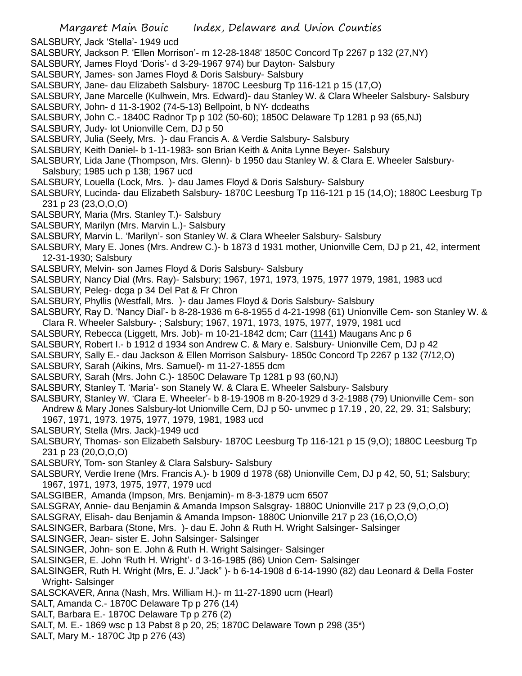- SALSBURY, Jack 'Stella'- 1949 ucd
- SALSBURY, Jackson P. 'Ellen Morrison'- m 12-28-1848' 1850C Concord Tp 2267 p 132 (27,NY)
- SALSBURY, James Floyd 'Doris'- d 3-29-1967 974) bur Dayton- Salsbury
- SALSBURY, James- son James Floyd & Doris Salsbury- Salsbury
- SALSBURY, Jane- dau Elizabeth Salsbury- 1870C Leesburg Tp 116-121 p 15 (17,O)
- SALSBURY, Jane Marcelle (Kulhwein, Mrs. Edward)- dau Stanley W. & Clara Wheeler Salsbury- Salsbury
- SALSBURY, John- d 11-3-1902 (74-5-13) Bellpoint, b NY- dcdeaths
- SALSBURY, John C.- 1840C Radnor Tp p 102 (50-60); 1850C Delaware Tp 1281 p 93 (65,NJ)
- SALSBURY, Judy- lot Unionville Cem, DJ p 50
- SALSBURY, Julia (Seely, Mrs. )- dau Francis A. & Verdie Salsbury- Salsbury
- SALSBURY, Keith Daniel- b 1-11-1983- son Brian Keith & Anita Lynne Beyer- Salsbury
- SALSBURY, Lida Jane (Thompson, Mrs. Glenn)- b 1950 dau Stanley W. & Clara E. Wheeler Salsbury-Salsbury; 1985 uch p 138; 1967 ucd
- SALSBURY, Louella (Lock, Mrs. )- dau James Floyd & Doris Salsbury- Salsbury
- SALSBURY, Lucinda- dau Elizabeth Salsbury- 1870C Leesburg Tp 116-121 p 15 (14,O); 1880C Leesburg Tp 231 p 23 (23,O,O,O)
- SALSBURY, Maria (Mrs. Stanley T.)- Salsbury
- SALSBURY, Marilyn (Mrs. Marvin L.)- Salsbury
- SALSBURY, Marvin L. 'Marilyn'- son Stanley W. & Clara Wheeler Salsbury- Salsbury
- SALSBURY, Mary E. Jones (Mrs. Andrew C.)- b 1873 d 1931 mother, Unionville Cem, DJ p 21, 42, interment 12-31-1930; Salsbury
- SALSBURY, Melvin- son James Floyd & Doris Salsbury- Salsbury
- SALSBURY, Nancy Dial (Mrs. Ray)- Salsbury; 1967, 1971, 1973, 1975, 1977 1979, 1981, 1983 ucd
- SALSBURY, Peleg- dcga p 34 Del Pat & Fr Chron
- SALSBURY, Phyllis (Westfall, Mrs. )- dau James Floyd & Doris Salsbury- Salsbury
- SALSBURY, Ray D. 'Nancy Dial'- b 8-28-1936 m 6-8-1955 d 4-21-1998 (61) Unionville Cem- son Stanley W. & Clara R. Wheeler Salsbury- ; Salsbury; 1967, 1971, 1973, 1975, 1977, 1979, 1981 ucd
- SALSBURY, Rebecca (Liggett, Mrs. Job)- m 10-21-1842 dcm; Carr (1141) Maugans Anc p 6
- SALSBURY, Robert I.- b 1912 d 1934 son Andrew C. & Mary e. Salsbury- Unionville Cem, DJ p 42
- SALSBURY, Sally E.- dau Jackson & Ellen Morrison Salsbury- 1850c Concord Tp 2267 p 132 (7/12,O)
- SALSBURY, Sarah (Aikins, Mrs. Samuel)- m 11-27-1855 dcm
- SALSBURY, Sarah (Mrs. John C.)- 1850C Delaware Tp 1281 p 93 (60,NJ)
- SALSBURY, Stanley T. 'Maria'- son Stanely W. & Clara E. Wheeler Salsbury- Salsbury
- SALSBURY, Stanley W. 'Clara E. Wheeler'- b 8-19-1908 m 8-20-1929 d 3-2-1988 (79) Unionville Cem- son Andrew & Mary Jones Salsbury-lot Unionville Cem, DJ p 50- unvmec p 17.19 , 20, 22, 29. 31; Salsbury; 1967, 1971, 1973. 1975, 1977, 1979, 1981, 1983 ucd
- SALSBURY, Stella (Mrs. Jack)-1949 ucd
- SALSBURY, Thomas- son Elizabeth Salsbury- 1870C Leesburg Tp 116-121 p 15 (9,O); 1880C Leesburg Tp 231 p 23 (20,O,O,O)
- SALSBURY, Tom- son Stanley & Clara Salsbury- Salsbury
- SALSBURY, Verdie Irene (Mrs. Francis A.)- b 1909 d 1978 (68) Unionville Cem, DJ p 42, 50, 51; Salsbury; 1967, 1971, 1973, 1975, 1977, 1979 ucd
- SALSGIBER, Amanda (Impson, Mrs. Benjamin)- m 8-3-1879 ucm 6507
- SALSGRAY, Annie- dau Benjamin & Amanda Impson Salsgray- 1880C Unionville 217 p 23 (9,O,O,O)
- SALSGRAY, Elisah- dau Benjamin & Amanda Impson- 1880C Unionville 217 p 23 (16,O,O,O)
- SALSINGER, Barbara (Stone, Mrs. )- dau E. John & Ruth H. Wright Salsinger- Salsinger
- SALSINGER, Jean- sister E. John Salsinger- Salsinger
- SALSINGER, John- son E. John & Ruth H. Wright Salsinger- Salsinger
- SALSINGER, E. John 'Ruth H. Wright'- d 3-16-1985 (86) Union Cem- Salsinger
- SALSINGER, Ruth H. Wright (Mrs, E. J."Jack" )- b 6-14-1908 d 6-14-1990 (82) dau Leonard & Della Foster Wright- Salsinger
- SALSCKAVER, Anna (Nash, Mrs. William H.)- m 11-27-1890 ucm (Hearl)
- SALT, Amanda C.- 1870C Delaware Tp p 276 (14)
- SALT, Barbara E.- 1870C Delaware Tp p 276 (2)
- SALT, M. E.- 1869 wsc p 13 Pabst 8 p 20, 25; 1870C Delaware Town p 298 (35\*)
- SALT, Mary M.- 1870C Jtp p 276 (43)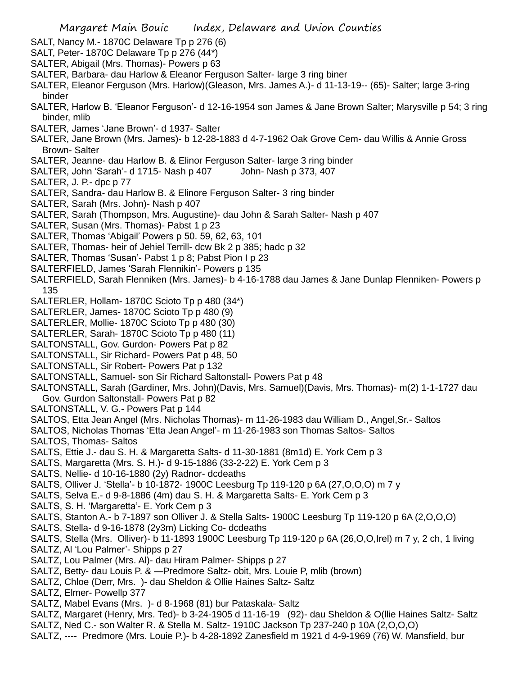- SALT, Nancy M.- 1870C Delaware Tp p 276 (6)
- SALT, Peter- 1870C Delaware Tp p 276 (44\*)
- SALTER, Abigail (Mrs. Thomas)- Powers p 63
- SALTER, Barbara- dau Harlow & Eleanor Ferguson Salter- large 3 ring biner
- SALTER, Eleanor Ferguson (Mrs. Harlow)(Gleason, Mrs. James A.)- d 11-13-19-- (65)- Salter; large 3-ring binder
- SALTER, Harlow B. 'Eleanor Ferguson'- d 12-16-1954 son James & Jane Brown Salter; Marysville p 54; 3 ring binder, mlib
- SALTER, James 'Jane Brown'- d 1937- Salter
- SALTER, Jane Brown (Mrs. James)- b 12-28-1883 d 4-7-1962 Oak Grove Cem- dau Willis & Annie Gross Brown- Salter
- SALTER, Jeanne- dau Harlow B. & Elinor Ferguson Salter- large 3 ring binder
- SALTER, John 'Sarah'- d 1715- Nash p 407 John- Nash p 373, 407
- SALTER, J. P.- dpc p 77
- SALTER, Sandra- dau Harlow B. & Elinore Ferguson Salter- 3 ring binder
- SALTER, Sarah (Mrs. John)- Nash p 407
- SALTER, Sarah (Thompson, Mrs. Augustine)- dau John & Sarah Salter- Nash p 407
- SALTER, Susan (Mrs. Thomas)- Pabst 1 p 23
- SALTER, Thomas 'Abigail' Powers p 50. 59, 62, 63, 101
- SALTER, Thomas- heir of Jehiel Terrill- dcw Bk 2 p 385; hadc p 32
- SALTER, Thomas 'Susan'- Pabst 1 p 8; Pabst Pion I p 23
- SALTERFIELD, James 'Sarah Flennikin'- Powers p 135
- SALTERFIELD, Sarah Flenniken (Mrs. James)- b 4-16-1788 dau James & Jane Dunlap Flenniken- Powers p 135
- SALTERLER, Hollam- 1870C Scioto Tp p 480 (34\*)
- SALTERLER, James- 1870C Scioto Tp p 480 (9)
- SALTERLER, Mollie- 1870C Scioto Tp p 480 (30)
- SALTERLER, Sarah- 1870C Scioto Tp p 480 (11)
- SALTONSTALL, Gov. Gurdon- Powers Pat p 82
- SALTONSTALL, Sir Richard- Powers Pat p 48, 50
- SALTONSTALL, Sir Robert- Powers Pat p 132
- SALTONSTALL, Samuel- son Sir Richard Saltonstall- Powers Pat p 48
- SALTONSTALL, Sarah (Gardiner, Mrs. John)(Davis, Mrs. Samuel)(Davis, Mrs. Thomas)- m(2) 1-1-1727 dau Gov. Gurdon Saltonstall- Powers Pat p 82
- SALTONSTALL, V. G.- Powers Pat p 144
- SALTOS, Etta Jean Angel (Mrs. Nicholas Thomas)- m 11-26-1983 dau William D., Angel,Sr.- Saltos
- SALTOS, Nicholas Thomas 'Etta Jean Angel'- m 11-26-1983 son Thomas Saltos- Saltos SALTOS, Thomas- Saltos
- SALTS, Ettie J.- dau S. H. & Margaretta Salts- d 11-30-1881 (8m1d) E. York Cem p 3
- SALTS, Margaretta (Mrs. S. H.)- d 9-15-1886 (33-2-22) E. York Cem p 3
- SALTS, Nellie- d 10-16-1880 (2y) Radnor- dcdeaths
- SALTS, Olliver J. 'Stella'- b 10-1872- 1900C Leesburg Tp 119-120 p 6A (27,O,O,O) m 7 y
- SALTS, Selva E.- d 9-8-1886 (4m) dau S. H. & Margaretta Salts- E. York Cem p 3
- SALTS, S. H. 'Margaretta'- E. York Cem p 3
- SALTS, Stanton A.- b 7-1897 son Olliver J. & Stella Salts- 1900C Leesburg Tp 119-120 p 6A (2,O,O,O)
- SALTS, Stella- d 9-16-1878 (2y3m) Licking Co- dcdeaths
- SALTS, Stella (Mrs. Olliver)- b 11-1893 1900C Leesburg Tp 119-120 p 6A (26,O,O,Irel) m 7 y, 2 ch, 1 living
- SALTZ, Al 'Lou Palmer'- Shipps p 27
- SALTZ, Lou Palmer (Mrs. Al)- dau Hiram Palmer- Shipps p 27
- SALTZ, Betty- dau Louis P. & —Predmore Saltz- obit, Mrs. Louie P, mlib (brown)
- SALTZ, Chloe (Derr, Mrs. )- dau Sheldon & Ollie Haines Saltz- Saltz
- SALTZ, Elmer- Powellp 377
- SALTZ, Mabel Evans (Mrs. )- d 8-1968 (81) bur Pataskala- Saltz
- SALTZ, Margaret (Henry, Mrs. Ted)- b 3-24-1905 d 11-16-19 (92)- dau Sheldon & O(llie Haines Saltz- Saltz
- SALTZ, Ned C.- son Walter R. & Stella M. Saltz- 1910C Jackson Tp 237-240 p 10A (2,O,O,O)
- SALTZ, ---- Predmore (Mrs. Louie P.)- b 4-28-1892 Zanesfield m 1921 d 4-9-1969 (76) W. Mansfield, bur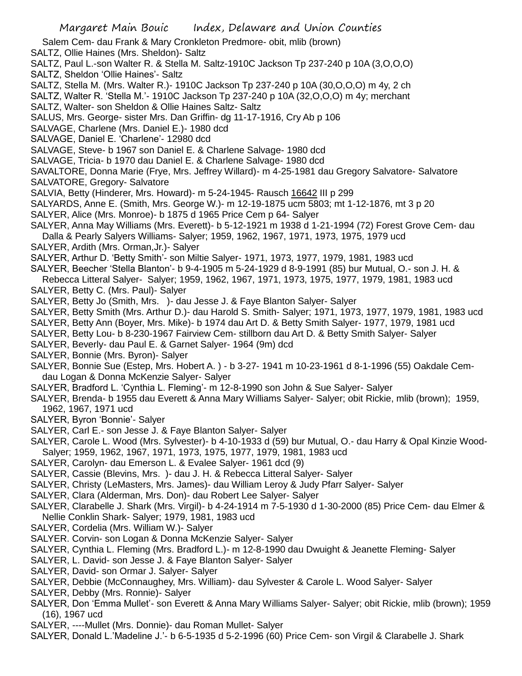Salem Cem- dau Frank & Mary Cronkleton Predmore- obit, mlib (brown)

SALTZ, Ollie Haines (Mrs. Sheldon)- Saltz

- SALTZ, Paul L.-son Walter R. & Stella M. Saltz-1910C Jackson Tp 237-240 p 10A (3,O,O,O)
- SALTZ, Sheldon 'Ollie Haines'- Saltz
- SALTZ, Stella M. (Mrs. Walter R.)- 1910C Jackson Tp 237-240 p 10A (30,O,O,O) m 4y, 2 ch

SALTZ, Walter R. 'Stella M.'- 1910C Jackson Tp 237-240 p 10A (32,O,O,O) m 4y; merchant

SALTZ, Walter- son Sheldon & Ollie Haines Saltz- Saltz

SALUS, Mrs. George- sister Mrs. Dan Griffin- dg 11-17-1916, Cry Ab p 106

SALVAGE, Charlene (Mrs. Daniel E.)- 1980 dcd

SALVAGE, Daniel E. 'Charlene'- 12980 dcd

SALVAGE, Steve- b 1967 son Daniel E. & Charlene Salvage- 1980 dcd

SALVAGE, Tricia- b 1970 dau Daniel E. & Charlene Salvage- 1980 dcd

SAVALTORE, Donna Marie (Frye, Mrs. Jeffrey Willard)- m 4-25-1981 dau Gregory Salvatore- Salvatore SALVATORE, Gregory- Salvatore

SALVIA, Betty (Hinderer, Mrs. Howard)- m 5-24-1945- Rausch 16642 III p 299

SALYARDS, Anne E. (Smith, Mrs. George W.)- m 12-19-1875 ucm 5803; mt 1-12-1876, mt 3 p 20

SALYER, Alice (Mrs. Monroe)- b 1875 d 1965 Price Cem p 64- Salyer

SALYER, Anna May Williams (Mrs. Everett)- b 5-12-1921 m 1938 d 1-21-1994 (72) Forest Grove Cem- dau Dalla & Pearly Salyers Williams- Salyer; 1959, 1962, 1967, 1971, 1973, 1975, 1979 ucd

SALYER, Ardith (Mrs. Orman,Jr.)- Salyer

SALYER, Arthur D. 'Betty Smith'- son Miltie Salyer- 1971, 1973, 1977, 1979, 1981, 1983 ucd

SALYER, Beecher 'Stella Blanton'- b 9-4-1905 m 5-24-1929 d 8-9-1991 (85) bur Mutual, O.- son J. H. &

Rebecca Litteral Salyer- Salyer; 1959, 1962, 1967, 1971, 1973, 1975, 1977, 1979, 1981, 1983 ucd SALYER, Betty C. (Mrs. Paul)- Salyer

SALYER, Betty Jo (Smith, Mrs. )- dau Jesse J. & Faye Blanton Salyer- Salyer

SALYER, Betty Smith (Mrs. Arthur D.)- dau Harold S. Smith- Salyer; 1971, 1973, 1977, 1979, 1981, 1983 ucd

SALYER, Betty Ann (Boyer, Mrs. Mike)- b 1974 dau Art D. & Betty Smith Salyer- 1977, 1979, 1981 ucd

SALYER, Betty Lou- b 8-230-1967 Fairview Cem- stillborn dau Art D. & Betty Smith Salyer- Salyer

- SALYER, Beverly- dau Paul E. & Garnet Salyer- 1964 (9m) dcd
- SALYER, Bonnie (Mrs. Byron)- Salyer

SALYER, Bonnie Sue (Estep, Mrs. Hobert A. ) - b 3-27- 1941 m 10-23-1961 d 8-1-1996 (55) Oakdale Cemdau Logan & Donna McKenzie Salyer- Salyer

SALYER, Bradford L. 'Cynthia L. Fleming'- m 12-8-1990 son John & Sue Salyer- Salyer

SALYER, Brenda- b 1955 dau Everett & Anna Mary Williams Salyer- Salyer; obit Rickie, mlib (brown); 1959, 1962, 1967, 1971 ucd

- SALYER, Byron 'Bonnie'- Salyer
- SALYER, Carl E.- son Jesse J. & Faye Blanton Salyer- Salyer

SALYER, Carole L. Wood (Mrs. Sylvester)- b 4-10-1933 d (59) bur Mutual, O.- dau Harry & Opal Kinzie Wood-Salyer; 1959, 1962, 1967, 1971, 1973, 1975, 1977, 1979, 1981, 1983 ucd

SALYER, Carolyn- dau Emerson L. & Evalee Salyer- 1961 dcd (9)

SALYER, Cassie (Blevins, Mrs. )- dau J. H. & Rebecca Litteral Salyer- Salyer

SALYER, Christy (LeMasters, Mrs. James)- dau William Leroy & Judy Pfarr Salyer- Salyer

- SALYER, Clara (Alderman, Mrs. Don)- dau Robert Lee Salyer- Salyer
- SALYER, Clarabelle J. Shark (Mrs. Virgil)- b 4-24-1914 m 7-5-1930 d 1-30-2000 (85) Price Cem- dau Elmer & Nellie Conklin Shark- Salyer; 1979, 1981, 1983 ucd
- SALYER, Cordelia (Mrs. William W.)- Salyer

SALYER. Corvin- son Logan & Donna McKenzie Salyer- Salyer

SALYER, Cynthia L. Fleming (Mrs. Bradford L.)- m 12-8-1990 dau Dwuight & Jeanette Fleming- Salyer

SALYER, L. David- son Jesse J. & Faye Blanton Salyer- Salyer

SALYER, David- son Ormar J. Salyer- Salyer

SALYER, Debbie (McConnaughey, Mrs. William)- dau Sylvester & Carole L. Wood Salyer- Salyer

SALYER, Debby (Mrs. Ronnie)- Salyer

- SALYER, Don 'Emma Mullet'- son Everett & Anna Mary Williams Salyer- Salyer; obit Rickie, mlib (brown); 1959 (16), 1967 ucd
- SALYER, ----Mullet (Mrs. Donnie)- dau Roman Mullet- Salyer

SALYER, Donald L.'Madeline J.'- b 6-5-1935 d 5-2-1996 (60) Price Cem- son Virgil & Clarabelle J. Shark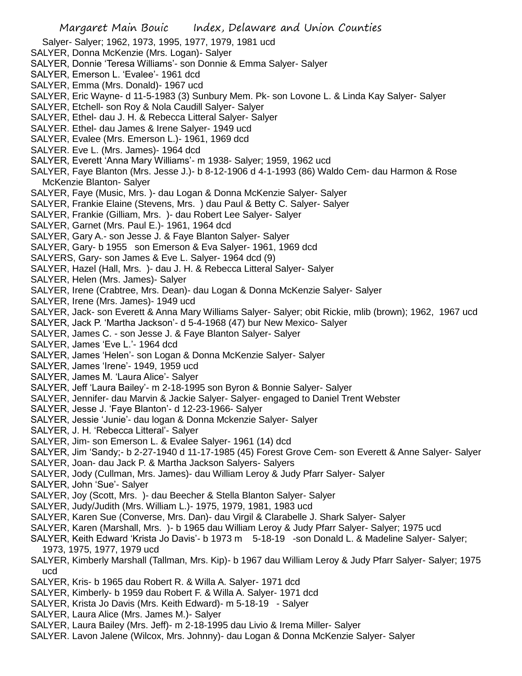- Salyer- Salyer; 1962, 1973, 1995, 1977, 1979, 1981 ucd
- SALYER, Donna McKenzie (Mrs. Logan)- Salyer
- SALYER, Donnie 'Teresa Williams'- son Donnie & Emma Salyer- Salyer
- SALYER, Emerson L. 'Evalee'- 1961 dcd
- SALYER, Emma (Mrs. Donald)- 1967 ucd
- SALYER, Eric Wayne- d 11-5-1983 (3) Sunbury Mem. Pk- son Lovone L. & Linda Kay Salyer- Salyer
- SALYER, Etchell- son Roy & Nola Caudill Salyer- Salyer
- SALYER, Ethel- dau J. H. & Rebecca Litteral Salyer- Salyer
- SALYER. Ethel- dau James & Irene Salyer- 1949 ucd
- SALYER, Evalee (Mrs. Emerson L.)- 1961, 1969 dcd
- SALYER. Eve L. (Mrs. James)- 1964 dcd
- SALYER, Everett 'Anna Mary Williams'- m 1938- Salyer; 1959, 1962 ucd
- SALYER, Faye Blanton (Mrs. Jesse J.)- b 8-12-1906 d 4-1-1993 (86) Waldo Cem- dau Harmon & Rose McKenzie Blanton- Salyer
- SALYER, Faye (Music, Mrs. )- dau Logan & Donna McKenzie Salyer- Salyer
- SALYER, Frankie Elaine (Stevens, Mrs. ) dau Paul & Betty C. Salyer- Salyer
- SALYER, Frankie (Gilliam, Mrs. )- dau Robert Lee Salyer- Salyer
- SALYER, Garnet (Mrs. Paul E.)- 1961, 1964 dcd
- SALYER, Gary A.- son Jesse J. & Faye Blanton Salyer- Salyer
- SALYER, Gary- b 1955 son Emerson & Eva Salyer- 1961, 1969 dcd
- SALYERS, Gary- son James & Eve L. Salyer- 1964 dcd (9)
- SALYER, Hazel (Hall, Mrs. )- dau J. H. & Rebecca Litteral Salyer- Salyer
- SALYER, Helen (Mrs. James)- Salyer
- SALYER, Irene (Crabtree, Mrs. Dean)- dau Logan & Donna McKenzie Salyer- Salyer
- SALYER, Irene (Mrs. James)- 1949 ucd
- SALYER, Jack- son Everett & Anna Mary Williams Salyer- Salyer; obit Rickie, mlib (brown); 1962, 1967 ucd
- SALYER, Jack P. 'Martha Jackson'- d 5-4-1968 (47) bur New Mexico- Salyer
- SALYER, James C. son Jesse J. & Faye Blanton Salyer- Salyer
- SALYER, James 'Eve L.'- 1964 dcd
- SALYER, James 'Helen'- son Logan & Donna McKenzie Salyer- Salyer
- SALYER, James 'Irene'- 1949, 1959 ucd
- SALYER, James M. 'Laura Alice'- Salyer
- SALYER, Jeff 'Laura Bailey'- m 2-18-1995 son Byron & Bonnie Salyer- Salyer
- SALYER, Jennifer- dau Marvin & Jackie Salyer- Salyer- engaged to Daniel Trent Webster
- SALYER, Jesse J. 'Faye Blanton'- d 12-23-1966- Salyer
- SALYER, Jessie 'Junie'- dau logan & Donna Mckenzie Salyer- Salyer
- SALYER, J. H. 'Rebecca Litteral'- Salyer
- SALYER, Jim- son Emerson L. & Evalee Salyer- 1961 (14) dcd
- SALYER, Jim 'Sandy;- b 2-27-1940 d 11-17-1985 (45) Forest Grove Cem- son Everett & Anne Salyer- Salyer
- SALYER, Joan- dau Jack P. & Martha Jackson Salyers- Salyers
- SALYER, Jody (Cullman, Mrs. James)- dau William Leroy & Judy Pfarr Salyer- Salyer
- SALYER, John 'Sue'- Salyer
- SALYER, Joy (Scott, Mrs. )- dau Beecher & Stella Blanton Salyer- Salyer
- SALYER, Judy/Judith (Mrs. William L.)- 1975, 1979, 1981, 1983 ucd
- SALYER, Karen Sue (Converse, Mrs. Dan)- dau Virgil & Clarabelle J. Shark Salyer- Salyer
- SALYER, Karen (Marshall, Mrs. )- b 1965 dau William Leroy & Judy Pfarr Salyer- Salyer; 1975 ucd
- SALYER, Keith Edward 'Krista Jo Davis'- b 1973 m 5-18-19 -son Donald L. & Madeline Salyer- Salyer; 1973, 1975, 1977, 1979 ucd
- SALYER, Kimberly Marshall (Tallman, Mrs. Kip)- b 1967 dau William Leroy & Judy Pfarr Salyer- Salyer; 1975 ucd
- SALYER, Kris- b 1965 dau Robert R. & Willa A. Salyer- 1971 dcd
- SALYER, Kimberly- b 1959 dau Robert F. & Willa A. Salyer- 1971 dcd
- SALYER, Krista Jo Davis (Mrs. Keith Edward)- m 5-18-19 Salyer
- SALYER, Laura Alice (Mrs. James M.)- Salyer
- SALYER, Laura Bailey (Mrs. Jeff)- m 2-18-1995 dau Livio & Irema Miller- Salyer
- SALYER. Lavon Jalene (Wilcox, Mrs. Johnny)- dau Logan & Donna McKenzie Salyer- Salyer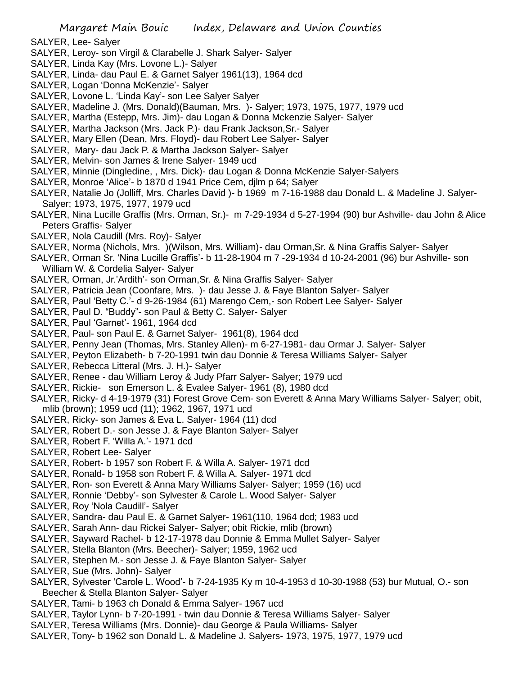- SALYER, Lee- Salyer
- SALYER, Leroy- son Virgil & Clarabelle J. Shark Salyer- Salyer
- SALYER, Linda Kay (Mrs. Lovone L.)- Salyer
- SALYER, Linda- dau Paul E. & Garnet Salyer 1961(13), 1964 dcd
- SALYER, Logan 'Donna McKenzie'- Salyer
- SALYER, Lovone L. 'Linda Kay'- son Lee Salyer Salyer
- SALYER, Madeline J. (Mrs. Donald)(Bauman, Mrs. )- Salyer; 1973, 1975, 1977, 1979 ucd
- SALYER, Martha (Estepp, Mrs. Jim)- dau Logan & Donna Mckenzie Salyer- Salyer
- SALYER, Martha Jackson (Mrs. Jack P.)- dau Frank Jackson,Sr.- Salyer
- SALYER, Mary Ellen (Dean, Mrs. Floyd)- dau Robert Lee Salyer- Salyer
- SALYER, Mary- dau Jack P. & Martha Jackson Salyer- Salyer
- SALYER, Melvin- son James & Irene Salyer- 1949 ucd
- SALYER, Minnie (Dingledine, , Mrs. Dick)- dau Logan & Donna McKenzie Salyer-Salyers
- SALYER, Monroe 'Alice'- b 1870 d 1941 Price Cem, djlm p 64; Salyer
- SALYER, Natalie Jo (Jolliff, Mrs. Charles David )- b 1969 m 7-16-1988 dau Donald L. & Madeline J. Salyer-Salyer; 1973, 1975, 1977, 1979 ucd
- SALYER, Nina Lucille Graffis (Mrs. Orman, Sr.)- m 7-29-1934 d 5-27-1994 (90) bur Ashville- dau John & Alice Peters Graffis- Salyer
- SALYER, Nola Caudill (Mrs. Roy)- Salyer
- SALYER, Norma (Nichols, Mrs. )(Wilson, Mrs. William)- dau Orman,Sr. & Nina Graffis Salyer- Salyer
- SALYER, Orman Sr. 'Nina Lucille Graffis'- b 11-28-1904 m 7 -29-1934 d 10-24-2001 (96) bur Ashville- son William W. & Cordelia Salyer- Salyer
- SALYER, Orman, Jr.'Ardith'- son Orman,Sr. & Nina Graffis Salyer- Salyer
- SALYER, Patricia Jean (Coonfare, Mrs. )- dau Jesse J. & Faye Blanton Salyer- Salyer
- SALYER, Paul 'Betty C.'- d 9-26-1984 (61) Marengo Cem,- son Robert Lee Salyer- Salyer
- SALYER, Paul D. "Buddy"- son Paul & Betty C. Salyer- Salyer
- SALYER, Paul 'Garnet'- 1961, 1964 dcd
- SALYER, Paul- son Paul E. & Garnet Salyer- 1961(8), 1964 dcd
- SALYER, Penny Jean (Thomas, Mrs. Stanley Allen)- m 6-27-1981- dau Ormar J. Salyer- Salyer
- SALYER, Peyton Elizabeth- b 7-20-1991 twin dau Donnie & Teresa Williams Salyer- Salyer
- SALYER, Rebecca Litteral (Mrs. J. H.)- Salyer
- SALYER, Renee dau William Leroy & Judy Pfarr Salyer- Salyer; 1979 ucd
- SALYER, Rickie- son Emerson L. & Evalee Salyer- 1961 (8), 1980 dcd
- SALYER, Ricky- d 4-19-1979 (31) Forest Grove Cem- son Everett & Anna Mary Williams Salyer- Salyer; obit, mlib (brown); 1959 ucd (11); 1962, 1967, 1971 ucd
- SALYER, Ricky- son James & Eva L. Salyer- 1964 (11) dcd
- SALYER, Robert D.- son Jesse J. & Faye Blanton Salyer- Salyer
- SALYER, Robert F. 'Willa A.'- 1971 dcd
- SALYER, Robert Lee- Salyer
- SALYER, Robert- b 1957 son Robert F. & Willa A. Salyer- 1971 dcd
- SALYER, Ronald- b 1958 son Robert F. & Willa A. Salyer- 1971 dcd
- SALYER, Ron- son Everett & Anna Mary Williams Salyer- Salyer; 1959 (16) ucd
- SALYER, Ronnie 'Debby'- son Sylvester & Carole L. Wood Salyer- Salyer
- SALYER, Roy 'Nola Caudill'- Salyer
- SALYER, Sandra- dau Paul E. & Garnet Salyer- 1961(110, 1964 dcd; 1983 ucd
- SALYER, Sarah Ann- dau Rickei Salyer- Salyer; obit Rickie, mlib (brown)
- SALYER, Sayward Rachel- b 12-17-1978 dau Donnie & Emma Mullet Salyer- Salyer
- SALYER, Stella Blanton (Mrs. Beecher)- Salyer; 1959, 1962 ucd
- SALYER, Stephen M.- son Jesse J. & Faye Blanton Salyer- Salyer
- SALYER, Sue (Mrs. John)- Salyer
- SALYER, Sylvester 'Carole L. Wood'- b 7-24-1935 Ky m 10-4-1953 d 10-30-1988 (53) bur Mutual, O.- son Beecher & Stella Blanton Salyer- Salyer
- SALYER, Tami- b 1963 ch Donald & Emma Salyer- 1967 ucd
- SALYER, Taylor Lynn- b 7-20-1991 twin dau Donnie & Teresa Williams Salyer- Salyer
- SALYER, Teresa Williams (Mrs. Donnie)- dau George & Paula Williams- Salyer
- SALYER, Tony- b 1962 son Donald L. & Madeline J. Salyers- 1973, 1975, 1977, 1979 ucd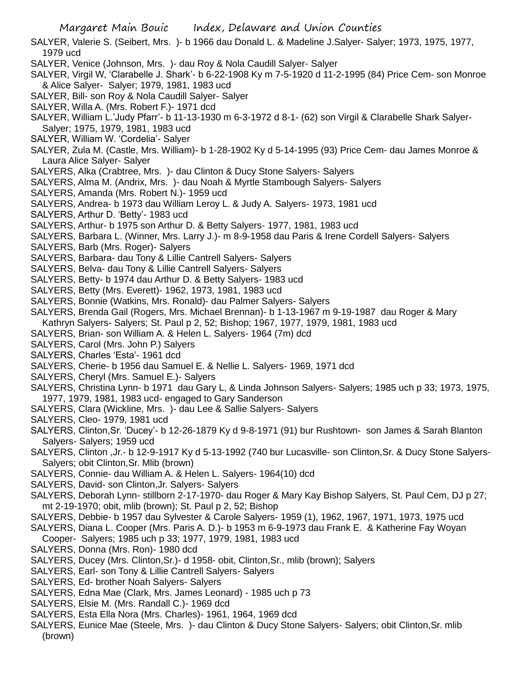- SALYER, Valerie S. (Seibert, Mrs. )- b 1966 dau Donald L. & Madeline J.Salyer- Salyer; 1973, 1975, 1977, 1979 ucd
- SALYER, Venice (Johnson, Mrs. )- dau Roy & Nola Caudill Salyer- Salyer
- SALYER, Virgil W, 'Clarabelle J. Shark'- b 6-22-1908 Ky m 7-5-1920 d 11-2-1995 (84) Price Cem- son Monroe & Alice Salyer- Salyer; 1979, 1981, 1983 ucd
- SALYER, Bill- son Roy & Nola Caudill Salyer- Salyer
- SALYER, Willa A. (Mrs. Robert F.)- 1971 dcd
- SALYER, William L.'Judy Pfarr'- b 11-13-1930 m 6-3-1972 d 8-1- (62) son Virgil & Clarabelle Shark Salyer-Salyer; 1975, 1979, 1981, 1983 ucd
- SALYER, William W. 'Cordelia'- Salyer
- SALYER, Zula M. (Castle, Mrs. William)- b 1-28-1902 Ky d 5-14-1995 (93) Price Cem- dau James Monroe & Laura Alice Salyer- Salyer
- SALYERS, Alka (Crabtree, Mrs. )- dau Clinton & Ducy Stone Salyers- Salyers
- SALYERS, Alma M. (Andrix, Mrs. )- dau Noah & Myrtle Stambough Salyers- Salyers
- SALYERS, Amanda (Mrs. Robert N.)- 1959 ucd
- SALYERS, Andrea- b 1973 dau William Leroy L. & Judy A. Salyers- 1973, 1981 ucd
- SALYERS, Arthur D. 'Betty'- 1983 ucd
- SALYERS, Arthur- b 1975 son Arthur D. & Betty Salyers- 1977, 1981, 1983 ucd
- SALYERS, Barbara L. (Winner, Mrs. Larry J.)- m 8-9-1958 dau Paris & Irene Cordell Salyers- Salyers
- SALYERS, Barb (Mrs. Roger)- Salyers
- SALYERS, Barbara- dau Tony & Lillie Cantrell Salyers- Salyers
- SALYERS, Belva- dau Tony & Lillie Cantrell Salyers- Salyers
- SALYERS, Betty- b 1974 dau Arthur D. & Betty Salyers- 1983 ucd
- SALYERS, Betty (Mrs. Everett)- 1962, 1973, 1981, 1983 ucd
- SALYERS, Bonnie (Watkins, Mrs. Ronald)- dau Palmer Salyers- Salyers
- SALYERS, Brenda Gail (Rogers, Mrs. Michael Brennan)- b 1-13-1967 m 9-19-1987 dau Roger & Mary Kathryn Salyers- Salyers; St. Paul p 2, 52; Bishop; 1967, 1977, 1979, 1981, 1983 ucd
- SALYERS, Brian- son William A. & Helen L. Salyers- 1964 (7m) dcd
- SALYERS, Carol (Mrs. John P.) Salyers
- SALYERS, Charles 'Esta'- 1961 dcd
- SALYERS, Cherie- b 1956 dau Samuel E. & Nellie L. Salyers- 1969, 1971 dcd
- SALYERS, Cheryl (Mrs. Samuel E.)- Salyers
- SALYERS, Christina Lynn- b 1971 dau Gary L, & Linda Johnson Salyers- Salyers; 1985 uch p 33; 1973, 1975, 1977, 1979, 1981, 1983 ucd- engaged to Gary Sanderson
- SALYERS, Clara (Wickline, Mrs. )- dau Lee & Sallie Salyers- Salyers
- SALYERS, Cleo- 1979, 1981 ucd
- SALYERS, Clinton,Sr. 'Ducey'- b 12-26-1879 Ky d 9-8-1971 (91) bur Rushtown- son James & Sarah Blanton Salyers- Salyers; 1959 ucd
- SALYERS, Clinton ,Jr.- b 12-9-1917 Ky d 5-13-1992 (740 bur Lucasville- son Clinton,Sr. & Ducy Stone Salyers-Salyers; obit Clinton,Sr. Mlib (brown)
- SALYERS, Connie- dau William A. & Helen L. Salyers- 1964(10) dcd
- SALYERS, David- son Clinton,Jr. Salyers- Salyers
- SALYERS, Deborah Lynn- stillborn 2-17-1970- dau Roger & Mary Kay Bishop Salyers, St. Paul Cem, DJ p 27; mt 2-19-1970; obit, mlib (brown); St. Paul p 2, 52; Bishop
- SALYERS, Debbie- b 1957 dau Sylvester & Carole Salyers- 1959 (1), 1962, 1967, 1971, 1973, 1975 ucd
- SALYERS, Diana L. Cooper (Mrs. Paris A. D.)- b 1953 m 6-9-1973 dau Frank E. & Katherine Fay Woyan Cooper- Salyers; 1985 uch p 33; 1977, 1979, 1981, 1983 ucd
- SALYERS, Donna (Mrs. Ron)- 1980 dcd
- SALYERS, Ducey (Mrs. Clinton,Sr.)- d 1958- obit, Clinton,Sr., mlib (brown); Salyers
- SALYERS, Earl- son Tony & Lillie Cantrell Salyers- Salyers
- SALYERS, Ed- brother Noah Salyers- Salyers
- SALYERS, Edna Mae (Clark, Mrs. James Leonard) 1985 uch p 73
- SALYERS, Elsie M. (Mrs. Randall C.)- 1969 dcd
- SALYERS, Esta Ella Nora (Mrs. Charles)- 1961, 1964, 1969 dcd
- SALYERS, Eunice Mae (Steele, Mrs. )- dau Clinton & Ducy Stone Salyers- Salyers; obit Clinton,Sr. mlib (brown)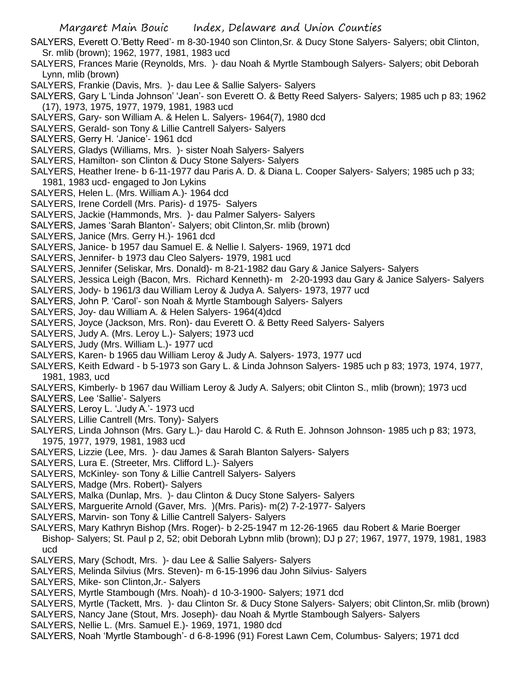- SALYERS, Everett O.'Betty Reed'- m 8-30-1940 son Clinton,Sr. & Ducy Stone Salyers- Salyers; obit Clinton, Sr. mlib (brown); 1962, 1977, 1981, 1983 ucd
- SALYERS, Frances Marie (Reynolds, Mrs. )- dau Noah & Myrtle Stambough Salyers- Salyers; obit Deborah Lynn, mlib (brown)
- SALYERS, Frankie (Davis, Mrs. )- dau Lee & Sallie Salyers- Salyers
- SALYERS, Gary L 'Linda Johnson' 'Jean'- son Everett O. & Betty Reed Salyers- Salyers; 1985 uch p 83; 1962 (17), 1973, 1975, 1977, 1979, 1981, 1983 ucd
- SALYERS, Gary- son William A. & Helen L. Salyers- 1964(7), 1980 dcd
- SALYERS, Gerald- son Tony & Lillie Cantrell Salyers- Salyers
- SALYERS, Gerry H. 'Janice'- 1961 dcd
- SALYERS, Gladys (Williams, Mrs. )- sister Noah Salyers- Salyers
- SALYERS, Hamilton- son Clinton & Ducy Stone Salyers- Salyers
- SALYERS, Heather Irene- b 6-11-1977 dau Paris A. D. & Diana L. Cooper Salyers- Salyers; 1985 uch p 33; 1981, 1983 ucd- engaged to Jon Lykins
- SALYERS, Helen L. (Mrs. William A.)- 1964 dcd
- SALYERS, Irene Cordell (Mrs. Paris)- d 1975- Salyers
- SALYERS, Jackie (Hammonds, Mrs. )- dau Palmer Salyers- Salyers
- SALYERS, James 'Sarah Blanton'- Salyers; obit Clinton,Sr. mlib (brown)
- SALYERS, Janice (Mrs. Gerry H.)- 1961 dcd
- SALYERS, Janice- b 1957 dau Samuel E. & Nellie l. Salyers- 1969, 1971 dcd
- SALYERS, Jennifer- b 1973 dau Cleo Salyers- 1979, 1981 ucd
- SALYERS, Jennifer (Seliskar, Mrs. Donald)- m 8-21-1982 dau Gary & Janice Salyers- Salyers
- SALYERS, Jessica Leigh (Bacon, Mrs. Richard Kenneth)- m 2-20-1993 dau Gary & Janice Salyers- Salyers
- SALYERS, Jody- b 1961/3 dau William Leroy & Judya A. Salyers- 1973, 1977 ucd
- SALYERS, John P. 'Carol'- son Noah & Myrtle Stambough Salyers- Salyers
- SALYERS, Joy- dau William A. & Helen Salyers- 1964(4)dcd
- SALYERS, Joyce (Jackson, Mrs. Ron)- dau Everett O. & Betty Reed Salyers- Salyers
- SALYERS, Judy A. (Mrs. Leroy L.)- Salyers; 1973 ucd
- SALYERS, Judy (Mrs. William L.)- 1977 ucd
- SALYERS, Karen- b 1965 dau William Leroy & Judy A. Salyers- 1973, 1977 ucd
- SALYERS, Keith Edward b 5-1973 son Gary L. & Linda Johnson Salyers- 1985 uch p 83; 1973, 1974, 1977, 1981, 1983, ucd
- SALYERS, Kimberly- b 1967 dau William Leroy & Judy A. Salyers; obit Clinton S., mlib (brown); 1973 ucd
- SALYERS, Lee 'Sallie'- Salyers
- SALYERS, Leroy L. 'Judy A.'- 1973 ucd
- SALYERS, Lillie Cantrell (Mrs. Tony)- Salyers
- SALYERS, Linda Johnson (Mrs. Gary L.)- dau Harold C. & Ruth E. Johnson Johnson- 1985 uch p 83; 1973, 1975, 1977, 1979, 1981, 1983 ucd
- SALYERS, Lizzie (Lee, Mrs. )- dau James & Sarah Blanton Salyers- Salyers
- SALYERS, Lura E. (Streeter, Mrs. Clifford L.)- Salyers
- SALYERS, McKinley- son Tony & Lillie Cantrell Salyers- Salyers
- SALYERS, Madge (Mrs. Robert)- Salyers
- SALYERS, Malka (Dunlap, Mrs. )- dau Clinton & Ducy Stone Salyers- Salyers
- SALYERS, Marguerite Arnold (Gaver, Mrs. )(Mrs. Paris)- m(2) 7-2-1977- Salyers
- SALYERS, Marvin- son Tony & Lillie Cantrell Salyers- Salyers
- SALYERS, Mary Kathryn Bishop (Mrs. Roger)- b 2-25-1947 m 12-26-1965 dau Robert & Marie Boerger Bishop- Salyers; St. Paul p 2, 52; obit Deborah Lybnn mlib (brown); DJ p 27; 1967, 1977, 1979, 1981, 1983 ucd
- SALYERS, Mary (Schodt, Mrs. )- dau Lee & Sallie Salyers- Salyers
- SALYERS, Melinda Silvius (Mrs. Steven)- m 6-15-1996 dau John Silvius- Salyers
- SALYERS, Mike- son Clinton,Jr.- Salyers
- SALYERS, Myrtle Stambough (Mrs. Noah)- d 10-3-1900- Salyers; 1971 dcd
- SALYERS, Myrtle (Tackett, Mrs. )- dau Clinton Sr. & Ducy Stone Salyers- Salyers; obit Clinton,Sr. mlib (brown)
- SALYERS, Nancy Jane (Stout, Mrs. Joseph)- dau Noah & Myrtle Stambough Salyers- Salyers
- SALYERS, Nellie L. (Mrs. Samuel E.)- 1969, 1971, 1980 dcd
- SALYERS, Noah 'Myrtle Stambough'- d 6-8-1996 (91) Forest Lawn Cem, Columbus- Salyers; 1971 dcd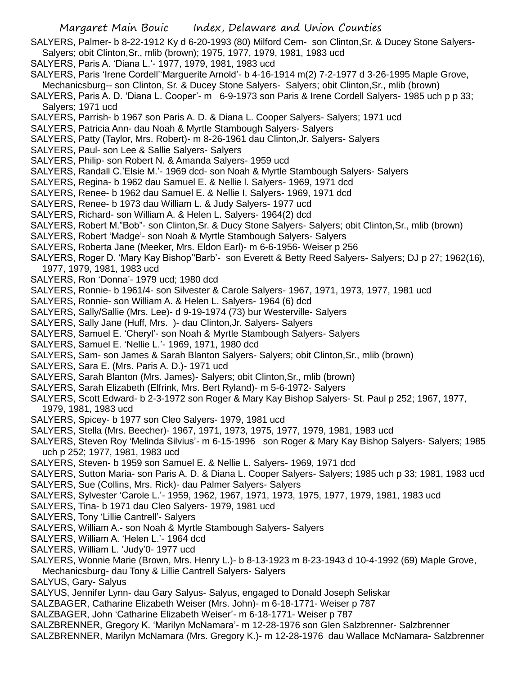- SALYERS, Palmer- b 8-22-1912 Ky d 6-20-1993 (80) Milford Cem- son Clinton,Sr. & Ducey Stone Salyers-Salyers; obit Clinton,Sr., mlib (brown); 1975, 1977, 1979, 1981, 1983 ucd
- SALYERS, Paris A. 'Diana L.'- 1977, 1979, 1981, 1983 ucd
- SALYERS, Paris 'Irene Cordell''Marguerite Arnold'- b 4-16-1914 m(2) 7-2-1977 d 3-26-1995 Maple Grove, Mechanicsburg-- son Clinton, Sr. & Ducey Stone Salyers- Salyers; obit Clinton,Sr., mlib (brown)
- SALYERS, Paris A. D. 'Diana L. Cooper'- m 6-9-1973 son Paris & Irene Cordell Salyers- 1985 uch p p 33; Salyers; 1971 ucd
- SALYERS, Parrish- b 1967 son Paris A. D. & Diana L. Cooper Salyers- Salyers; 1971 ucd
- SALYERS, Patricia Ann- dau Noah & Myrtle Stambough Salyers- Salyers
- SALYERS, Patty (Taylor, Mrs. Robert)- m 8-26-1961 dau Clinton,Jr. Salyers- Salyers
- SALYERS, Paul- son Lee & Sallie Salyers- Salyers
- SALYERS, Philip- son Robert N. & Amanda Salyers- 1959 ucd
- SALYERS, Randall C.'Elsie M.'- 1969 dcd- son Noah & Myrtle Stambough Salyers- Salyers
- SALYERS, Regina- b 1962 dau Samuel E. & Nellie l. Salyers- 1969, 1971 dcd
- SALYERS, Renee- b 1962 dau Samuel E. & Nellie I. Salyers- 1969, 1971 dcd
- SALYERS, Renee- b 1973 dau William L. & Judy Salyers- 1977 ucd
- SALYERS, Richard- son William A. & Helen L. Salyers- 1964(2) dcd
- SALYERS, Robert M."Bob"- son Clinton,Sr. & Ducy Stone Salyers- Salyers; obit Clinton,Sr., mlib (brown)
- SALYERS, Robert 'Madge'- son Noah & Myrtle Stambough Salyers- Salyers
- SALYERS, Roberta Jane (Meeker, Mrs. Eldon Earl)- m 6-6-1956- Weiser p 256
- SALYERS, Roger D. 'Mary Kay Bishop''Barb'- son Everett & Betty Reed Salyers- Salyers; DJ p 27; 1962(16), 1977, 1979, 1981, 1983 ucd
- SALYERS, Ron 'Donna'- 1979 ucd; 1980 dcd
- SALYERS, Ronnie- b 1961/4- son Silvester & Carole Salyers- 1967, 1971, 1973, 1977, 1981 ucd
- SALYERS, Ronnie- son William A. & Helen L. Salyers- 1964 (6) dcd
- SALYERS, Sally/Sallie (Mrs. Lee)- d 9-19-1974 (73) bur Westerville- Salyers
- SALYERS, Sally Jane (Huff, Mrs. )- dau Clinton,Jr. Salyers- Salyers
- SALYERS, Samuel E. 'Cheryl'- son Noah & Myrtle Stambough Salyers- Salyers
- SALYERS, Samuel E. 'Nellie L.'- 1969, 1971, 1980 dcd
- SALYERS, Sam- son James & Sarah Blanton Salyers- Salyers; obit Clinton,Sr., mlib (brown)
- SALYERS, Sara E. (Mrs. Paris A. D.)- 1971 ucd
- SALYERS, Sarah Blanton (Mrs. James)- Salyers; obit Clinton,Sr., mlib (brown)
- SALYERS, Sarah Elizabeth (Elfrink, Mrs. Bert Ryland)- m 5-6-1972- Salyers
- SALYERS, Scott Edward- b 2-3-1972 son Roger & Mary Kay Bishop Salyers- St. Paul p 252; 1967, 1977, 1979, 1981, 1983 ucd
- SALYERS, Spicey- b 1977 son Cleo Salyers- 1979, 1981 ucd
- SALYERS, Stella (Mrs. Beecher)- 1967, 1971, 1973, 1975, 1977, 1979, 1981, 1983 ucd
- SALYERS, Steven Roy 'Melinda Silvius'- m 6-15-1996 son Roger & Mary Kay Bishop Salyers- Salyers; 1985 uch p 252; 1977, 1981, 1983 ucd
- SALYERS, Steven- b 1959 son Samuel E. & Nellie L. Salyers- 1969, 1971 dcd
- SALYERS, Sutton Maria- son Paris A. D. & Diana L. Cooper Salyers- Salyers; 1985 uch p 33; 1981, 1983 ucd SALYERS, Sue (Collins, Mrs. Rick)- dau Palmer Salyers- Salyers
- SALYERS, Sylvester 'Carole L.'- 1959, 1962, 1967, 1971, 1973, 1975, 1977, 1979, 1981, 1983 ucd
- SALYERS, Tina- b 1971 dau Cleo Salyers- 1979, 1981 ucd
- SALYERS, Tony 'Lillie Cantrell'- Salyers
- SALYERS, William A.- son Noah & Myrtle Stambough Salyers- Salyers
- SALYERS, William A. 'Helen L.'- 1964 dcd
- SALYERS, William L. 'Judy'0- 1977 ucd
- SALYERS, Wonnie Marie (Brown, Mrs. Henry L.)- b 8-13-1923 m 8-23-1943 d 10-4-1992 (69) Maple Grove,
- Mechanicsburg- dau Tony & Lillie Cantrell Salyers- Salyers
- SALYUS, Gary- Salyus
- SALYUS, Jennifer Lynn- dau Gary Salyus- Salyus, engaged to Donald Joseph Seliskar
- SALZBAGER, Catharine Elizabeth Weiser (Mrs. John)- m 6-18-1771- Weiser p 787
- SALZBAGER, John 'Catharine Elizabeth Weiser'- m 6-18-1771- Weiser p 787
- SALZBRENNER, Gregory K. 'Marilyn McNamara'- m 12-28-1976 son Glen Salzbrenner- Salzbrenner
- SALZBRENNER, Marilyn McNamara (Mrs. Gregory K.)- m 12-28-1976 dau Wallace McNamara- Salzbrenner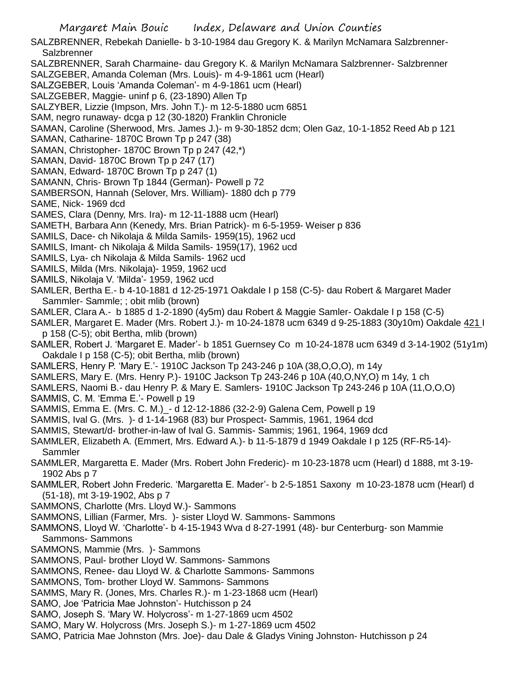SALZBRENNER, Rebekah Danielle- b 3-10-1984 dau Gregory K. & Marilyn McNamara Salzbrenner-**Salzbrenner** 

SALZBRENNER, Sarah Charmaine- dau Gregory K. & Marilyn McNamara Salzbrenner- Salzbrenner SALZGEBER, Amanda Coleman (Mrs. Louis)- m 4-9-1861 ucm (Hearl)

SALZGEBER, Louis 'Amanda Coleman'- m 4-9-1861 ucm (Hearl)

SALZGEBER, Maggie- uninf p 6, (23-1890) Allen Tp

SALZYBER, Lizzie (Impson, Mrs. John T.)- m 12-5-1880 ucm 6851

SAM, negro runaway- dcga p 12 (30-1820) Franklin Chronicle

SAMAN, Caroline (Sherwood, Mrs. James J.)- m 9-30-1852 dcm; Olen Gaz, 10-1-1852 Reed Ab p 121

SAMAN, Catharine- 1870C Brown Tp p 247 (38)

SAMAN, Christopher- 1870C Brown Tp p 247 (42,\*)

SAMAN, David- 1870C Brown Tp p 247 (17)

SAMAN, Edward- 1870C Brown Tp p 247 (1)

SAMANN, Chris- Brown Tp 1844 (German)- Powell p 72

SAMBERSON, Hannah (Selover, Mrs. William)- 1880 dch p 779

SAME, Nick- 1969 dcd

SAMES, Clara (Denny, Mrs. Ira)- m 12-11-1888 ucm (Hearl)

SAMETH, Barbara Ann (Kenedy, Mrs. Brian Patrick)- m 6-5-1959- Weiser p 836

SAMILS, Dace- ch Nikolaja & Milda Samils- 1959(15), 1962 ucd

SAMILS, Imant- ch Nikolaja & Milda Samils- 1959(17), 1962 ucd

SAMILS, Lya- ch Nikolaja & Milda Samils- 1962 ucd

SAMILS, Milda (Mrs. Nikolaja)- 1959, 1962 ucd

SAMILS, Nikolaja V. 'Milda'- 1959, 1962 ucd

SAMLER, Bertha E.- b 4-10-1881 d 12-25-1971 Oakdale I p 158 (C-5)- dau Robert & Margaret Mader Sammler- Sammle; ; obit mlib (brown)

SAMLER, Clara A.- b 1885 d 1-2-1890 (4y5m) dau Robert & Maggie Samler- Oakdale I p 158 (C-5)

SAMLER, Margaret E. Mader (Mrs. Robert J.)- m 10-24-1878 ucm 6349 d 9-25-1883 (30y10m) Oakdale 421 I p 158 (C-5); obit Bertha, mlib (brown)

SAMLER, Robert J. 'Margaret E. Mader'- b 1851 Guernsey Co m 10-24-1878 ucm 6349 d 3-14-1902 (51y1m) Oakdale I p 158 (C-5); obit Bertha, mlib (brown)

SAMLERS, Henry P. 'Mary E.'- 1910C Jackson Tp 243-246 p 10A (38,O,O,O), m 14y

SAMLERS, Mary E. (Mrs. Henry P.)- 1910C Jackson Tp 243-246 p 10A (40,O,NY,O) m 14y, 1 ch

SAMLERS, Naomi B.- dau Henry P. & Mary E. Samlers- 1910C Jackson Tp 243-246 p 10A (11,O,O,O)

SAMMIS, C. M. 'Emma E.'- Powell p 19

SAMMIS, Emma E. (Mrs. C. M.)\_- d 12-12-1886 (32-2-9) Galena Cem, Powell p 19

SAMMIS, Ival G. (Mrs. )- d 1-14-1968 (83) bur Prospect- Sammis, 1961, 1964 dcd

SAMMIS, Stewart/d- brother-in-law of Ival G. Sammis- Sammis; 1961, 1964, 1969 dcd

SAMMLER, Elizabeth A. (Emmert, Mrs. Edward A.)- b 11-5-1879 d 1949 Oakdale I p 125 (RF-R5-14)- Sammler

SAMMLER, Margaretta E. Mader (Mrs. Robert John Frederic)- m 10-23-1878 ucm (Hearl) d 1888, mt 3-19- 1902 Abs p 7

SAMMLER, Robert John Frederic. 'Margaretta E. Mader'- b 2-5-1851 Saxony m 10-23-1878 ucm (Hearl) d (51-18), mt 3-19-1902, Abs p 7

SAMMONS, Charlotte (Mrs. Lloyd W.)- Sammons

SAMMONS, Lillian (Farmer, Mrs. )- sister Lloyd W. Sammons- Sammons

SAMMONS, Lloyd W. 'Charlotte'- b 4-15-1943 Wva d 8-27-1991 (48)- bur Centerburg- son Mammie Sammons- Sammons

SAMMONS, Mammie (Mrs. )- Sammons

SAMMONS, Paul- brother Lloyd W. Sammons- Sammons

SAMMONS, Renee- dau Lloyd W. & Charlotte Sammons- Sammons

SAMMONS, Tom- brother Lloyd W. Sammons- Sammons

SAMMS, Mary R. (Jones, Mrs. Charles R.)- m 1-23-1868 ucm (Hearl)

SAMO, Joe 'Patricia Mae Johnston'- Hutchisson p 24

SAMO, Joseph S. 'Mary W. Holycross'- m 1-27-1869 ucm 4502

SAMO, Mary W. Holycross (Mrs. Joseph S.)- m 1-27-1869 ucm 4502

SAMO, Patricia Mae Johnston (Mrs. Joe)- dau Dale & Gladys Vining Johnston- Hutchisson p 24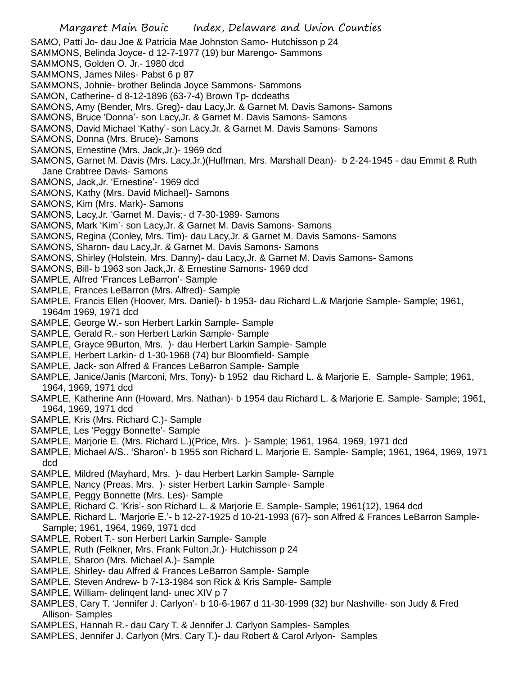- SAMO, Patti Jo- dau Joe & Patricia Mae Johnston Samo- Hutchisson p 24
- SAMMONS, Belinda Joyce- d 12-7-1977 (19) bur Marengo- Sammons
- SAMMONS, Golden O. Jr.- 1980 dcd
- SAMMONS, James Niles- Pabst 6 p 87
- SAMMONS, Johnie- brother Belinda Joyce Sammons- Sammons
- SAMON, Catherine- d 8-12-1896 (63-7-4) Brown Tp- dcdeaths
- SAMONS, Amy (Bender, Mrs. Greg)- dau Lacy,Jr. & Garnet M. Davis Samons- Samons
- SAMONS, Bruce 'Donna'- son Lacy,Jr. & Garnet M. Davis Samons- Samons
- SAMONS, David Michael 'Kathy'- son Lacy,Jr. & Garnet M. Davis Samons- Samons
- SAMONS, Donna (Mrs. Bruce)- Samons
- SAMONS, Ernestine (Mrs. Jack,Jr.)- 1969 dcd
- SAMONS, Garnet M. Davis (Mrs. Lacy,Jr.)(Huffman, Mrs. Marshall Dean)- b 2-24-1945 dau Emmit & Ruth Jane Crabtree Davis- Samons
- SAMONS, Jack,Jr. 'Ernestine'- 1969 dcd
- SAMONS, Kathy (Mrs. David Michael)- Samons
- SAMONS, Kim (Mrs. Mark)- Samons
- SAMONS, Lacy,Jr. 'Garnet M. Davis;- d 7-30-1989- Samons
- SAMONS, Mark 'Kim'- son Lacy,Jr. & Garnet M. Davis Samons- Samons
- SAMONS, Regina (Conley, Mrs. Tim)- dau Lacy,Jr. & Garnet M. Davis Samons- Samons
- SAMONS, Sharon- dau Lacy,Jr. & Garnet M. Davis Samons- Samons
- SAMONS, Shirley (Holstein, Mrs. Danny)- dau Lacy,Jr. & Garnet M. Davis Samons- Samons
- SAMONS, Bill- b 1963 son Jack,Jr. & Ernestine Samons- 1969 dcd
- SAMPLE, Alfred 'Frances LeBarron'- Sample
- SAMPLE, Frances LeBarron (Mrs. Alfred)- Sample
- SAMPLE, Francis Ellen (Hoover, Mrs. Daniel)- b 1953- dau Richard L.& Marjorie Sample- Sample; 1961, 1964m 1969, 1971 dcd
- SAMPLE, George W.- son Herbert Larkin Sample- Sample
- SAMPLE, Gerald R.- son Herbert Larkin Sample- Sample
- SAMPLE, Grayce 9Burton, Mrs. )- dau Herbert Larkin Sample- Sample
- SAMPLE, Herbert Larkin- d 1-30-1968 (74) bur Bloomfield- Sample
- SAMPLE, Jack- son Alfred & Frances LeBarron Sample- Sample
- SAMPLE, Janice/Janis (Marconi, Mrs. Tony)- b 1952 dau Richard L. & Marjorie E. Sample- Sample; 1961, 1964, 1969, 1971 dcd
- SAMPLE, Katherine Ann (Howard, Mrs. Nathan)- b 1954 dau Richard L. & Marjorie E. Sample- Sample; 1961, 1964, 1969, 1971 dcd
- SAMPLE, Kris (Mrs. Richard C.)- Sample
- SAMPLE, Les 'Peggy Bonnette'- Sample
- SAMPLE, Marjorie E. (Mrs. Richard L.)(Price, Mrs. )- Sample; 1961, 1964, 1969, 1971 dcd
- SAMPLE, Michael A/S.. 'Sharon'- b 1955 son Richard L. Marjorie E. Sample- Sample; 1961, 1964, 1969, 1971 dcd
- SAMPLE, Mildred (Mayhard, Mrs. )- dau Herbert Larkin Sample- Sample
- SAMPLE, Nancy (Preas, Mrs. )- sister Herbert Larkin Sample- Sample
- SAMPLE, Peggy Bonnette (Mrs. Les)- Sample
- SAMPLE, Richard C. 'Kris'- son Richard L. & Marjorie E. Sample- Sample; 1961(12), 1964 dcd
- SAMPLE, Richard L. 'Marjorie E.'- b 12-27-1925 d 10-21-1993 (67)- son Alfred & Frances LeBarron Sample-Sample; 1961, 1964, 1969, 1971 dcd
- SAMPLE, Robert T.- son Herbert Larkin Sample- Sample
- SAMPLE, Ruth (Felkner, Mrs. Frank Fulton,Jr.)- Hutchisson p 24
- SAMPLE, Sharon (Mrs. Michael A.)- Sample
- SAMPLE, Shirley- dau Alfred & Frances LeBarron Sample- Sample
- SAMPLE, Steven Andrew- b 7-13-1984 son Rick & Kris Sample- Sample
- SAMPLE, William- delingent land- unec XIV p 7
- SAMPLES, Cary T. 'Jennifer J. Carlyon'- b 10-6-1967 d 11-30-1999 (32) bur Nashville- son Judy & Fred Allison- Samples
- SAMPLES, Hannah R.- dau Cary T. & Jennifer J. Carlyon Samples- Samples
- SAMPLES, Jennifer J. Carlyon (Mrs. Cary T.)- dau Robert & Carol Arlyon- Samples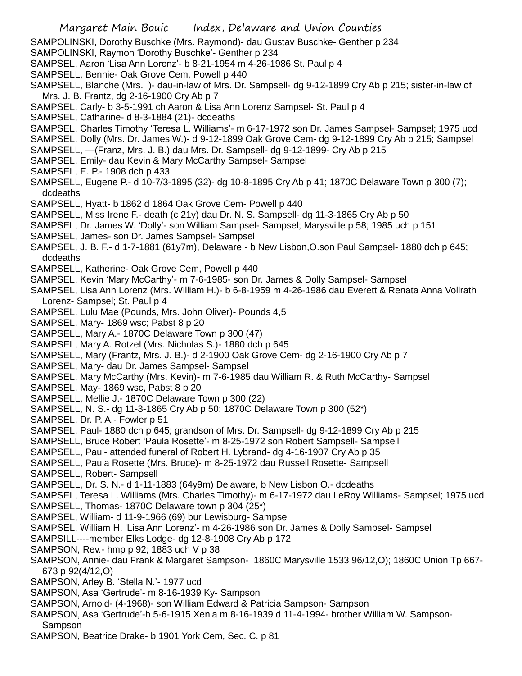- SAMPOLINSKI, Dorothy Buschke (Mrs. Raymond)- dau Gustav Buschke- Genther p 234
- SAMPOLINSKI, Raymon 'Dorothy Buschke'- Genther p 234
- SAMPSEL, Aaron 'Lisa Ann Lorenz'- b 8-21-1954 m 4-26-1986 St. Paul p 4
- SAMPSELL, Bennie- Oak Grove Cem, Powell p 440
- SAMPSELL, Blanche (Mrs. )- dau-in-law of Mrs. Dr. Sampsell- dg 9-12-1899 Cry Ab p 215; sister-in-law of Mrs. J. B. Frantz, dg 2-16-1900 Cry Ab p 7
- SAMPSEL, Carly- b 3-5-1991 ch Aaron & Lisa Ann Lorenz Sampsel- St. Paul p 4
- SAMPSEL, Catharine- d 8-3-1884 (21)- dcdeaths
- SAMPSEL, Charles Timothy 'Teresa L. Williams'- m 6-17-1972 son Dr. James Sampsel- Sampsel; 1975 ucd
- SAMPSEL, Dolly (Mrs. Dr. James W.)- d 9-12-1899 Oak Grove Cem- dg 9-12-1899 Cry Ab p 215; Sampsel
- SAMPSELL, —(Franz, Mrs. J. B.) dau Mrs. Dr. Sampsell- dg 9-12-1899- Cry Ab p 215
- SAMPSEL, Emily- dau Kevin & Mary McCarthy Sampsel- Sampsel
- SAMPSEL, E. P.- 1908 dch p 433
- SAMPSELL, Eugene P.- d 10-7/3-1895 (32)- dg 10-8-1895 Cry Ab p 41; 1870C Delaware Town p 300 (7); dcdeaths
- SAMPSELL, Hyatt- b 1862 d 1864 Oak Grove Cem- Powell p 440
- SAMPSELL, Miss Irene F.- death (c 21y) dau Dr. N. S. Sampsell- dg 11-3-1865 Cry Ab p 50
- SAMPSEL, Dr. James W. 'Dolly'- son William Sampsel- Sampsel; Marysville p 58; 1985 uch p 151
- SAMPSEL, James- son Dr. James Sampsel- Sampsel
- SAMPSEL, J. B. F.- d 1-7-1881 (61y7m), Delaware b New Lisbon,O.son Paul Sampsel- 1880 dch p 645; dcdeaths
- SAMPSELL, Katherine- Oak Grove Cem, Powell p 440
- SAMPSEL, Kevin 'Mary McCarthy'- m 7-6-1985- son Dr. James & Dolly Sampsel- Sampsel
- SAMPSEL, Lisa Ann Lorenz (Mrs. William H.)- b 6-8-1959 m 4-26-1986 dau Everett & Renata Anna Vollrath Lorenz- Sampsel; St. Paul p 4
- SAMPSEL, Lulu Mae (Pounds, Mrs. John Oliver)- Pounds 4,5
- SAMPSEL, Mary- 1869 wsc; Pabst 8 p 20
- SAMPSELL, Mary A.- 1870C Delaware Town p 300 (47)
- SAMPSEL, Mary A. Rotzel (Mrs. Nicholas S.)- 1880 dch p 645
- SAMPSELL, Mary (Frantz, Mrs. J. B.)- d 2-1900 Oak Grove Cem- dg 2-16-1900 Cry Ab p 7
- SAMPSEL, Mary- dau Dr. James Sampsel- Sampsel
- SAMPSEL, Mary McCarthy (Mrs. Kevin)- m 7-6-1985 dau William R. & Ruth McCarthy- Sampsel
- SAMPSEL, May- 1869 wsc, Pabst 8 p 20
- SAMPSELL, Mellie J.- 1870C Delaware Town p 300 (22)
- SAMPSELL, N. S.- dg 11-3-1865 Cry Ab p 50; 1870C Delaware Town p 300 (52\*)
- SAMPSEL, Dr. P. A.- Fowler p 51
- SAMPSEL, Paul- 1880 dch p 645; grandson of Mrs. Dr. Sampsell- dg 9-12-1899 Cry Ab p 215
- SAMPSELL, Bruce Robert 'Paula Rosette'- m 8-25-1972 son Robert Sampsell- Sampsell
- SAMPSELL, Paul- attended funeral of Robert H. Lybrand- dg 4-16-1907 Cry Ab p 35
- SAMPSELL, Paula Rosette (Mrs. Bruce)- m 8-25-1972 dau Russell Rosette- Sampsell
- SAMPSELL, Robert- Sampsell
- SAMPSELL, Dr. S. N.- d 1-11-1883 (64y9m) Delaware, b New Lisbon O.- dcdeaths
- SAMPSEL, Teresa L. Williams (Mrs. Charles Timothy)- m 6-17-1972 dau LeRoy Williams- Sampsel; 1975 ucd
- SAMPSELL, Thomas- 1870C Delaware town p 304 (25\*)
- SAMPSEL, William- d 11-9-1966 (69) bur Lewisburg- Sampsel
- SAMPSEL, William H. 'Lisa Ann Lorenz'- m 4-26-1986 son Dr. James & Dolly Sampsel- Sampsel
- SAMPSILL----member Elks Lodge- dg 12-8-1908 Cry Ab p 172
- SAMPSON, Rev.- hmp p 92; 1883 uch V p 38
- SAMPSON, Annie- dau Frank & Margaret Sampson- 1860C Marysville 1533 96/12,O); 1860C Union Tp 667- 673 p 92(4/12,O)
- SAMPSON, Arley B. 'Stella N.'- 1977 ucd
- SAMPSON, Asa 'Gertrude'- m 8-16-1939 Ky- Sampson
- SAMPSON, Arnold- (4-1968)- son William Edward & Patricia Sampson- Sampson
- SAMPSON, Asa 'Gertrude'-b 5-6-1915 Xenia m 8-16-1939 d 11-4-1994- brother William W. Sampson-Sampson
- SAMPSON, Beatrice Drake- b 1901 York Cem, Sec. C. p 81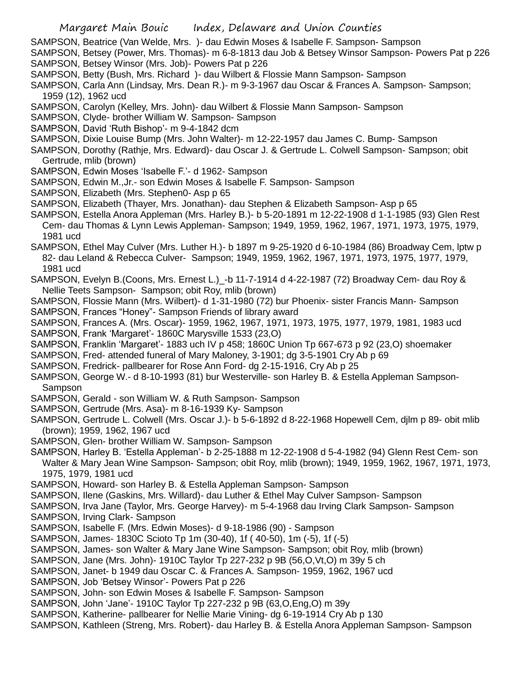- SAMPSON, Beatrice (Van Welde, Mrs. )- dau Edwin Moses & Isabelle F. Sampson- Sampson
- SAMPSON, Betsey (Power, Mrs. Thomas)- m 6-8-1813 dau Job & Betsey Winsor Sampson- Powers Pat p 226 SAMPSON, Betsey Winsor (Mrs. Job)- Powers Pat p 226
- SAMPSON, Betty (Bush, Mrs. Richard )- dau Wilbert & Flossie Mann Sampson- Sampson
- SAMPSON, Carla Ann (Lindsay, Mrs. Dean R.)- m 9-3-1967 dau Oscar & Frances A. Sampson- Sampson; 1959 (12), 1962 ucd
- SAMPSON, Carolyn (Kelley, Mrs. John)- dau Wilbert & Flossie Mann Sampson- Sampson
- SAMPSON, Clyde- brother William W. Sampson- Sampson
- SAMPSON, David 'Ruth Bishop'- m 9-4-1842 dcm
- SAMPSON, Dixie Louise Bump (Mrs. John Walter)- m 12-22-1957 dau James C. Bump- Sampson
- SAMPSON, Dorothy (Rathje, Mrs. Edward)- dau Oscar J. & Gertrude L. Colwell Sampson- Sampson; obit Gertrude, mlib (brown)
- SAMPSON, Edwin Moses 'Isabelle F.'- d 1962- Sampson
- SAMPSON, Edwin M.,Jr.- son Edwin Moses & Isabelle F. Sampson- Sampson
- SAMPSON, Elizabeth (Mrs. Stephen0- Asp p 65
- SAMPSON, Elizabeth (Thayer, Mrs. Jonathan)- dau Stephen & Elizabeth Sampson- Asp p 65
- SAMPSON, Estella Anora Appleman (Mrs. Harley B.)- b 5-20-1891 m 12-22-1908 d 1-1-1985 (93) Glen Rest Cem- dau Thomas & Lynn Lewis Appleman- Sampson; 1949, 1959, 1962, 1967, 1971, 1973, 1975, 1979, 1981 ucd
- SAMPSON, Ethel May Culver (Mrs. Luther H.)- b 1897 m 9-25-1920 d 6-10-1984 (86) Broadway Cem, lptw p 82- dau Leland & Rebecca Culver- Sampson; 1949, 1959, 1962, 1967, 1971, 1973, 1975, 1977, 1979, 1981 ucd
- SAMPSON, Evelyn B.(Coons, Mrs. Ernest L.)\_-b 11-7-1914 d 4-22-1987 (72) Broadway Cem- dau Roy & Nellie Teets Sampson- Sampson; obit Roy, mlib (brown)
- SAMPSON, Flossie Mann (Mrs. Wilbert)- d 1-31-1980 (72) bur Phoenix- sister Francis Mann- Sampson SAMPSON, Frances "Honey"- Sampson Friends of library award
- SAMPSON, Frances A. (Mrs. Oscar)- 1959, 1962, 1967, 1971, 1973, 1975, 1977, 1979, 1981, 1983 ucd
- SAMPSON, Frank 'Margaret'- 1860C Marysville 1533 (23,O)
- SAMPSON, Franklin 'Margaret'- 1883 uch IV p 458; 1860C Union Tp 667-673 p 92 (23,O) shoemaker
- SAMPSON, Fred- attended funeral of Mary Maloney, 3-1901; dg 3-5-1901 Cry Ab p 69
- SAMPSON, Fredrick- pallbearer for Rose Ann Ford- dg 2-15-1916, Cry Ab p 25
- SAMPSON, George W.- d 8-10-1993 (81) bur Westerville- son Harley B. & Estella Appleman Sampson-Sampson
- SAMPSON, Gerald son William W. & Ruth Sampson- Sampson
- SAMPSON, Gertrude (Mrs. Asa)- m 8-16-1939 Ky- Sampson
- SAMPSON, Gertrude L. Colwell (Mrs. Oscar J.)- b 5-6-1892 d 8-22-1968 Hopewell Cem, djlm p 89- obit mlib (brown); 1959, 1962, 1967 ucd
- SAMPSON, Glen- brother William W. Sampson- Sampson
- SAMPSON, Harley B. 'Estella Appleman'- b 2-25-1888 m 12-22-1908 d 5-4-1982 (94) Glenn Rest Cem- son Walter & Mary Jean Wine Sampson- Sampson; obit Roy, mlib (brown); 1949, 1959, 1962, 1967, 1971, 1973, 1975, 1979, 1981 ucd
- SAMPSON, Howard- son Harley B. & Estella Appleman Sampson- Sampson
- SAMPSON, Ilene (Gaskins, Mrs. Willard)- dau Luther & Ethel May Culver Sampson- Sampson
- SAMPSON, Irva Jane (Taylor, Mrs. George Harvey)- m 5-4-1968 dau Irving Clark Sampson- Sampson
- SAMPSON, Irving Clark- Sampson
- SAMPSON, Isabelle F. (Mrs. Edwin Moses)- d 9-18-1986 (90) Sampson
- SAMPSON, James- 1830C Scioto Tp 1m (30-40), 1f ( 40-50), 1m (-5), 1f (-5)
- SAMPSON, James- son Walter & Mary Jane Wine Sampson- Sampson; obit Roy, mlib (brown)
- SAMPSON, Jane (Mrs. John)- 1910C Taylor Tp 227-232 p 9B (56,O,Vt,O) m 39y 5 ch
- SAMPSON, Janet- b 1949 dau Oscar C. & Frances A. Sampson- 1959, 1962, 1967 ucd
- SAMPSON, Job 'Betsey Winsor'- Powers Pat p 226
- SAMPSON, John- son Edwin Moses & Isabelle F. Sampson- Sampson
- SAMPSON, John 'Jane'- 1910C Taylor Tp 227-232 p 9B (63,O,Eng,O) m 39y
- SAMPSON, Katherine- pallbearer for Nellie Marie Vining- dg 6-19-1914 Cry Ab p 130
- SAMPSON, Kathleen (Streng, Mrs. Robert)- dau Harley B. & Estella Anora Appleman Sampson- Sampson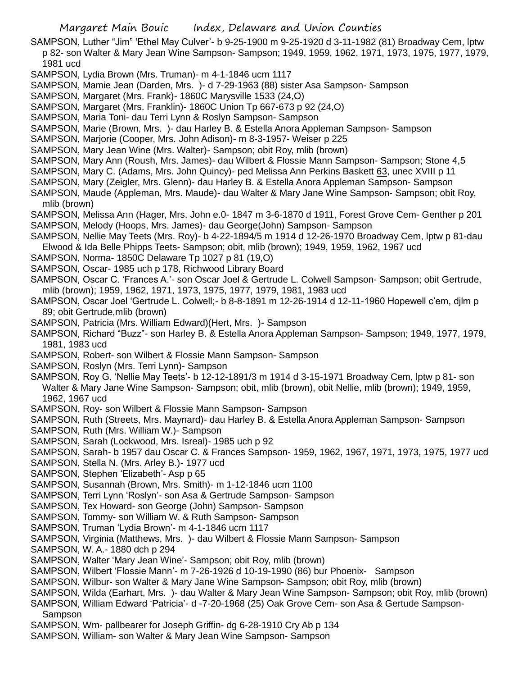- SAMPSON, Luther "Jim" 'Ethel May Culver'- b 9-25-1900 m 9-25-1920 d 3-11-1982 (81) Broadway Cem, lptw p 82- son Walter & Mary Jean Wine Sampson- Sampson; 1949, 1959, 1962, 1971, 1973, 1975, 1977, 1979, 1981 ucd
- SAMPSON, Lydia Brown (Mrs. Truman)- m 4-1-1846 ucm 1117
- SAMPSON, Mamie Jean (Darden, Mrs. )- d 7-29-1963 (88) sister Asa Sampson- Sampson
- SAMPSON, Margaret (Mrs. Frank)- 1860C Marysville 1533 (24,O)
- SAMPSON, Margaret (Mrs. Franklin)- 1860C Union Tp 667-673 p 92 (24,O)
- SAMPSON, Maria Toni- dau Terri Lynn & Roslyn Sampson- Sampson
- SAMPSON, Marie (Brown, Mrs. )- dau Harley B. & Estella Anora Appleman Sampson- Sampson
- SAMPSON, Marjorie (Cooper, Mrs. John Adison)- m 8-3-1957- Weiser p 225
- SAMPSON, Mary Jean Wine (Mrs. Walter)- Sampson; obit Roy, mlib (brown)
- SAMPSON, Mary Ann (Roush, Mrs. James)- dau Wilbert & Flossie Mann Sampson- Sampson; Stone 4,5
- SAMPSON, Mary C. (Adams, Mrs. John Quincy)- ped Melissa Ann Perkins Baskett 63, unec XVIII p 11
- SAMPSON, Mary (Zeigler, Mrs. Glenn)- dau Harley B. & Estella Anora Appleman Sampson- Sampson
- SAMPSON, Maude (Appleman, Mrs. Maude)- dau Walter & Mary Jane Wine Sampson- Sampson; obit Roy, mlib (brown)
- SAMPSON, Melissa Ann (Hager, Mrs. John e.0- 1847 m 3-6-1870 d 1911, Forest Grove Cem- Genther p 201 SAMPSON, Melody (Hoops, Mrs. James)- dau George(John) Sampson- Sampson
- SAMPSON, Nellie May Teets (Mrs. Roy)- b 4-22-1894/5 m 1914 d 12-26-1970 Broadway Cem, lptw p 81-dau Elwood & Ida Belle Phipps Teets- Sampson; obit, mlib (brown); 1949, 1959, 1962, 1967 ucd
- SAMPSON, Norma- 1850C Delaware Tp 1027 p 81 (19,O)
- SAMPSON, Oscar- 1985 uch p 178, Richwood Library Board
- SAMPSON, Oscar C. 'Frances A.'- son Oscar Joel & Gertrude L. Colwell Sampson- Sampson; obit Gertrude, mlib (brown); 1959, 1962, 1971, 1973, 1975, 1977, 1979, 1981, 1983 ucd
- SAMPSON, Oscar Joel 'Gertrude L. Colwell;- b 8-8-1891 m 12-26-1914 d 12-11-1960 Hopewell c'em, djlm p 89; obit Gertrude,mlib (brown)
- SAMPSON, Patricia (Mrs. William Edward)(Hert, Mrs. )- Sampson
- SAMPSON, Richard "Buzz"- son Harley B. & Estella Anora Appleman Sampson- Sampson; 1949, 1977, 1979, 1981, 1983 ucd
- SAMPSON, Robert- son Wilbert & Flossie Mann Sampson- Sampson
- SAMPSON, Roslyn (Mrs. Terri Lynn)- Sampson
- SAMPSON, Roy G. 'Nellie May Teets'- b 12-12-1891/3 m 1914 d 3-15-1971 Broadway Cem, lptw p 81- son Walter & Mary Jane Wine Sampson- Sampson; obit, mlib (brown), obit Nellie, mlib (brown); 1949, 1959, 1962, 1967 ucd
- SAMPSON, Roy- son Wilbert & Flossie Mann Sampson- Sampson
- SAMPSON, Ruth (Streets, Mrs. Maynard)- dau Harley B. & Estella Anora Appleman Sampson- Sampson
- SAMPSON, Ruth (Mrs. William W.)- Sampson
- SAMPSON, Sarah (Lockwood, Mrs. Isreal)- 1985 uch p 92
- SAMPSON, Sarah- b 1957 dau Oscar C. & Frances Sampson- 1959, 1962, 1967, 1971, 1973, 1975, 1977 ucd
- SAMPSON, Stella N. (Mrs. Arley B.)- 1977 ucd
- SAMPSON, Stephen 'Elizabeth'- Asp p 65
- SAMPSON, Susannah (Brown, Mrs. Smith)- m 1-12-1846 ucm 1100
- SAMPSON, Terri Lynn 'Roslyn'- son Asa & Gertrude Sampson- Sampson
- SAMPSON, Tex Howard- son George (John) Sampson- Sampson
- SAMPSON, Tommy- son William W. & Ruth Sampson- Sampson
- SAMPSON, Truman 'Lydia Brown'- m 4-1-1846 ucm 1117
- SAMPSON, Virginia (Matthews, Mrs. )- dau Wilbert & Flossie Mann Sampson- Sampson
- SAMPSON, W. A.- 1880 dch p 294
- SAMPSON, Walter 'Mary Jean Wine'- Sampson; obit Roy, mlib (brown)
- SAMPSON, Wilbert 'Flossie Mann'- m 7-26-1926 d 10-19-1990 (86) bur Phoenix- Sampson
- SAMPSON, Wilbur- son Walter & Mary Jane Wine Sampson- Sampson; obit Roy, mlib (brown)
- SAMPSON, Wilda (Earhart, Mrs. )- dau Walter & Mary Jean Wine Sampson- Sampson; obit Roy, mlib (brown)
- SAMPSON, William Edward 'Patricia'- d -7-20-1968 (25) Oak Grove Cem- son Asa & Gertude Sampson-Sampson
- SAMPSON, Wm- pallbearer for Joseph Griffin- dg 6-28-1910 Cry Ab p 134
- SAMPSON, William- son Walter & Mary Jean Wine Sampson- Sampson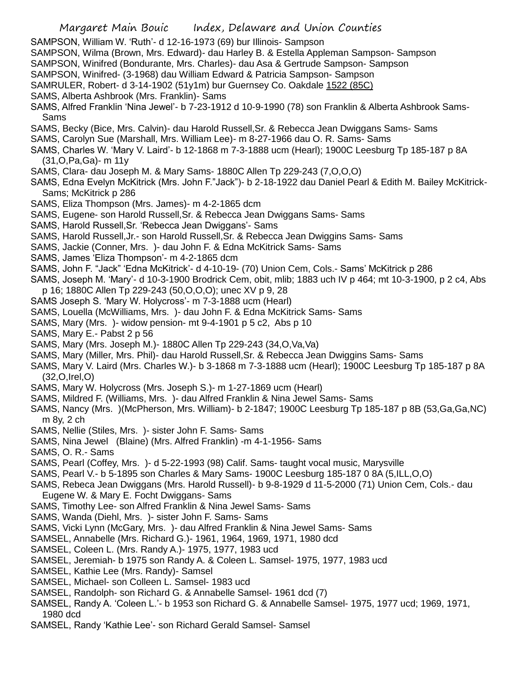Margaret Main Bouic Index, Delaware and Union Counties SAMPSON, William W. 'Ruth'- d 12-16-1973 (69) bur Illinois- Sampson SAMPSON, Wilma (Brown, Mrs. Edward)- dau Harley B. & Estella Appleman Sampson- Sampson SAMPSON, Winifred (Bondurante, Mrs. Charles)- dau Asa & Gertrude Sampson- Sampson SAMPSON, Winifred- (3-1968) dau William Edward & Patricia Sampson- Sampson SAMRULER, Robert- d 3-14-1902 (51y1m) bur Guernsey Co. Oakdale 1522 (85C) SAMS, Alberta Ashbrook (Mrs. Franklin)- Sams SAMS, Alfred Franklin 'Nina Jewel'- b 7-23-1912 d 10-9-1990 (78) son Franklin & Alberta Ashbrook Sams-Sams SAMS, Becky (Bice, Mrs. Calvin)- dau Harold Russell,Sr. & Rebecca Jean Dwiggans Sams- Sams SAMS, Carolyn Sue (Marshall, Mrs. William Lee)- m 8-27-1966 dau O. R. Sams- Sams SAMS, Charles W. 'Mary V. Laird'- b 12-1868 m 7-3-1888 ucm (Hearl); 1900C Leesburg Tp 185-187 p 8A (31,O,Pa,Ga)- m 11y SAMS, Clara- dau Joseph M. & Mary Sams- 1880C Allen Tp 229-243 (7,O,O,O) SAMS, Edna Evelyn McKitrick (Mrs. John F."Jack")- b 2-18-1922 dau Daniel Pearl & Edith M. Bailey McKitrick-Sams; McKitrick p 286 SAMS, Eliza Thompson (Mrs. James)- m 4-2-1865 dcm SAMS, Eugene- son Harold Russell,Sr. & Rebecca Jean Dwiggans Sams- Sams SAMS, Harold Russell,Sr. 'Rebecca Jean Dwiggans'- Sams SAMS, Harold Russell,Jr.- son Harold Russell,Sr. & Rebecca Jean Dwiggins Sams- Sams SAMS, Jackie (Conner, Mrs. )- dau John F. & Edna McKitrick Sams- Sams SAMS, James 'Eliza Thompson'- m 4-2-1865 dcm SAMS, John F. "Jack" 'Edna McKitrick'- d 4-10-19- (70) Union Cem, Cols.- Sams' McKitrick p 286 SAMS, Joseph M. 'Mary'- d 10-3-1900 Brodrick Cem, obit, mlib; 1883 uch IV p 464; mt 10-3-1900, p 2 c4, Abs p 16; 1880C Allen Tp 229-243 (50,O,O,O); unec XV p 9, 28 SAMS Joseph S. 'Mary W. Holycross'- m 7-3-1888 ucm (Hearl) SAMS, Louella (McWilliams, Mrs. )- dau John F. & Edna McKitrick Sams- Sams SAMS, Mary (Mrs. )- widow pension- mt 9-4-1901 p 5 c2, Abs p 10 SAMS, Mary E.- Pabst 2 p 56 SAMS, Mary (Mrs. Joseph M.)- 1880C Allen Tp 229-243 (34,O,Va,Va) SAMS, Mary (Miller, Mrs. Phil)- dau Harold Russell,Sr. & Rebecca Jean Dwiggins Sams- Sams SAMS, Mary V. Laird (Mrs. Charles W.)- b 3-1868 m 7-3-1888 ucm (Hearl); 1900C Leesburg Tp 185-187 p 8A (32,O,Irel,O) SAMS, Mary W. Holycross (Mrs. Joseph S.)- m 1-27-1869 ucm (Hearl) SAMS, Mildred F. (Williams, Mrs. )- dau Alfred Franklin & Nina Jewel Sams- Sams SAMS, Nancy (Mrs. )(McPherson, Mrs. William)- b 2-1847; 1900C Leesburg Tp 185-187 p 8B (53,Ga,Ga,NC) m 8y, 2 ch SAMS, Nellie (Stiles, Mrs. )- sister John F. Sams- Sams SAMS, Nina Jewel (Blaine) (Mrs. Alfred Franklin) -m 4-1-1956- Sams SAMS, O. R.- Sams SAMS, Pearl (Coffey, Mrs. )- d 5-22-1993 (98) Calif. Sams- taught vocal music, Marysville SAMS, Pearl V.- b 5-1895 son Charles & Mary Sams- 1900C Leesburg 185-187 0 8A (5,ILL,O,O) SAMS, Rebeca Jean Dwiggans (Mrs. Harold Russell)- b 9-8-1929 d 11-5-2000 (71) Union Cem, Cols.- dau Eugene W. & Mary E. Focht Dwiggans- Sams SAMS, Timothy Lee- son Alfred Franklin & Nina Jewel Sams- Sams SAMS, Wanda (Diehl, Mrs. )- sister John F. Sams- Sams SAMS, Vicki Lynn (McGary, Mrs. )- dau Alfred Franklin & Nina Jewel Sams- Sams SAMSEL, Annabelle (Mrs. Richard G.)- 1961, 1964, 1969, 1971, 1980 dcd SAMSEL, Coleen L. (Mrs. Randy A.)- 1975, 1977, 1983 ucd SAMSEL, Jeremiah- b 1975 son Randy A. & Coleen L. Samsel- 1975, 1977, 1983 ucd SAMSEL, Kathie Lee (Mrs. Randy)- Samsel SAMSEL, Michael- son Colleen L. Samsel- 1983 ucd SAMSEL, Randolph- son Richard G. & Annabelle Samsel- 1961 dcd (7)

- SAMSEL, Randy A. 'Coleen L.'- b 1953 son Richard G. & Annabelle Samsel- 1975, 1977 ucd; 1969, 1971, 1980 dcd
- SAMSEL, Randy 'Kathie Lee'- son Richard Gerald Samsel- Samsel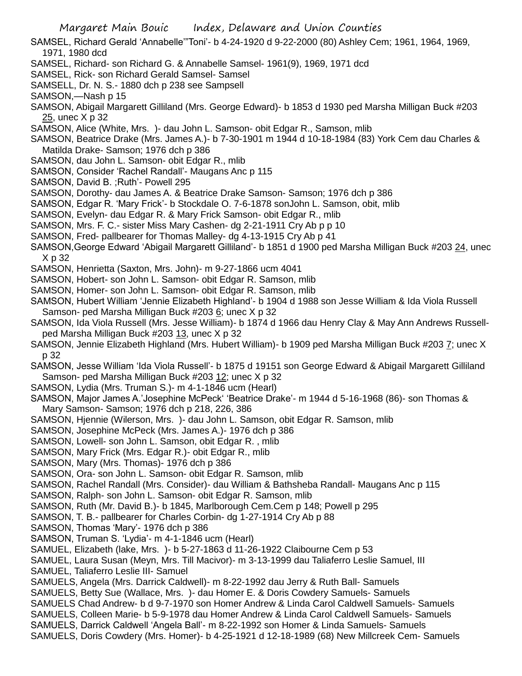- SAMSEL, Richard Gerald 'Annabelle'"Toni'- b 4-24-1920 d 9-22-2000 (80) Ashley Cem; 1961, 1964, 1969, 1971, 1980 dcd
- SAMSEL, Richard- son Richard G. & Annabelle Samsel- 1961(9), 1969, 1971 dcd
- SAMSEL, Rick- son Richard Gerald Samsel- Samsel
- SAMSELL, Dr. N. S.- 1880 dch p 238 see Sampsell
- SAMSON,—Nash p 15
- SAMSON, Abigail Margarett Gilliland (Mrs. George Edward)- b 1853 d 1930 ped Marsha Milligan Buck #203 25, unec X p 32
- SAMSON, Alice (White, Mrs. )- dau John L. Samson- obit Edgar R., Samson, mlib
- SAMSON, Beatrice Drake (Mrs. James A.)- b 7-30-1901 m 1944 d 10-18-1984 (83) York Cem dau Charles & Matilda Drake- Samson; 1976 dch p 386
- SAMSON, dau John L. Samson- obit Edgar R., mlib
- SAMSON, Consider 'Rachel Randall'- Maugans Anc p 115
- SAMSON, David B. ;Ruth'- Powell 295
- SAMSON, Dorothy- dau James A. & Beatrice Drake Samson- Samson; 1976 dch p 386
- SAMSON, Edgar R. 'Mary Frick'- b Stockdale O. 7-6-1878 sonJohn L. Samson, obit, mlib
- SAMSON, Evelyn- dau Edgar R. & Mary Frick Samson- obit Edgar R., mlib
- SAMSON, Mrs. F. C.- sister Miss Mary Cashen- dg 2-21-1911 Cry Ab p p 10
- SAMSON, Fred- pallbearer for Thomas Malley- dg 4-13-1915 Cry Ab p 41
- SAMSON,George Edward 'Abigail Margarett Gilliland'- b 1851 d 1900 ped Marsha Milligan Buck #203 24, unec X p 32
- SAMSON, Henrietta (Saxton, Mrs. John)- m 9-27-1866 ucm 4041
- SAMSON, Hobert- son John L. Samson- obit Edgar R. Samson, mlib
- SAMSON, Homer- son John L. Samson- obit Edgar R. Samson, mlib
- SAMSON, Hubert William 'Jennie Elizabeth Highland'- b 1904 d 1988 son Jesse William & Ida Viola Russell Samson- ped Marsha Milligan Buck #203 6; unec X p 32
- SAMSON, Ida Viola Russell (Mrs. Jesse William)- b 1874 d 1966 dau Henry Clay & May Ann Andrews Russellped Marsha Milligan Buck #203 13, unec X p 32
- SAMSON, Jennie Elizabeth Highland (Mrs. Hubert William)- b 1909 ped Marsha Milligan Buck #203 7; unec X p 32
- SAMSON, Jesse William 'Ida Viola Russell'- b 1875 d 19151 son George Edward & Abigail Margarett Gilliland Samson- ped Marsha Milligan Buck #203 12; unec X p 32
- SAMSON, Lydia (Mrs. Truman S.)- m 4-1-1846 ucm (Hearl)
- SAMSON, Major James A.'Josephine McPeck' 'Beatrice Drake'- m 1944 d 5-16-1968 (86)- son Thomas & Mary Samson- Samson; 1976 dch p 218, 226, 386
- SAMSON, Hjennie (Wilerson, Mrs. )- dau John L. Samson, obit Edgar R. Samson, mlib
- SAMSON, Josephine McPeck (Mrs. James A.)- 1976 dch p 386
- SAMSON, Lowell- son John L. Samson, obit Edgar R. , mlib
- SAMSON, Mary Frick (Mrs. Edgar R.)- obit Edgar R., mlib
- SAMSON, Mary (Mrs. Thomas)- 1976 dch p 386
- SAMSON, Ora- son John L. Samson- obit Edgar R. Samson, mlib
- SAMSON, Rachel Randall (Mrs. Consider)- dau William & Bathsheba Randall- Maugans Anc p 115
- SAMSON, Ralph- son John L. Samson- obit Edgar R. Samson, mlib
- SAMSON, Ruth (Mr. David B.)- b 1845, Marlborough Cem.Cem p 148; Powell p 295
- SAMSON, T. B.- pallbearer for Charles Corbin- dg 1-27-1914 Cry Ab p 88
- SAMSON, Thomas 'Mary'- 1976 dch p 386
- SAMSON, Truman S. 'Lydia'- m 4-1-1846 ucm (Hearl)
- SAMUEL, Elizabeth (lake, Mrs. )- b 5-27-1863 d 11-26-1922 Claibourne Cem p 53
- SAMUEL, Laura Susan (Meyn, Mrs. Till Macivor)- m 3-13-1999 dau Taliaferro Leslie Samuel, III
- SAMUEL, Taliaferro Leslie III- Samuel
- SAMUELS, Angela (Mrs. Darrick Caldwell)- m 8-22-1992 dau Jerry & Ruth Ball- Samuels
- SAMUELS, Betty Sue (Wallace, Mrs. )- dau Homer E. & Doris Cowdery Samuels- Samuels
- SAMUELS Chad Andrew- b d 9-7-1970 son Homer Andrew & Linda Carol Caldwell Samuels- Samuels
- SAMUELS, Colleen Marie- b 5-9-1978 dau Homer Andrew & Linda Carol Caldwell Samuels- Samuels
- SAMUELS, Darrick Caldwell 'Angela Ball'- m 8-22-1992 son Homer & Linda Samuels- Samuels
- SAMUELS, Doris Cowdery (Mrs. Homer)- b 4-25-1921 d 12-18-1989 (68) New Millcreek Cem- Samuels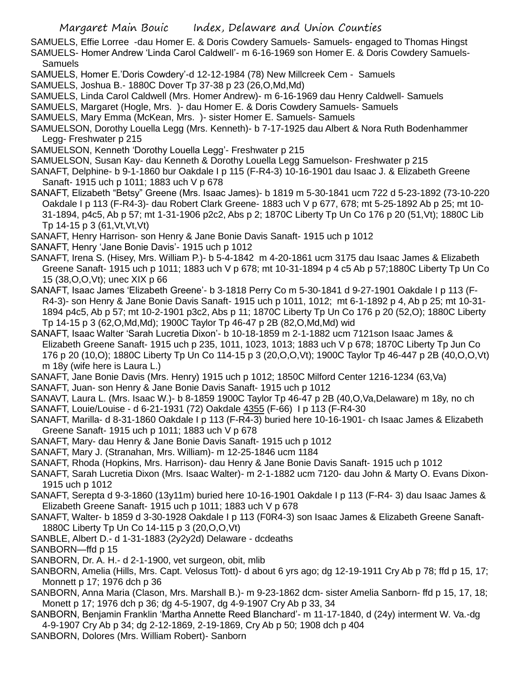SAMUELS, Effie Lorree -dau Homer E. & Doris Cowdery Samuels- Samuels- engaged to Thomas Hingst SAMUELS- Homer Andrew 'Linda Carol Caldwell'- m 6-16-1969 son Homer E. & Doris Cowdery Samuels-Samuels

- SAMUELS, Homer E.'Doris Cowdery'-d 12-12-1984 (78) New Millcreek Cem Samuels
- SAMUELS, Joshua B.- 1880C Dover Tp 37-38 p 23 (26,O,Md,Md)
- SAMUELS, Linda Carol Caldwell (Mrs. Homer Andrew)- m 6-16-1969 dau Henry Caldwell- Samuels
- SAMUELS, Margaret (Hogle, Mrs. )- dau Homer E. & Doris Cowdery Samuels- Samuels
- SAMUELS, Mary Emma (McKean, Mrs. )- sister Homer E. Samuels- Samuels
- SAMUELSON, Dorothy Louella Legg (Mrs. Kenneth)- b 7-17-1925 dau Albert & Nora Ruth Bodenhammer Legg- Freshwater p 215
- SAMUELSON, Kenneth 'Dorothy Louella Legg'- Freshwater p 215
- SAMUELSON, Susan Kay- dau Kenneth & Dorothy Louella Legg Samuelson- Freshwater p 215
- SANAFT, Delphine- b 9-1-1860 bur Oakdale I p 115 (F-R4-3) 10-16-1901 dau Isaac J. & Elizabeth Greene Sanaft- 1915 uch p 1011; 1883 uch V p 678
- SANAFT, Elizabeth "Betsy" Greene (Mrs. Isaac James)- b 1819 m 5-30-1841 ucm 722 d 5-23-1892 (73-10-220 Oakdale I p 113 (F-R4-3)- dau Robert Clark Greene- 1883 uch V p 677, 678; mt 5-25-1892 Ab p 25; mt 10- 31-1894, p4c5, Ab p 57; mt 1-31-1906 p2c2, Abs p 2; 1870C Liberty Tp Un Co 176 p 20 (51,Vt); 1880C Lib Tp 14-15 p 3 (61,Vt,Vt,Vt)
- SANAFT, Henry Harrison- son Henry & Jane Bonie Davis Sanaft- 1915 uch p 1012
- SANAFT, Henry 'Jane Bonie Davis'- 1915 uch p 1012
- SANAFT, Irena S. (Hisey, Mrs. William P.)- b 5-4-1842 m 4-20-1861 ucm 3175 dau Isaac James & Elizabeth Greene Sanaft- 1915 uch p 1011; 1883 uch V p 678; mt 10-31-1894 p 4 c5 Ab p 57;1880C Liberty Tp Un Co 15 (38,O,O,Vt); unec XIX p 66
- SANAFT, Isaac James 'Elizabeth Greene'- b 3-1818 Perry Co m 5-30-1841 d 9-27-1901 Oakdale I p 113 (F-R4-3)- son Henry & Jane Bonie Davis Sanaft- 1915 uch p 1011, 1012; mt 6-1-1892 p 4, Ab p 25; mt 10-31- 1894 p4c5, Ab p 57; mt 10-2-1901 p3c2, Abs p 11; 1870C Liberty Tp Un Co 176 p 20 (52,O); 1880C Liberty Tp 14-15 p 3 (62,O,Md,Md); 1900C Taylor Tp 46-47 p 2B (82,O,Md,Md) wid
- SANAFT, Isaac Walter 'Sarah Lucretia Dixon'- b 10-18-1859 m 2-1-1882 ucm 7121son Isaac James & Elizabeth Greene Sanaft- 1915 uch p 235, 1011, 1023, 1013; 1883 uch V p 678; 1870C Liberty Tp Jun Co 176 p 20 (10,O); 1880C Liberty Tp Un Co 114-15 p 3 (20,O,O,Vt); 1900C Taylor Tp 46-447 p 2B (40,O,O,Vt) m 18y (wife here is Laura L.)
- SANAFT, Jane Bonie Davis (Mrs. Henry) 1915 uch p 1012; 1850C Milford Center 1216-1234 (63,Va)
- SANAFT, Juan- son Henry & Jane Bonie Davis Sanaft- 1915 uch p 1012
- SANAVT, Laura L. (Mrs. Isaac W.)- b 8-1859 1900C Taylor Tp 46-47 p 2B (40,O,Va,Delaware) m 18y, no ch SANAFT, Louie/Louise - d 6-21-1931 (72) Oakdale 4355 (F-66) I p 113 (F-R4-30
- SANAFT, Marilla- d 8-31-1860 Oakdale I p 113 (F-R4-3) buried here 10-16-1901- ch Isaac James & Elizabeth Greene Sanaft- 1915 uch p 1011; 1883 uch V p 678
- SANAFT, Mary- dau Henry & Jane Bonie Davis Sanaft- 1915 uch p 1012
- SANAFT, Mary J. (Stranahan, Mrs. William)- m 12-25-1846 ucm 1184
- SANAFT, Rhoda (Hopkins, Mrs. Harrison)- dau Henry & Jane Bonie Davis Sanaft- 1915 uch p 1012
- SANAFT, Sarah Lucretia Dixon (Mrs. Isaac Walter)- m 2-1-1882 ucm 7120- dau John & Marty O. Evans Dixon-1915 uch p 1012
- SANAFT, Serepta d 9-3-1860 (13y11m) buried here 10-16-1901 Oakdale I p 113 (F-R4- 3) dau Isaac James & Elizabeth Greene Sanaft- 1915 uch p 1011; 1883 uch V p 678
- SANAFT, Walter- b 1859 d 3-30-1928 Oakdale I p 113 (F0R4-3) son Isaac James & Elizabeth Greene Sanaft-1880C Liberty Tp Un Co 14-115 p 3 (20,O,O,Vt)
- SANBLE, Albert D.- d 1-31-1883 (2y2y2d) Delaware dcdeaths
- SANBORN—ffd p 15
- SANBORN, Dr. A. H.- d 2-1-1900, vet surgeon, obit, mlib
- SANBORN, Amelia (Hills, Mrs. Capt. Velosus Tott)- d about 6 yrs ago; dg 12-19-1911 Cry Ab p 78; ffd p 15, 17; Monnett p 17; 1976 dch p 36
- SANBORN, Anna Maria (Clason, Mrs. Marshall B.)- m 9-23-1862 dcm- sister Amelia Sanborn- ffd p 15, 17, 18; Monett p 17; 1976 dch p 36; dg 4-5-1907, dg 4-9-1907 Cry Ab p 33, 34
- SANBORN, Benjamin Franklin 'Martha Annette Reed Blanchard'- m 11-17-1840, d (24y) interment W. Va.-dg 4-9-1907 Cry Ab p 34; dg 2-12-1869, 2-19-1869, Cry Ab p 50; 1908 dch p 404
- SANBORN, Dolores (Mrs. William Robert)- Sanborn